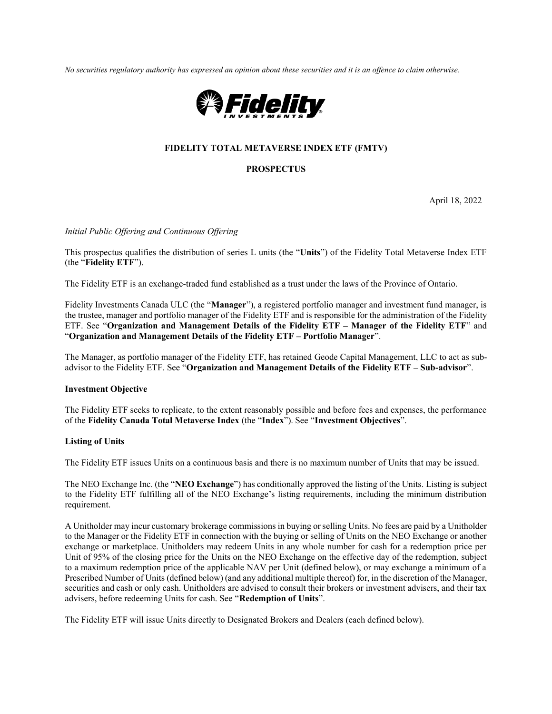*No securities regulatory authority has expressed an opinion about these securities and it is an offence to claim otherwise.*



## **FIDELITY TOTAL METAVERSE INDEX ETF (FMTV)**

#### **PROSPECTUS**

April 18, 2022

*Initial Public Offering and Continuous Offering*

This prospectus qualifies the distribution of series L units (the "**Units**") of the Fidelity Total Metaverse Index ETF (the "**Fidelity ETF**").

The Fidelity ETF is an exchange-traded fund established as a trust under the laws of the Province of Ontario.

Fidelity Investments Canada ULC (the "**Manager**"), a registered portfolio manager and investment fund manager, is the trustee, manager and portfolio manager of the Fidelity ETF and is responsible for the administration of the Fidelity ETF. See "**[Organization and Management Details of the Fidelity ETF](#page-43-0) – [Manager of the Fidelity ETF](#page-43-1)**" and "**[Organization and Management Details of the Fidelity ETF](#page-43-0) – [Portfolio Manager](#page-45-0)**".

The Manager, as portfolio manager of the Fidelity ETF, has retained Geode Capital Management, LLC to act as subadvisor to the Fidelity ETF. See "**Organization and Management Details of the Fidelity ETF – Sub-advisor**".

#### **Investment Objective**

The Fidelity ETF seeks to replicate, to the extent reasonably possible and before fees and expenses, the performance of the **Fidelity Canada Total Metaverse Index** (the "**Index**"). See "**[Investment Objectives](#page-14-0)**".

#### **Listing of Units**

The Fidelity ETF issues Units on a continuous basis and there is no maximum number of Units that may be issued.

The NEO Exchange Inc. (the "**NEO Exchange**") has conditionally approved the listing of the Units. Listing is subject to the Fidelity ETF fulfilling all of the NEO Exchange's listing requirements, including the minimum distribution requirement.

A Unitholder may incur customary brokerage commissions in buying or selling Units. No fees are paid by a Unitholder to the Manager or the Fidelity ETF in connection with the buying or selling of Units on the NEO Exchange or another exchange or marketplace. Unitholders may redeem Units in any whole number for cash for a redemption price per Unit of 95% of the closing price for the Units on the NEO Exchange on the effective day of the redemption, subject to a maximum redemption price of the applicable NAV per Unit (defined below), or may exchange a minimum of a Prescribed Number of Units (defined below) (and any additional multiple thereof) for, in the discretion of the Manager, securities and cash or only cash. Unitholders are advised to consult their brokers or investment advisers, and their tax advisers, before redeeming Units for cash. See "**[Redemption of Units](#page-36-0)**".

The Fidelity ETF will issue Units directly to Designated Brokers and Dealers (each defined below).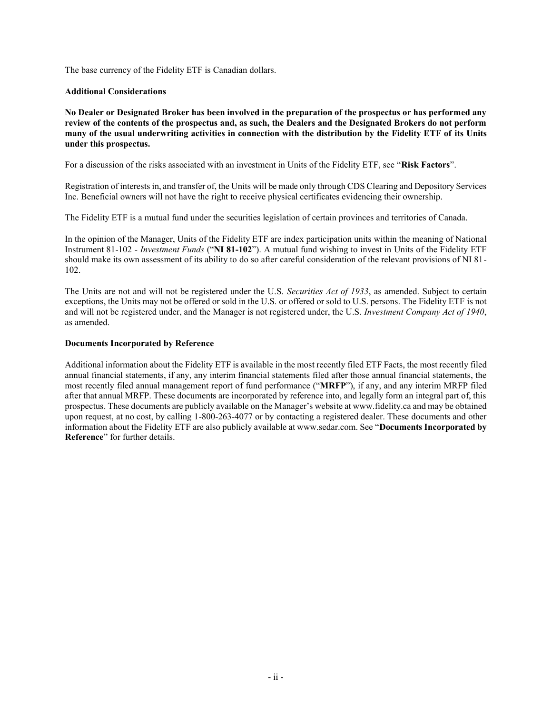The base currency of the Fidelity ETF is Canadian dollars.

#### **Additional Considerations**

**No Dealer or Designated Broker has been involved in the preparation of the prospectus or has performed any review of the contents of the prospectus and, as such, the Dealers and the Designated Brokers do not perform many of the usual underwriting activities in connection with the distribution by the Fidelity ETF of its Units under this prospectus.**

For a discussion of the risks associated with an investment in Units of the Fidelity ETF, see "**[Risk Factors](#page-21-0)**".

Registration of interests in, and transfer of, the Units will be made only through CDS Clearing and Depository Services Inc. Beneficial owners will not have the right to receive physical certificates evidencing their ownership.

The Fidelity ETF is a mutual fund under the securities legislation of certain provinces and territories of Canada.

In the opinion of the Manager, Units of the Fidelity ETF are index participation units within the meaning of National Instrument 81-102 - *Investment Funds* ("**NI 81-102**"). A mutual fund wishing to invest in Units of the Fidelity ETF should make its own assessment of its ability to do so after careful consideration of the relevant provisions of NI 81- 102.

The Units are not and will not be registered under the U.S. *Securities Act of 1933*, as amended. Subject to certain exceptions, the Units may not be offered or sold in the U.S. or offered or sold to U.S. persons. The Fidelity ETF is not and will not be registered under, and the Manager is not registered under, the U.S. *Investment Company Act of 1940*, as amended.

#### <span id="page-1-0"></span>**Documents Incorporated by Reference**

Additional information about the Fidelity ETF is available in the most recently filed ETF Facts, the most recently filed annual financial statements, if any, any interim financial statements filed after those annual financial statements, the most recently filed annual management report of fund performance ("**MRFP**"), if any, and any interim MRFP filed after that annual MRFP. These documents are incorporated by reference into, and legally form an integral part of, this prospectus. These documents are publicly available on the Manager's website at www.fidelity.ca and may be obtained upon request, at no cost, by calling 1-800-263-4077 or by contacting a registered dealer. These documents and other information about the Fidelity ETF are also publicly available at www.sedar.com. See "**[Documents Incorporated by](#page-60-0)  [Reference](#page-60-0)**" for further details.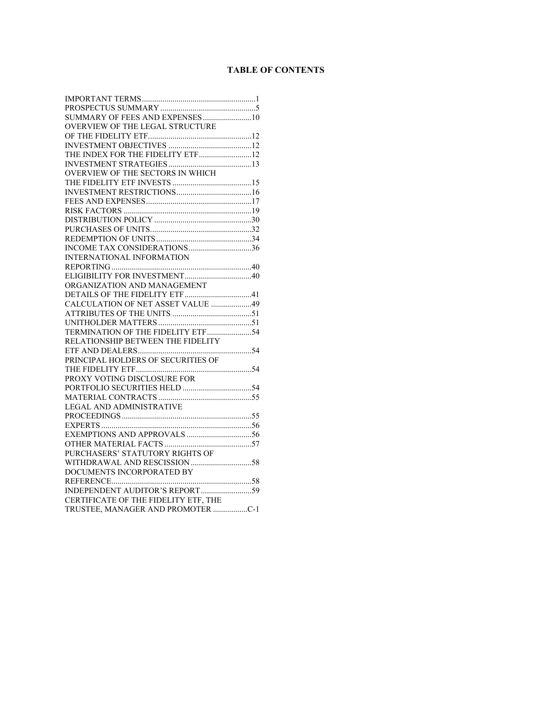# **TABLE OF CONTENTS**

| SUMMARY OF FEES AND EXPENSES10                                            |  |
|---------------------------------------------------------------------------|--|
| OVERVIEW OF THE LEGAL STRUCTURE                                           |  |
|                                                                           |  |
|                                                                           |  |
| THE INDEX FOR THE FIDELITY ETF12                                          |  |
|                                                                           |  |
| OVERVIEW OF THE SECTORS IN WHICH                                          |  |
|                                                                           |  |
|                                                                           |  |
|                                                                           |  |
|                                                                           |  |
|                                                                           |  |
|                                                                           |  |
|                                                                           |  |
| INCOME TAX CONSIDERATIONS 36                                              |  |
| INTERNATIONAL INFORMATION                                                 |  |
|                                                                           |  |
|                                                                           |  |
| ORGANIZATION AND MANAGEMENT                                               |  |
|                                                                           |  |
| CALCULATION OF NET ASSET VALUE 49                                         |  |
|                                                                           |  |
|                                                                           |  |
| TERMINATION OF THE FIDELITY ETF54                                         |  |
| RELATIONSHIP BETWEEN THE FIDELITY                                         |  |
|                                                                           |  |
| PRINCIPAL HOLDERS OF SECURITIES OF                                        |  |
|                                                                           |  |
| PROXY VOTING DISCLOSURE FOR                                               |  |
|                                                                           |  |
|                                                                           |  |
| LEGAL AND ADMINISTRATIVE                                                  |  |
|                                                                           |  |
|                                                                           |  |
|                                                                           |  |
|                                                                           |  |
| PURCHASERS' STATUTORY RIGHTS OF                                           |  |
|                                                                           |  |
| DOCUMENTS INCORPORATED BY                                                 |  |
|                                                                           |  |
|                                                                           |  |
| CERTIFICATE OF THE FIDELITY ETF, THE<br>TRUSTEE, MANAGER AND PROMOTER C-1 |  |
|                                                                           |  |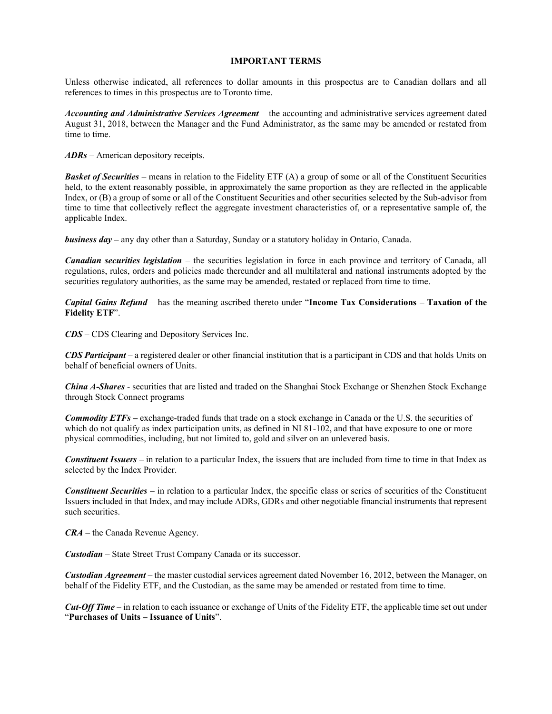#### **IMPORTANT TERMS**

<span id="page-3-0"></span>Unless otherwise indicated, all references to dollar amounts in this prospectus are to Canadian dollars and all references to times in this prospectus are to Toronto time.

*Accounting and Administrative Services Agreement* – the accounting and administrative services agreement dated August 31, 2018, between the Manager and the Fund Administrator, as the same may be amended or restated from time to time.

*ADRs* – American depository receipts.

*Basket of Securities* – means in relation to the Fidelity ETF (A) a group of some or all of the Constituent Securities held, to the extent reasonably possible, in approximately the same proportion as they are reflected in the applicable Index, or (B) a group of some or all of the Constituent Securities and other securities selected by the Sub-advisor from time to time that collectively reflect the aggregate investment characteristics of, or a representative sample of, the applicable Index.

*business day* **–** any day other than a Saturday, Sunday or a statutory holiday in Ontario, Canada.

*Canadian securities legislation* – the securities legislation in force in each province and territory of Canada, all regulations, rules, orders and policies made thereunder and all multilateral and national instruments adopted by the securities regulatory authorities, as the same may be amended, restated or replaced from time to time.

*Capital Gains Refund* – has the meaning ascribed thereto under "**Income Tax Considerations – Taxation of the Fidelity ETF**".

*CDS* – CDS Clearing and Depository Services Inc.

*CDS Participant* – a registered dealer or other financial institution that is a participant in CDS and that holds Units on behalf of beneficial owners of Units.

*China A-Shares* - securities that are listed and traded on the Shanghai Stock Exchange or Shenzhen Stock Exchange through Stock Connect programs

*Commodity ETFs –* exchange-traded funds that trade on a stock exchange in Canada or the U.S. the securities of which do not qualify as index participation units, as defined in NI 81-102, and that have exposure to one or more physical commodities, including, but not limited to, gold and silver on an unlevered basis.

*Constituent Issuers* **–** in relation to a particular Index, the issuers that are included from time to time in that Index as selected by the Index Provider.

*Constituent Securities* – in relation to a particular Index, the specific class or series of securities of the Constituent Issuers included in that Index, and may include ADRs, GDRs and other negotiable financial instruments that represent such securities.

*CRA* – the Canada Revenue Agency.

*Custodian* – State Street Trust Company Canada or its successor.

*Custodian Agreement* – the master custodial services agreement dated November 16, 2012, between the Manager, on behalf of the Fidelity ETF, and the Custodian, as the same may be amended or restated from time to time.

*Cut-Off Time* – in relation to each issuance or exchange of Units of the Fidelity ETF, the applicable time set out under "**[Purchases of Units](#page-34-0) – [Issuance of Units](#page-34-1)**".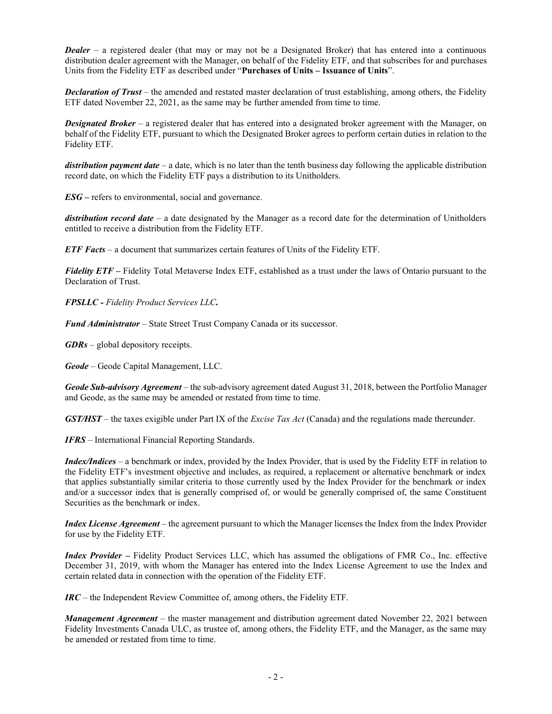*Dealer* – a registered dealer (that may or may not be a Designated Broker) that has entered into a continuous distribution dealer agreement with the Manager, on behalf of the Fidelity ETF, and that subscribes for and purchases Units from the Fidelity ETF as described under "**[Purchases of Units](#page-34-0) – [Issuance of Units](#page-34-1)**".

*Declaration of Trust* – the amended and restated master declaration of trust establishing, among others, the Fidelity ETF dated November 22, 2021, as the same may be further amended from time to time.

*Designated Broker* – a registered dealer that has entered into a designated broker agreement with the Manager, on behalf of the Fidelity ETF, pursuant to which the Designated Broker agrees to perform certain duties in relation to the Fidelity ETF.

*distribution payment date* – a date, which is no later than the tenth business day following the applicable distribution record date, on which the Fidelity ETF pays a distribution to its Unitholders.

*ESG –* refers to environmental, social and governance.

*distribution record date* – a date designated by the Manager as a record date for the determination of Unitholders entitled to receive a distribution from the Fidelity ETF.

*ETF Facts* – a document that summarizes certain features of Units of the Fidelity ETF.

*Fidelity ETF* **–** Fidelity Total Metaverse Index ETF, established as a trust under the laws of Ontario pursuant to the Declaration of Trust.

*FPSLLC - Fidelity Product Services LLC.*

*Fund Administrator* – State Street Trust Company Canada or its successor.

*GDRs* – global depository receipts.

*Geode* – Geode Capital Management, LLC.

*Geode Sub-advisory Agreement* – the sub-advisory agreement dated August 31, 2018, between the Portfolio Manager and Geode, as the same may be amended or restated from time to time.

*GST/HST* – the taxes exigible under Part IX of the *Excise Tax Act* (Canada) and the regulations made thereunder.

*IFRS* – International Financial Reporting Standards.

*Index/Indices* – a benchmark or index, provided by the Index Provider, that is used by the Fidelity ETF in relation to the Fidelity ETF's investment objective and includes, as required, a replacement or alternative benchmark or index that applies substantially similar criteria to those currently used by the Index Provider for the benchmark or index and/or a successor index that is generally comprised of, or would be generally comprised of, the same Constituent Securities as the benchmark or index.

*Index License Agreement* – the agreement pursuant to which the Manager licenses the Index from the Index Provider for use by the Fidelity ETF.

*Index Provider* **–** Fidelity Product Services LLC, which has assumed the obligations of FMR Co., Inc. effective December 31, 2019, with whom the Manager has entered into the Index License Agreement to use the Index and certain related data in connection with the operation of the Fidelity ETF.

*IRC* – the Independent Review Committee of, among others, the Fidelity ETF.

*Management Agreement* – the master management and distribution agreement dated November 22, 2021 between Fidelity Investments Canada ULC, as trustee of, among others, the Fidelity ETF, and the Manager, as the same may be amended or restated from time to time.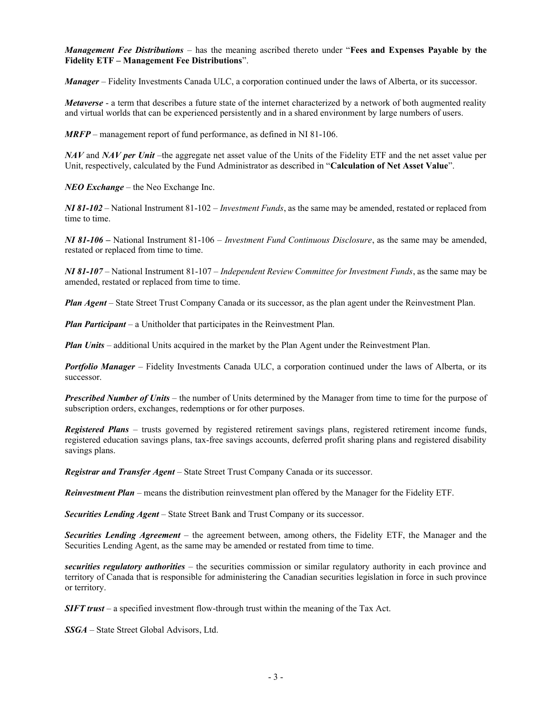*Management Fee Distributions* – has the meaning ascribed thereto under "**Fees and Expenses Payable by the Fidelity ETF – Management Fee Distributions**".

*Manager* – Fidelity Investments Canada ULC, a corporation continued under the laws of Alberta, or its successor.

*Metaverse* - a term that describes a future state of the internet characterized by a network of both augmented reality and virtual worlds that can be experienced persistently and in a shared environment by large numbers of users.

*MRFP* – management report of fund performance, as defined in NI 81-106.

*NAV* and *NAV per Unit* –the aggregate net asset value of the Units of the Fidelity ETF and the net asset value per Unit, respectively, calculated by the Fund Administrator as described in "**[Calculation of Net Asset Value](#page-51-0)**".

*NEO Exchange* – the Neo Exchange Inc.

*NI 81-102* – National Instrument 81-102 – *Investment Funds*, as the same may be amended, restated or replaced from time to time.

*NI 81-106* **–** National Instrument 81-106 – *Investment Fund Continuous Disclosure*, as the same may be amended, restated or replaced from time to time.

*NI 81-107* – National Instrument 81-107 – *Independent Review Committee for Investment Funds*, as the same may be amended, restated or replaced from time to time.

*Plan Agent* – State Street Trust Company Canada or its successor, as the plan agent under the Reinvestment Plan.

*Plan Participant* – a Unitholder that participates in the Reinvestment Plan.

*Plan Units* – additional Units acquired in the market by the Plan Agent under the Reinvestment Plan.

*Portfolio Manager* – Fidelity Investments Canada ULC, a corporation continued under the laws of Alberta, or its successor.

*Prescribed Number of Units* – the number of Units determined by the Manager from time to time for the purpose of subscription orders, exchanges, redemptions or for other purposes.

*Registered Plans* – trusts governed by registered retirement savings plans, registered retirement income funds, registered education savings plans, tax-free savings accounts, deferred profit sharing plans and registered disability savings plans.

*Registrar and Transfer Agent* – State Street Trust Company Canada or its successor.

*Reinvestment Plan* – means the distribution reinvestment plan offered by the Manager for the Fidelity ETF.

*Securities Lending Agent* – State Street Bank and Trust Company or its successor.

*Securities Lending Agreement* – the agreement between, among others, the Fidelity ETF, the Manager and the Securities Lending Agent, as the same may be amended or restated from time to time.

*securities regulatory authorities* – the securities commission or similar regulatory authority in each province and territory of Canada that is responsible for administering the Canadian securities legislation in force in such province or territory.

*SIFT trust* – a specified investment flow-through trust within the meaning of the Tax Act.

*SSGA* – State Street Global Advisors, Ltd.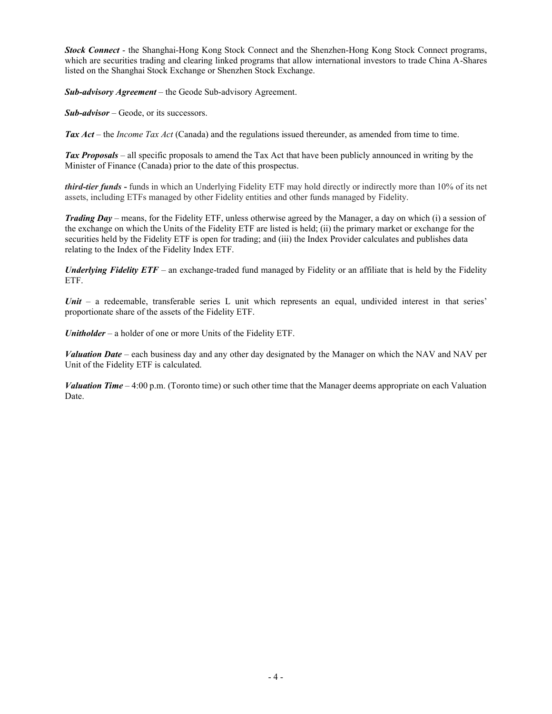*Stock Connect* - the Shanghai-Hong Kong Stock Connect and the Shenzhen-Hong Kong Stock Connect programs, which are securities trading and clearing linked programs that allow international investors to trade China A-Shares listed on the Shanghai Stock Exchange or Shenzhen Stock Exchange.

*Sub-advisory Agreement* – the Geode Sub-advisory Agreement.

*Sub-advisor* – Geode, or its successors.

*Tax Act* – the *Income Tax Act* (Canada) and the regulations issued thereunder, as amended from time to time.

*Tax Proposals* – all specific proposals to amend the Tax Act that have been publicly announced in writing by the Minister of Finance (Canada) prior to the date of this prospectus.

*third-tier funds* **-** funds in which an Underlying Fidelity ETF may hold directly or indirectly more than 10% of its net assets, including ETFs managed by other Fidelity entities and other funds managed by Fidelity.

*Trading Day* – means, for the Fidelity ETF, unless otherwise agreed by the Manager, a day on which (i) a session of the exchange on which the Units of the Fidelity ETF are listed is held; (ii) the primary market or exchange for the securities held by the Fidelity ETF is open for trading; and (iii) the Index Provider calculates and publishes data relating to the Index of the Fidelity Index ETF.

*Underlying Fidelity ETF* – an exchange-traded fund managed by Fidelity or an affiliate that is held by the Fidelity ETF.

*Unit* – a redeemable, transferable series L unit which represents an equal, undivided interest in that series' proportionate share of the assets of the Fidelity ETF.

*Unitholder* – a holder of one or more Units of the Fidelity ETF.

*Valuation Date* – each business day and any other day designated by the Manager on which the NAV and NAV per Unit of the Fidelity ETF is calculated.

*Valuation Time* – 4:00 p.m. (Toronto time) or such other time that the Manager deems appropriate on each Valuation Date.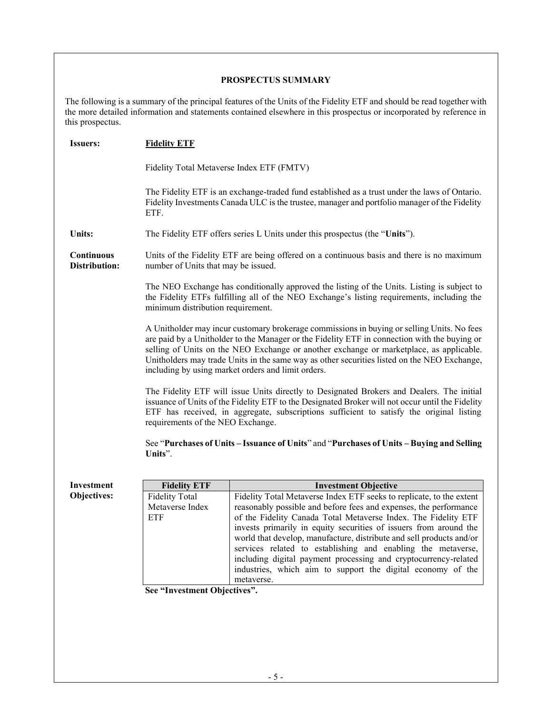# **PROSPECTUS SUMMARY**

<span id="page-7-0"></span>The following is a summary of the principal features of the Units of the Fidelity ETF and should be read together with the more detailed information and statements contained elsewhere in this prospectus or incorporated by reference in this prospectus.

| <b>Issuers:</b>                    | <b>Fidelity ETF</b>                                                                                                                                                                                                                                                                                                            |                                                                                                                                                                                                                                                                                                                                                                                                                                                                                                                                                                          |  |
|------------------------------------|--------------------------------------------------------------------------------------------------------------------------------------------------------------------------------------------------------------------------------------------------------------------------------------------------------------------------------|--------------------------------------------------------------------------------------------------------------------------------------------------------------------------------------------------------------------------------------------------------------------------------------------------------------------------------------------------------------------------------------------------------------------------------------------------------------------------------------------------------------------------------------------------------------------------|--|
|                                    | Fidelity Total Metaverse Index ETF (FMTV)                                                                                                                                                                                                                                                                                      |                                                                                                                                                                                                                                                                                                                                                                                                                                                                                                                                                                          |  |
|                                    | ETF.                                                                                                                                                                                                                                                                                                                           | The Fidelity ETF is an exchange-traded fund established as a trust under the laws of Ontario.<br>Fidelity Investments Canada ULC is the trustee, manager and portfolio manager of the Fidelity                                                                                                                                                                                                                                                                                                                                                                           |  |
| Units:                             |                                                                                                                                                                                                                                                                                                                                | The Fidelity ETF offers series L Units under this prospectus (the "Units").                                                                                                                                                                                                                                                                                                                                                                                                                                                                                              |  |
| Continuous<br><b>Distribution:</b> | number of Units that may be issued.                                                                                                                                                                                                                                                                                            | Units of the Fidelity ETF are being offered on a continuous basis and there is no maximum                                                                                                                                                                                                                                                                                                                                                                                                                                                                                |  |
|                                    | minimum distribution requirement.                                                                                                                                                                                                                                                                                              | The NEO Exchange has conditionally approved the listing of the Units. Listing is subject to<br>the Fidelity ETFs fulfilling all of the NEO Exchange's listing requirements, including the                                                                                                                                                                                                                                                                                                                                                                                |  |
|                                    |                                                                                                                                                                                                                                                                                                                                | A Unitholder may incur customary brokerage commissions in buying or selling Units. No fees<br>are paid by a Unitholder to the Manager or the Fidelity ETF in connection with the buying or<br>selling of Units on the NEO Exchange or another exchange or marketplace, as applicable.<br>Unitholders may trade Units in the same way as other securities listed on the NEO Exchange,<br>including by using market orders and limit orders.                                                                                                                               |  |
|                                    | The Fidelity ETF will issue Units directly to Designated Brokers and Dealers. The initial<br>issuance of Units of the Fidelity ETF to the Designated Broker will not occur until the Fidelity<br>ETF has received, in aggregate, subscriptions sufficient to satisfy the original listing<br>requirements of the NEO Exchange. |                                                                                                                                                                                                                                                                                                                                                                                                                                                                                                                                                                          |  |
|                                    | Units".                                                                                                                                                                                                                                                                                                                        | See "Purchases of Units - Issuance of Units" and "Purchases of Units - Buying and Selling                                                                                                                                                                                                                                                                                                                                                                                                                                                                                |  |
| Investment                         | <b>Fidelity ETF</b>                                                                                                                                                                                                                                                                                                            | <b>Investment Objective</b>                                                                                                                                                                                                                                                                                                                                                                                                                                                                                                                                              |  |
| Objectives:                        | <b>Fidelity Total</b><br>Metaverse Index<br><b>ETF</b>                                                                                                                                                                                                                                                                         | Fidelity Total Metaverse Index ETF seeks to replicate, to the extent<br>reasonably possible and before fees and expenses, the performance<br>of the Fidelity Canada Total Metaverse Index. The Fidelity ETF<br>invests primarily in equity securities of issuers from around the<br>world that develop, manufacture, distribute and sell products and/or<br>services related to establishing and enabling the metaverse,<br>including digital payment processing and cryptocurrency-related<br>industries, which aim to support the digital economy of the<br>metaverse. |  |
|                                    | See "Investment Objectives".                                                                                                                                                                                                                                                                                                   |                                                                                                                                                                                                                                                                                                                                                                                                                                                                                                                                                                          |  |
|                                    |                                                                                                                                                                                                                                                                                                                                |                                                                                                                                                                                                                                                                                                                                                                                                                                                                                                                                                                          |  |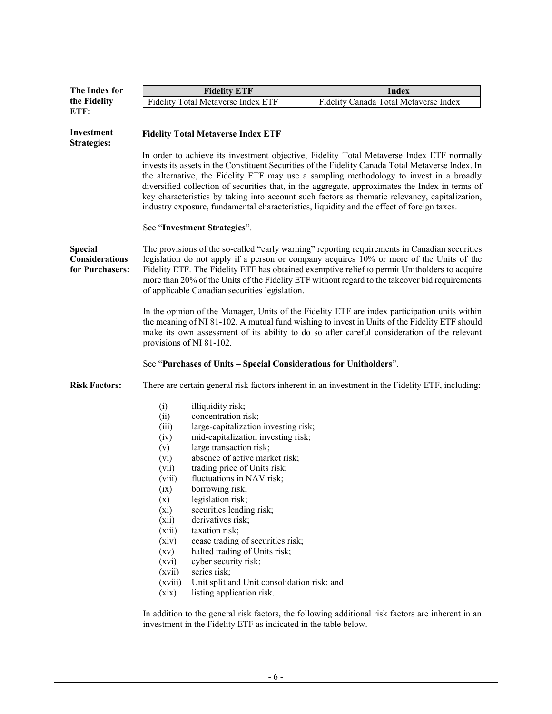| The Index for                                                                                                                                                                                                                                                                                                                                                                                                                                                                                                |                                                                    | <b>Fidelity ETF</b>                                                                                                                                                                                                                              | <b>Index</b>                                                                                                                                                                                                                                                                                                                                                                                                                                                                                                                                                                                 |
|--------------------------------------------------------------------------------------------------------------------------------------------------------------------------------------------------------------------------------------------------------------------------------------------------------------------------------------------------------------------------------------------------------------------------------------------------------------------------------------------------------------|--------------------------------------------------------------------|--------------------------------------------------------------------------------------------------------------------------------------------------------------------------------------------------------------------------------------------------|----------------------------------------------------------------------------------------------------------------------------------------------------------------------------------------------------------------------------------------------------------------------------------------------------------------------------------------------------------------------------------------------------------------------------------------------------------------------------------------------------------------------------------------------------------------------------------------------|
| the Fidelity<br>ETF:                                                                                                                                                                                                                                                                                                                                                                                                                                                                                         |                                                                    | <b>Fidelity Total Metaverse Index ETF</b>                                                                                                                                                                                                        | Fidelity Canada Total Metaverse Index                                                                                                                                                                                                                                                                                                                                                                                                                                                                                                                                                        |
| <b>Investment</b><br><b>Strategies:</b>                                                                                                                                                                                                                                                                                                                                                                                                                                                                      |                                                                    | <b>Fidelity Total Metaverse Index ETF</b>                                                                                                                                                                                                        |                                                                                                                                                                                                                                                                                                                                                                                                                                                                                                                                                                                              |
|                                                                                                                                                                                                                                                                                                                                                                                                                                                                                                              |                                                                    |                                                                                                                                                                                                                                                  | In order to achieve its investment objective, Fidelity Total Metaverse Index ETF normally<br>invests its assets in the Constituent Securities of the Fidelity Canada Total Metaverse Index. In<br>the alternative, the Fidelity ETF may use a sampling methodology to invest in a broadly<br>diversified collection of securities that, in the aggregate, approximates the Index in terms of<br>key characteristics by taking into account such factors as thematic relevancy, capitalization,<br>industry exposure, fundamental characteristics, liquidity and the effect of foreign taxes. |
|                                                                                                                                                                                                                                                                                                                                                                                                                                                                                                              |                                                                    | See "Investment Strategies".                                                                                                                                                                                                                     |                                                                                                                                                                                                                                                                                                                                                                                                                                                                                                                                                                                              |
| The provisions of the so-called "early warning" reporting requirements in Canadian securities<br><b>Special</b><br><b>Considerations</b><br>legislation do not apply if a person or company acquires 10% or more of the Units of the<br>for Purchasers:<br>Fidelity ETF. The Fidelity ETF has obtained exemptive relief to permit Unitholders to acquire<br>more than 20% of the Units of the Fidelity ETF without regard to the takeover bid requirements<br>of applicable Canadian securities legislation. |                                                                    |                                                                                                                                                                                                                                                  |                                                                                                                                                                                                                                                                                                                                                                                                                                                                                                                                                                                              |
|                                                                                                                                                                                                                                                                                                                                                                                                                                                                                                              |                                                                    | provisions of NI 81-102.                                                                                                                                                                                                                         | In the opinion of the Manager, Units of the Fidelity ETF are index participation units within<br>the meaning of NI 81-102. A mutual fund wishing to invest in Units of the Fidelity ETF should<br>make its own assessment of its ability to do so after careful consideration of the relevant                                                                                                                                                                                                                                                                                                |
|                                                                                                                                                                                                                                                                                                                                                                                                                                                                                                              | See "Purchases of Units – Special Considerations for Unitholders". |                                                                                                                                                                                                                                                  |                                                                                                                                                                                                                                                                                                                                                                                                                                                                                                                                                                                              |
| <b>Risk Factors:</b>                                                                                                                                                                                                                                                                                                                                                                                                                                                                                         |                                                                    |                                                                                                                                                                                                                                                  | There are certain general risk factors inherent in an investment in the Fidelity ETF, including:                                                                                                                                                                                                                                                                                                                                                                                                                                                                                             |
|                                                                                                                                                                                                                                                                                                                                                                                                                                                                                                              | (i)<br>(ii)<br>(iii)<br>(iv)<br>(v)<br>(vi)<br>(vii)<br>(viii)     | illiquidity risk;<br>concentration risk;<br>large-capitalization investing risk;<br>mid-capitalization investing risk;<br>large transaction risk;<br>absence of active market risk;<br>trading price of Units risk;<br>fluctuations in NAV risk; |                                                                                                                                                                                                                                                                                                                                                                                                                                                                                                                                                                                              |
|                                                                                                                                                                                                                                                                                                                                                                                                                                                                                                              | (ix)<br>(x)<br>(xi)<br>(xii)<br>(xiii)                             | borrowing risk;<br>legislation risk;<br>securities lending risk;<br>derivatives risk;<br>taxation risk;                                                                                                                                          |                                                                                                                                                                                                                                                                                                                                                                                                                                                                                                                                                                                              |
|                                                                                                                                                                                                                                                                                                                                                                                                                                                                                                              | (xiv)<br>(xv)<br>(xvi)<br>(xvii)<br>(xviii)                        | cease trading of securities risk;<br>halted trading of Units risk;<br>cyber security risk;<br>series risk;<br>Unit split and Unit consolidation risk; and<br>listing application risk.                                                           |                                                                                                                                                                                                                                                                                                                                                                                                                                                                                                                                                                                              |
|                                                                                                                                                                                                                                                                                                                                                                                                                                                                                                              | (xix)                                                              |                                                                                                                                                                                                                                                  |                                                                                                                                                                                                                                                                                                                                                                                                                                                                                                                                                                                              |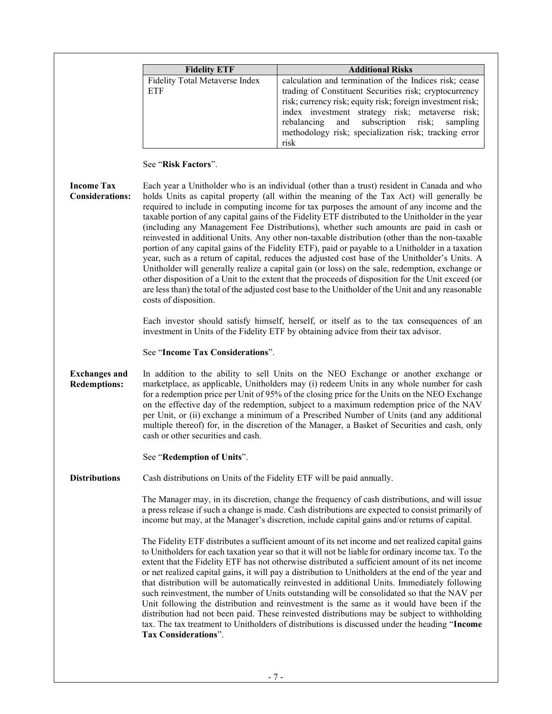|                                             | <b>Fidelity ETF</b>                                                    | <b>Additional Risks</b>                                                                                                                                                                                                                                                                                                                                                                                                                                                                                                                                                                                                                                                                                                                                                                                                                                                                                                                                                                                                                                                                                       |
|---------------------------------------------|------------------------------------------------------------------------|---------------------------------------------------------------------------------------------------------------------------------------------------------------------------------------------------------------------------------------------------------------------------------------------------------------------------------------------------------------------------------------------------------------------------------------------------------------------------------------------------------------------------------------------------------------------------------------------------------------------------------------------------------------------------------------------------------------------------------------------------------------------------------------------------------------------------------------------------------------------------------------------------------------------------------------------------------------------------------------------------------------------------------------------------------------------------------------------------------------|
|                                             | Fidelity Total Metaverse Index<br><b>ETF</b>                           | calculation and termination of the Indices risk; cease<br>trading of Constituent Securities risk; cryptocurrency<br>risk; currency risk; equity risk; foreign investment risk;<br>index investment strategy risk; metaverse risk;<br>rebalancing<br>and<br>subscription<br>risk;<br>sampling<br>methodology risk; specialization risk; tracking error<br>risk                                                                                                                                                                                                                                                                                                                                                                                                                                                                                                                                                                                                                                                                                                                                                 |
|                                             | See "Risk Factors".                                                    |                                                                                                                                                                                                                                                                                                                                                                                                                                                                                                                                                                                                                                                                                                                                                                                                                                                                                                                                                                                                                                                                                                               |
| <b>Income Tax</b><br><b>Considerations:</b> | costs of disposition.                                                  | Each year a Unitholder who is an individual (other than a trust) resident in Canada and who<br>holds Units as capital property (all within the meaning of the Tax Act) will generally be<br>required to include in computing income for tax purposes the amount of any income and the<br>taxable portion of any capital gains of the Fidelity ETF distributed to the Unitholder in the year<br>(including any Management Fee Distributions), whether such amounts are paid in cash or<br>reinvested in additional Units. Any other non-taxable distribution (other than the non-taxable<br>portion of any capital gains of the Fidelity ETF), paid or payable to a Unitholder in a taxation<br>year, such as a return of capital, reduces the adjusted cost base of the Unitholder's Units. A<br>Unitholder will generally realize a capital gain (or loss) on the sale, redemption, exchange or<br>other disposition of a Unit to the extent that the proceeds of disposition for the Unit exceed (or<br>are less than) the total of the adjusted cost base to the Unitholder of the Unit and any reasonable |
|                                             |                                                                        | Each investor should satisfy himself, herself, or itself as to the tax consequences of an<br>investment in Units of the Fidelity ETF by obtaining advice from their tax advisor.                                                                                                                                                                                                                                                                                                                                                                                                                                                                                                                                                                                                                                                                                                                                                                                                                                                                                                                              |
|                                             | See "Income Tax Considerations".                                       |                                                                                                                                                                                                                                                                                                                                                                                                                                                                                                                                                                                                                                                                                                                                                                                                                                                                                                                                                                                                                                                                                                               |
| <b>Exchanges and</b><br><b>Redemptions:</b> | cash or other securities and cash.                                     | In addition to the ability to sell Units on the NEO Exchange or another exchange or<br>marketplace, as applicable, Unitholders may (i) redeem Units in any whole number for cash<br>for a redemption price per Unit of 95% of the closing price for the Units on the NEO Exchange<br>on the effective day of the redemption, subject to a maximum redemption price of the NAV<br>per Unit, or (ii) exchange a minimum of a Prescribed Number of Units (and any additional<br>multiple thereof) for, in the discretion of the Manager, a Basket of Securities and cash, only                                                                                                                                                                                                                                                                                                                                                                                                                                                                                                                                   |
|                                             | See "Redemption of Units".                                             |                                                                                                                                                                                                                                                                                                                                                                                                                                                                                                                                                                                                                                                                                                                                                                                                                                                                                                                                                                                                                                                                                                               |
| <b>Distributions</b>                        | Cash distributions on Units of the Fidelity ETF will be paid annually. |                                                                                                                                                                                                                                                                                                                                                                                                                                                                                                                                                                                                                                                                                                                                                                                                                                                                                                                                                                                                                                                                                                               |
|                                             |                                                                        | The Manager may, in its discretion, change the frequency of cash distributions, and will issue<br>a press release if such a change is made. Cash distributions are expected to consist primarily of<br>income but may, at the Manager's discretion, include capital gains and/or returns of capital.                                                                                                                                                                                                                                                                                                                                                                                                                                                                                                                                                                                                                                                                                                                                                                                                          |
|                                             | <b>Tax Considerations".</b>                                            | The Fidelity ETF distributes a sufficient amount of its net income and net realized capital gains<br>to Unitholders for each taxation year so that it will not be liable for ordinary income tax. To the<br>extent that the Fidelity ETF has not otherwise distributed a sufficient amount of its net income<br>or net realized capital gains, it will pay a distribution to Unitholders at the end of the year and<br>that distribution will be automatically reinvested in additional Units. Immediately following<br>such reinvestment, the number of Units outstanding will be consolidated so that the NAV per<br>Unit following the distribution and reinvestment is the same as it would have been if the<br>distribution had not been paid. These reinvested distributions may be subject to withholding<br>tax. The tax treatment to Unitholders of distributions is discussed under the heading "Income                                                                                                                                                                                             |
|                                             |                                                                        |                                                                                                                                                                                                                                                                                                                                                                                                                                                                                                                                                                                                                                                                                                                                                                                                                                                                                                                                                                                                                                                                                                               |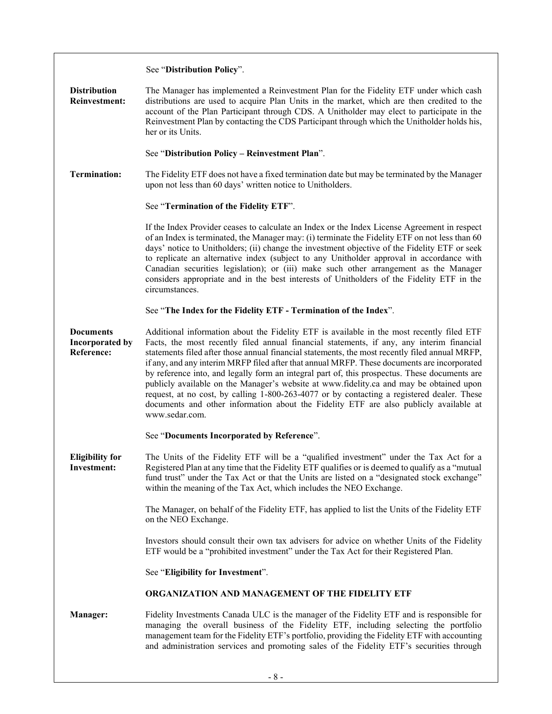|                                                   | See "Distribution Policy".                                                                                                                                                                                                                                                                                                                                                                                                                                                                                                                                                                                                                                                                                                                                                                   |
|---------------------------------------------------|----------------------------------------------------------------------------------------------------------------------------------------------------------------------------------------------------------------------------------------------------------------------------------------------------------------------------------------------------------------------------------------------------------------------------------------------------------------------------------------------------------------------------------------------------------------------------------------------------------------------------------------------------------------------------------------------------------------------------------------------------------------------------------------------|
| <b>Distribution</b><br><b>Reinvestment:</b>       | The Manager has implemented a Reinvestment Plan for the Fidelity ETF under which cash<br>distributions are used to acquire Plan Units in the market, which are then credited to the<br>account of the Plan Participant through CDS. A Unitholder may elect to participate in the<br>Reinvestment Plan by contacting the CDS Participant through which the Unitholder holds his,<br>her or its Units.                                                                                                                                                                                                                                                                                                                                                                                         |
|                                                   | See "Distribution Policy - Reinvestment Plan".                                                                                                                                                                                                                                                                                                                                                                                                                                                                                                                                                                                                                                                                                                                                               |
| <b>Termination:</b>                               | The Fidelity ETF does not have a fixed termination date but may be terminated by the Manager<br>upon not less than 60 days' written notice to Unitholders.                                                                                                                                                                                                                                                                                                                                                                                                                                                                                                                                                                                                                                   |
|                                                   | See "Termination of the Fidelity ETF".                                                                                                                                                                                                                                                                                                                                                                                                                                                                                                                                                                                                                                                                                                                                                       |
|                                                   | If the Index Provider ceases to calculate an Index or the Index License Agreement in respect<br>of an Index is terminated, the Manager may: (i) terminate the Fidelity ETF on not less than 60<br>days' notice to Unitholders; (ii) change the investment objective of the Fidelity ETF or seek<br>to replicate an alternative index (subject to any Unitholder approval in accordance with<br>Canadian securities legislation); or (iii) make such other arrangement as the Manager<br>considers appropriate and in the best interests of Unitholders of the Fidelity ETF in the<br>circumstances.                                                                                                                                                                                          |
|                                                   | See "The Index for the Fidelity ETF - Termination of the Index".                                                                                                                                                                                                                                                                                                                                                                                                                                                                                                                                                                                                                                                                                                                             |
| <b>Documents</b><br>Incorporated by<br>Reference: | Additional information about the Fidelity ETF is available in the most recently filed ETF<br>Facts, the most recently filed annual financial statements, if any, any interim financial<br>statements filed after those annual financial statements, the most recently filed annual MRFP,<br>if any, and any interim MRFP filed after that annual MRFP. These documents are incorporated<br>by reference into, and legally form an integral part of, this prospectus. These documents are<br>publicly available on the Manager's website at www.fidelity.ca and may be obtained upon<br>request, at no cost, by calling 1-800-263-4077 or by contacting a registered dealer. These<br>documents and other information about the Fidelity ETF are also publicly available at<br>www.sedar.com. |
|                                                   | See "Documents Incorporated by Reference".                                                                                                                                                                                                                                                                                                                                                                                                                                                                                                                                                                                                                                                                                                                                                   |
| <b>Eligibility for</b><br><b>Investment:</b>      | The Units of the Fidelity ETF will be a "qualified investment" under the Tax Act for a<br>Registered Plan at any time that the Fidelity ETF qualifies or is deemed to qualify as a "mutual"<br>fund trust" under the Tax Act or that the Units are listed on a "designated stock exchange"<br>within the meaning of the Tax Act, which includes the NEO Exchange.                                                                                                                                                                                                                                                                                                                                                                                                                            |
|                                                   | The Manager, on behalf of the Fidelity ETF, has applied to list the Units of the Fidelity ETF<br>on the NEO Exchange.                                                                                                                                                                                                                                                                                                                                                                                                                                                                                                                                                                                                                                                                        |
|                                                   | Investors should consult their own tax advisers for advice on whether Units of the Fidelity<br>ETF would be a "prohibited investment" under the Tax Act for their Registered Plan.                                                                                                                                                                                                                                                                                                                                                                                                                                                                                                                                                                                                           |
|                                                   | See "Eligibility for Investment".                                                                                                                                                                                                                                                                                                                                                                                                                                                                                                                                                                                                                                                                                                                                                            |
|                                                   | <b>ORGANIZATION AND MANAGEMENT OF THE FIDELITY ETF</b>                                                                                                                                                                                                                                                                                                                                                                                                                                                                                                                                                                                                                                                                                                                                       |
| Manager:                                          | Fidelity Investments Canada ULC is the manager of the Fidelity ETF and is responsible for<br>managing the overall business of the Fidelity ETF, including selecting the portfolio<br>management team for the Fidelity ETF's portfolio, providing the Fidelity ETF with accounting<br>and administration services and promoting sales of the Fidelity ETF's securities through                                                                                                                                                                                                                                                                                                                                                                                                                |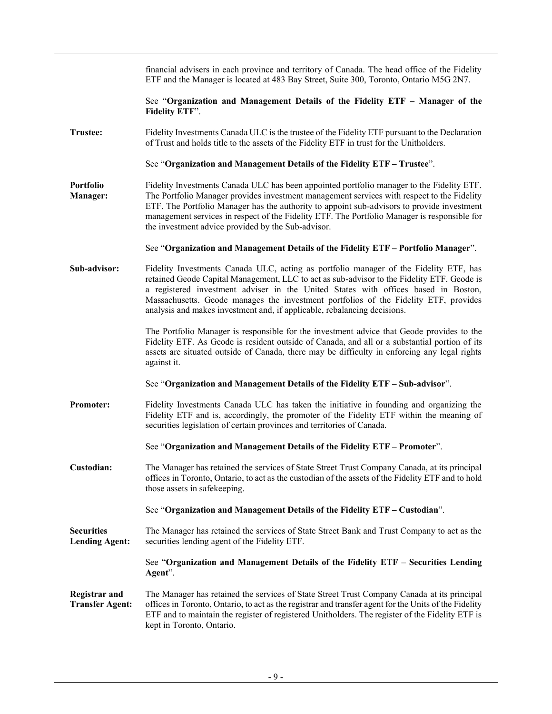|                                                | financial advisers in each province and territory of Canada. The head office of the Fidelity<br>ETF and the Manager is located at 483 Bay Street, Suite 300, Toronto, Ontario M5G 2N7.                                                                                                                                                                                                                                                        |
|------------------------------------------------|-----------------------------------------------------------------------------------------------------------------------------------------------------------------------------------------------------------------------------------------------------------------------------------------------------------------------------------------------------------------------------------------------------------------------------------------------|
|                                                | See "Organization and Management Details of the Fidelity ETF – Manager of the<br><b>Fidelity ETF".</b>                                                                                                                                                                                                                                                                                                                                        |
| <b>Trustee:</b>                                | Fidelity Investments Canada ULC is the trustee of the Fidelity ETF pursuant to the Declaration<br>of Trust and holds title to the assets of the Fidelity ETF in trust for the Unitholders.                                                                                                                                                                                                                                                    |
|                                                | See "Organization and Management Details of the Fidelity ETF - Trustee".                                                                                                                                                                                                                                                                                                                                                                      |
| Portfolio<br>Manager:                          | Fidelity Investments Canada ULC has been appointed portfolio manager to the Fidelity ETF.<br>The Portfolio Manager provides investment management services with respect to the Fidelity<br>ETF. The Portfolio Manager has the authority to appoint sub-advisors to provide investment<br>management services in respect of the Fidelity ETF. The Portfolio Manager is responsible for<br>the investment advice provided by the Sub-advisor.   |
|                                                | See "Organization and Management Details of the Fidelity ETF – Portfolio Manager".                                                                                                                                                                                                                                                                                                                                                            |
| Sub-advisor:                                   | Fidelity Investments Canada ULC, acting as portfolio manager of the Fidelity ETF, has<br>retained Geode Capital Management, LLC to act as sub-advisor to the Fidelity ETF. Geode is<br>a registered investment adviser in the United States with offices based in Boston,<br>Massachusetts. Geode manages the investment portfolios of the Fidelity ETF, provides<br>analysis and makes investment and, if applicable, rebalancing decisions. |
|                                                | The Portfolio Manager is responsible for the investment advice that Geode provides to the<br>Fidelity ETF. As Geode is resident outside of Canada, and all or a substantial portion of its<br>assets are situated outside of Canada, there may be difficulty in enforcing any legal rights<br>against it.                                                                                                                                     |
|                                                | See "Organization and Management Details of the Fidelity ETF – Sub-advisor".                                                                                                                                                                                                                                                                                                                                                                  |
| <b>Promoter:</b>                               | Fidelity Investments Canada ULC has taken the initiative in founding and organizing the<br>Fidelity ETF and is, accordingly, the promoter of the Fidelity ETF within the meaning of<br>securities legislation of certain provinces and territories of Canada.                                                                                                                                                                                 |
|                                                | See "Organization and Management Details of the Fidelity ETF - Promoter".                                                                                                                                                                                                                                                                                                                                                                     |
| Custodian:                                     | The Manager has retained the services of State Street Trust Company Canada, at its principal<br>offices in Toronto, Ontario, to act as the custodian of the assets of the Fidelity ETF and to hold<br>those assets in safekeeping.                                                                                                                                                                                                            |
|                                                | See "Organization and Management Details of the Fidelity ETF – Custodian".                                                                                                                                                                                                                                                                                                                                                                    |
| <b>Securities</b><br><b>Lending Agent:</b>     | The Manager has retained the services of State Street Bank and Trust Company to act as the<br>securities lending agent of the Fidelity ETF.                                                                                                                                                                                                                                                                                                   |
|                                                | See "Organization and Management Details of the Fidelity ETF – Securities Lending<br>Agent".                                                                                                                                                                                                                                                                                                                                                  |
| <b>Registrar and</b><br><b>Transfer Agent:</b> | The Manager has retained the services of State Street Trust Company Canada at its principal<br>offices in Toronto, Ontario, to act as the registrar and transfer agent for the Units of the Fidelity<br>ETF and to maintain the register of registered Unitholders. The register of the Fidelity ETF is<br>kept in Toronto, Ontario.                                                                                                          |
|                                                |                                                                                                                                                                                                                                                                                                                                                                                                                                               |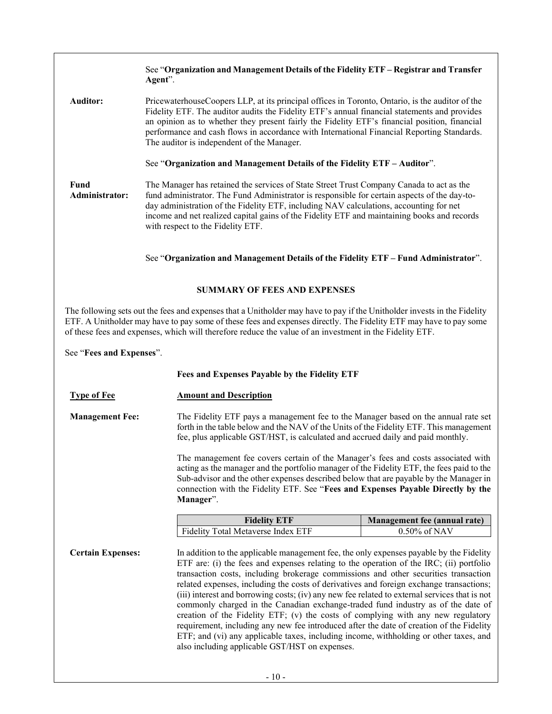See "**[Organization and Management Details of the Fidelity ETF](#page-43-0) – [Registrar and Transfer](#page-50-3)  [Agent](#page-50-3)**". **Auditor:** PricewaterhouseCoopers LLP, at its principal offices in Toronto, Ontario, is the auditor of the Fidelity ETF. The auditor audits the Fidelity ETF's annual financial statements and provides an opinion as to whether they present fairly the Fidelity ETF's financial position, financial performance and cash flows in accordance with International Financial Reporting Standards. The auditor is independent of the Manager. See "**[Organization and Management Details of the Fidelity ETF](#page-43-0) – [Auditor](#page-50-4)**". **Fund Administrator:** The Manager has retained the services of State Street Trust Company Canada to act as the fund administrator. The Fund Administrator is responsible for certain aspects of the day-today administration of the Fidelity ETF, including NAV calculations, accounting for net income and net realized capital gains of the Fidelity ETF and maintaining books and records with respect to the Fidelity ETF. See "**[Organization and Management Details of the Fidelity ETF](#page-43-0) – [Fund Administrator](#page-51-2)**".

# **SUMMARY OF FEES AND EXPENSES**

<span id="page-12-0"></span>The following sets out the fees and expenses that a Unitholder may have to pay if the Unitholder invests in the Fidelity ETF. A Unitholder may have to pay some of these fees and expenses directly. The Fidelity ETF may have to pay some of these fees and expenses, which will therefore reduce the value of an investment in the Fidelity ETF.

See "**[Fees and Expenses](#page-19-0)**".

|                          | Fees and Expenses Payable by the Fidelity ETF                                                                                                                                                                                                                                                                                                                                                                                                                                                                                                                                                                                                                                                                                                                                                                                                                                        |                              |
|--------------------------|--------------------------------------------------------------------------------------------------------------------------------------------------------------------------------------------------------------------------------------------------------------------------------------------------------------------------------------------------------------------------------------------------------------------------------------------------------------------------------------------------------------------------------------------------------------------------------------------------------------------------------------------------------------------------------------------------------------------------------------------------------------------------------------------------------------------------------------------------------------------------------------|------------------------------|
| <b>Type of Fee</b>       | <b>Amount and Description</b>                                                                                                                                                                                                                                                                                                                                                                                                                                                                                                                                                                                                                                                                                                                                                                                                                                                        |                              |
| <b>Management Fee:</b>   | The Fidelity ETF pays a management fee to the Manager based on the annual rate set<br>forth in the table below and the NAV of the Units of the Fidelity ETF. This management<br>fee, plus applicable GST/HST, is calculated and accrued daily and paid monthly.                                                                                                                                                                                                                                                                                                                                                                                                                                                                                                                                                                                                                      |                              |
|                          | The management fee covers certain of the Manager's fees and costs associated with<br>acting as the manager and the portfolio manager of the Fidelity ETF, the fees paid to the<br>Sub-advisor and the other expenses described below that are payable by the Manager in<br>connection with the Fidelity ETF. See "Fees and Expenses Payable Directly by the<br>Manager".                                                                                                                                                                                                                                                                                                                                                                                                                                                                                                             |                              |
|                          | <b>Fidelity ETF</b>                                                                                                                                                                                                                                                                                                                                                                                                                                                                                                                                                                                                                                                                                                                                                                                                                                                                  | Management fee (annual rate) |
|                          | Fidelity Total Metaverse Index ETF                                                                                                                                                                                                                                                                                                                                                                                                                                                                                                                                                                                                                                                                                                                                                                                                                                                   | 0.50% of NAV                 |
| <b>Certain Expenses:</b> | In addition to the applicable management fee, the only expenses payable by the Fidelity<br>ETF are: (i) the fees and expenses relating to the operation of the IRC; (ii) portfolio<br>transaction costs, including brokerage commissions and other securities transaction<br>related expenses, including the costs of derivatives and foreign exchange transactions;<br>(iii) interest and borrowing costs; (iv) any new fee related to external services that is not<br>commonly charged in the Canadian exchange-traded fund industry as of the date of<br>creation of the Fidelity ETF; (v) the costs of complying with any new regulatory<br>requirement, including any new fee introduced after the date of creation of the Fidelity<br>ETF; and (vi) any applicable taxes, including income, withholding or other taxes, and<br>also including applicable GST/HST on expenses. |                              |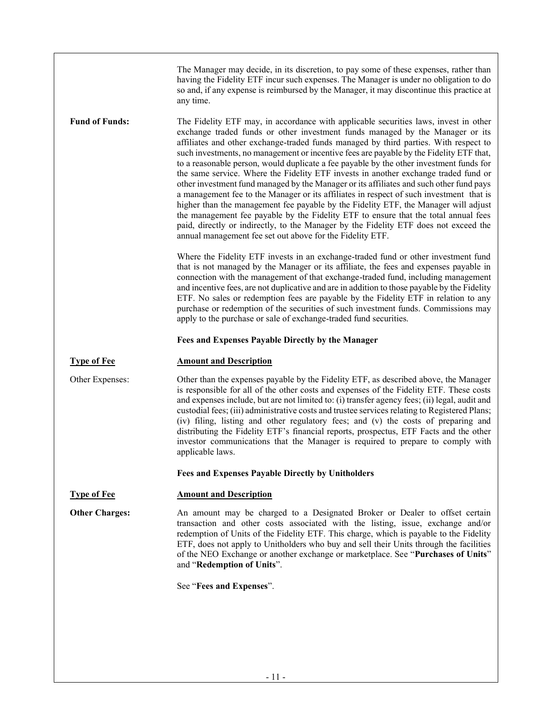|                       | The Manager may decide, in its discretion, to pay some of these expenses, rather than<br>having the Fidelity ETF incur such expenses. The Manager is under no obligation to do<br>so and, if any expense is reimbursed by the Manager, it may discontinue this practice at<br>any time.                                                                                                                                                                                                                                                                                                                                                                                                                                                                                                                                                                                                                                                                                                                                                                             |
|-----------------------|---------------------------------------------------------------------------------------------------------------------------------------------------------------------------------------------------------------------------------------------------------------------------------------------------------------------------------------------------------------------------------------------------------------------------------------------------------------------------------------------------------------------------------------------------------------------------------------------------------------------------------------------------------------------------------------------------------------------------------------------------------------------------------------------------------------------------------------------------------------------------------------------------------------------------------------------------------------------------------------------------------------------------------------------------------------------|
| <b>Fund of Funds:</b> | The Fidelity ETF may, in accordance with applicable securities laws, invest in other<br>exchange traded funds or other investment funds managed by the Manager or its<br>affiliates and other exchange-traded funds managed by third parties. With respect to<br>such investments, no management or incentive fees are payable by the Fidelity ETF that,<br>to a reasonable person, would duplicate a fee payable by the other investment funds for<br>the same service. Where the Fidelity ETF invests in another exchange traded fund or<br>other investment fund managed by the Manager or its affiliates and such other fund pays<br>a management fee to the Manager or its affiliates in respect of such investment that is<br>higher than the management fee payable by the Fidelity ETF, the Manager will adjust<br>the management fee payable by the Fidelity ETF to ensure that the total annual fees<br>paid, directly or indirectly, to the Manager by the Fidelity ETF does not exceed the<br>annual management fee set out above for the Fidelity ETF. |
|                       | Where the Fidelity ETF invests in an exchange-traded fund or other investment fund<br>that is not managed by the Manager or its affiliate, the fees and expenses payable in<br>connection with the management of that exchange-traded fund, including management<br>and incentive fees, are not duplicative and are in addition to those payable by the Fidelity<br>ETF. No sales or redemption fees are payable by the Fidelity ETF in relation to any<br>purchase or redemption of the securities of such investment funds. Commissions may<br>apply to the purchase or sale of exchange-traded fund securities.                                                                                                                                                                                                                                                                                                                                                                                                                                                  |
|                       | Fees and Expenses Payable Directly by the Manager                                                                                                                                                                                                                                                                                                                                                                                                                                                                                                                                                                                                                                                                                                                                                                                                                                                                                                                                                                                                                   |
| <b>Type of Fee</b>    | <b>Amount and Description</b>                                                                                                                                                                                                                                                                                                                                                                                                                                                                                                                                                                                                                                                                                                                                                                                                                                                                                                                                                                                                                                       |
|                       |                                                                                                                                                                                                                                                                                                                                                                                                                                                                                                                                                                                                                                                                                                                                                                                                                                                                                                                                                                                                                                                                     |
| Other Expenses:       | Other than the expenses payable by the Fidelity ETF, as described above, the Manager<br>is responsible for all of the other costs and expenses of the Fidelity ETF. These costs<br>and expenses include, but are not limited to: (i) transfer agency fees; (ii) legal, audit and<br>custodial fees; (iii) administrative costs and trustee services relating to Registered Plans;<br>(iv) filing, listing and other regulatory fees; and (v) the costs of preparing and<br>distributing the Fidelity ETF's financial reports, prospectus, ETF Facts and the other<br>investor communications that the Manager is required to prepare to comply with<br>applicable laws.                                                                                                                                                                                                                                                                                                                                                                                             |
|                       | <b>Fees and Expenses Payable Directly by Unitholders</b>                                                                                                                                                                                                                                                                                                                                                                                                                                                                                                                                                                                                                                                                                                                                                                                                                                                                                                                                                                                                            |
| <b>Type of Fee</b>    | <b>Amount and Description</b>                                                                                                                                                                                                                                                                                                                                                                                                                                                                                                                                                                                                                                                                                                                                                                                                                                                                                                                                                                                                                                       |
| <b>Other Charges:</b> | An amount may be charged to a Designated Broker or Dealer to offset certain<br>transaction and other costs associated with the listing, issue, exchange and/or<br>redemption of Units of the Fidelity ETF. This charge, which is payable to the Fidelity<br>ETF, does not apply to Unitholders who buy and sell their Units through the facilities<br>of the NEO Exchange or another exchange or marketplace. See "Purchases of Units"<br>and "Redemption of Units".                                                                                                                                                                                                                                                                                                                                                                                                                                                                                                                                                                                                |
|                       | See "Fees and Expenses".                                                                                                                                                                                                                                                                                                                                                                                                                                                                                                                                                                                                                                                                                                                                                                                                                                                                                                                                                                                                                                            |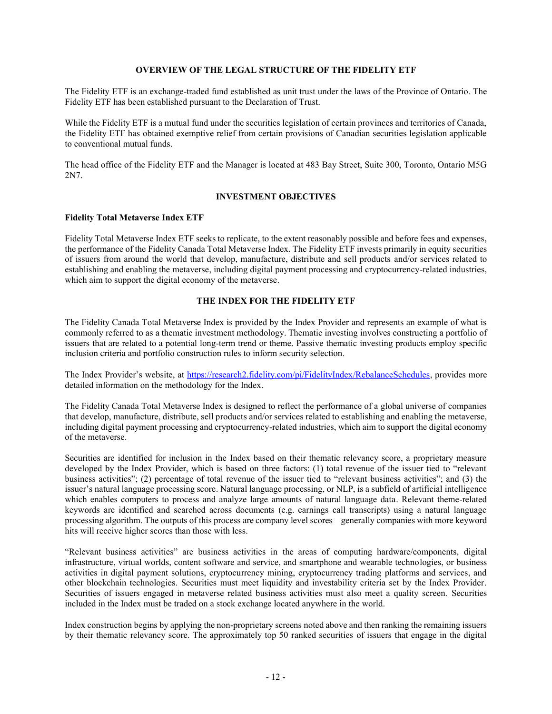# **OVERVIEW OF THE LEGAL STRUCTURE OF THE FIDELITY ETF**

<span id="page-14-1"></span>The Fidelity ETF is an exchange-traded fund established as unit trust under the laws of the Province of Ontario. The Fidelity ETF has been established pursuant to the Declaration of Trust.

While the Fidelity ETF is a mutual fund under the securities legislation of certain provinces and territories of Canada, the Fidelity ETF has obtained exemptive relief from certain provisions of Canadian securities legislation applicable to conventional mutual funds.

The head office of the Fidelity ETF and the Manager is located at 483 Bay Street, Suite 300, Toronto, Ontario M5G 2N7.

## **INVESTMENT OBJECTIVES**

#### <span id="page-14-0"></span>**Fidelity Total Metaverse Index ETF**

Fidelity Total Metaverse Index ETF seeks to replicate, to the extent reasonably possible and before fees and expenses, the performance of the Fidelity Canada Total Metaverse Index. The Fidelity ETF invests primarily in equity securities of issuers from around the world that develop, manufacture, distribute and sell products and/or services related to establishing and enabling the metaverse, including digital payment processing and cryptocurrency-related industries, which aim to support the digital economy of the metaverse.

## **THE INDEX FOR THE FIDELITY ETF**

<span id="page-14-2"></span>The Fidelity Canada Total Metaverse Index is provided by the Index Provider and represents an example of what is commonly referred to as a thematic investment methodology. Thematic investing involves constructing a portfolio of issuers that are related to a potential long-term trend or theme. Passive thematic investing products employ specific inclusion criteria and portfolio construction rules to inform security selection.

The Index Provider's website, at [https://research2.fidelity.com/pi/FidelityIndex/RebalanceSchedules,](https://research2.fidelity.com/pi/FidelityIndex/RebalanceSchedules) provides more detailed information on the methodology for the Index.

The Fidelity Canada Total Metaverse Index is designed to reflect the performance of a global universe of companies that develop, manufacture, distribute, sell products and/or services related to establishing and enabling the metaverse, including digital payment processing and cryptocurrency-related industries, which aim to support the digital economy of the metaverse.

Securities are identified for inclusion in the Index based on their thematic relevancy score, a proprietary measure developed by the Index Provider, which is based on three factors: (1) total revenue of the issuer tied to "relevant business activities"; (2) percentage of total revenue of the issuer tied to "relevant business activities"; and (3) the issuer's natural language processing score. Natural language processing, or NLP, is a subfield of artificial intelligence which enables computers to process and analyze large amounts of natural language data. Relevant theme-related keywords are identified and searched across documents (e.g. earnings call transcripts) using a natural language processing algorithm. The outputs of this process are company level scores – generally companies with more keyword hits will receive higher scores than those with less.

"Relevant business activities" are business activities in the areas of computing hardware/components, digital infrastructure, virtual worlds, content software and service, and smartphone and wearable technologies, or business activities in digital payment solutions, cryptocurrency mining, cryptocurrency trading platforms and services, and other blockchain technologies. Securities must meet liquidity and investability criteria set by the Index Provider. Securities of issuers engaged in metaverse related business activities must also meet a quality screen. Securities included in the Index must be traded on a stock exchange located anywhere in the world.

Index construction begins by applying the non-proprietary screens noted above and then ranking the remaining issuers by their thematic relevancy score. The approximately top 50 ranked securities of issuers that engage in the digital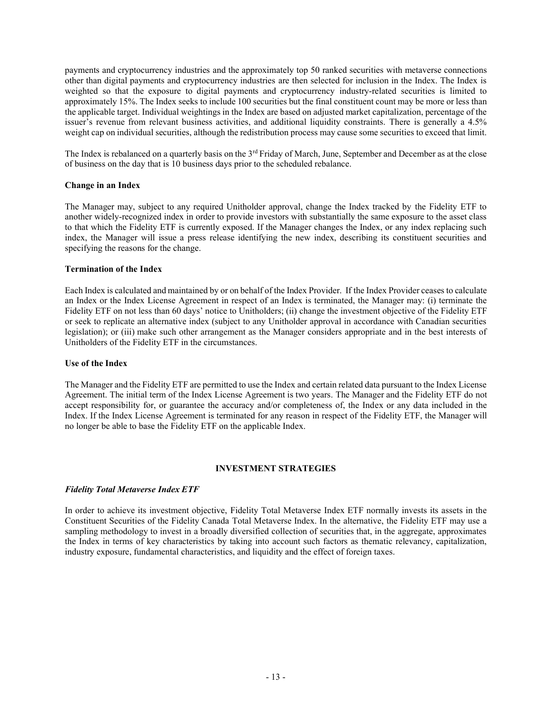payments and cryptocurrency industries and the approximately top 50 ranked securities with metaverse connections other than digital payments and cryptocurrency industries are then selected for inclusion in the Index. The Index is weighted so that the exposure to digital payments and cryptocurrency industry-related securities is limited to approximately 15%. The Index seeks to include 100 securities but the final constituent count may be more or less than the applicable target. Individual weightings in the Index are based on adjusted market capitalization, percentage of the issuer's revenue from relevant business activities, and additional liquidity constraints. There is generally a 4.5% weight cap on individual securities, although the redistribution process may cause some securities to exceed that limit.

The Index is rebalanced on a quarterly basis on the 3<sup>rd</sup> Friday of March, June, September and December as at the close of business on the day that is 10 business days prior to the scheduled rebalance.

#### **Change in an Index**

The Manager may, subject to any required Unitholder approval, change the Index tracked by the Fidelity ETF to another widely-recognized index in order to provide investors with substantially the same exposure to the asset class to that which the Fidelity ETF is currently exposed. If the Manager changes the Index, or any index replacing such index, the Manager will issue a press release identifying the new index, describing its constituent securities and specifying the reasons for the change.

#### **Termination of the Index**

Each Index is calculated and maintained by or on behalf of the Index Provider. If the Index Provider ceases to calculate an Index or the Index License Agreement in respect of an Index is terminated, the Manager may: (i) terminate the Fidelity ETF on not less than 60 days' notice to Unitholders; (ii) change the investment objective of the Fidelity ETF or seek to replicate an alternative index (subject to any Unitholder approval in accordance with Canadian securities legislation); or (iii) make such other arrangement as the Manager considers appropriate and in the best interests of Unitholders of the Fidelity ETF in the circumstances.

#### **Use of the Index**

The Manager and the Fidelity ETF are permitted to use the Index and certain related data pursuant to the Index License Agreement. The initial term of the Index License Agreement is two years. The Manager and the Fidelity ETF do not accept responsibility for, or guarantee the accuracy and/or completeness of, the Index or any data included in the Index. If the Index License Agreement is terminated for any reason in respect of the Fidelity ETF, the Manager will no longer be able to base the Fidelity ETF on the applicable Index.

## **INVESTMENT STRATEGIES**

## <span id="page-15-0"></span>*Fidelity Total Metaverse Index ETF*

In order to achieve its investment objective, Fidelity Total Metaverse Index ETF normally invests its assets in the Constituent Securities of the Fidelity Canada Total Metaverse Index. In the alternative, the Fidelity ETF may use a sampling methodology to invest in a broadly diversified collection of securities that, in the aggregate, approximates the Index in terms of key characteristics by taking into account such factors as thematic relevancy, capitalization, industry exposure, fundamental characteristics, and liquidity and the effect of foreign taxes.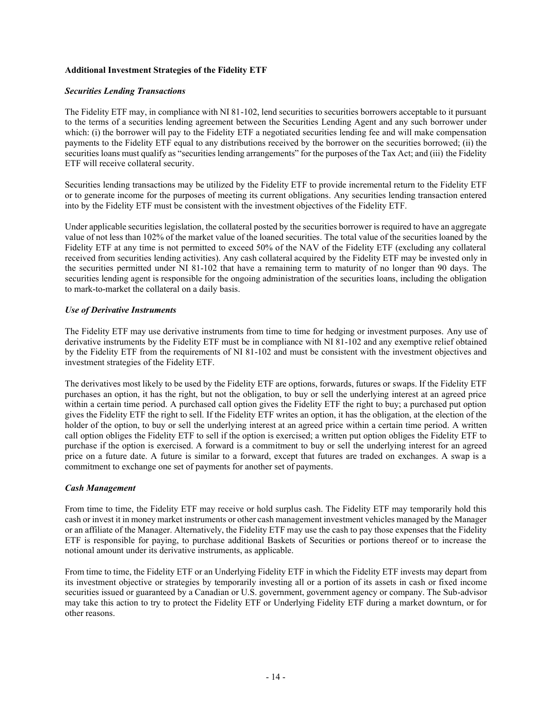## **Additional Investment Strategies of the Fidelity ETF**

## *Securities Lending Transactions*

The Fidelity ETF may, in compliance with NI 81-102, lend securities to securities borrowers acceptable to it pursuant to the terms of a securities lending agreement between the Securities Lending Agent and any such borrower under which: (i) the borrower will pay to the Fidelity ETF a negotiated securities lending fee and will make compensation payments to the Fidelity ETF equal to any distributions received by the borrower on the securities borrowed; (ii) the securities loans must qualify as "securities lending arrangements" for the purposes of the Tax Act; and (iii) the Fidelity ETF will receive collateral security.

Securities lending transactions may be utilized by the Fidelity ETF to provide incremental return to the Fidelity ETF or to generate income for the purposes of meeting its current obligations. Any securities lending transaction entered into by the Fidelity ETF must be consistent with the investment objectives of the Fidelity ETF.

Under applicable securities legislation, the collateral posted by the securities borrower is required to have an aggregate value of not less than 102% of the market value of the loaned securities. The total value of the securities loaned by the Fidelity ETF at any time is not permitted to exceed 50% of the NAV of the Fidelity ETF (excluding any collateral received from securities lending activities). Any cash collateral acquired by the Fidelity ETF may be invested only in the securities permitted under NI 81-102 that have a remaining term to maturity of no longer than 90 days. The securities lending agent is responsible for the ongoing administration of the securities loans, including the obligation to mark-to-market the collateral on a daily basis.

## *Use of Derivative Instruments*

The Fidelity ETF may use derivative instruments from time to time for hedging or investment purposes. Any use of derivative instruments by the Fidelity ETF must be in compliance with NI 81-102 and any exemptive relief obtained by the Fidelity ETF from the requirements of NI 81-102 and must be consistent with the investment objectives and investment strategies of the Fidelity ETF.

The derivatives most likely to be used by the Fidelity ETF are options, forwards, futures or swaps. If the Fidelity ETF purchases an option, it has the right, but not the obligation, to buy or sell the underlying interest at an agreed price within a certain time period. A purchased call option gives the Fidelity ETF the right to buy; a purchased put option gives the Fidelity ETF the right to sell. If the Fidelity ETF writes an option, it has the obligation, at the election of the holder of the option, to buy or sell the underlying interest at an agreed price within a certain time period. A written call option obliges the Fidelity ETF to sell if the option is exercised; a written put option obliges the Fidelity ETF to purchase if the option is exercised. A forward is a commitment to buy or sell the underlying interest for an agreed price on a future date. A future is similar to a forward, except that futures are traded on exchanges. A swap is a commitment to exchange one set of payments for another set of payments.

#### <span id="page-16-0"></span>*Cash Management*

From time to time, the Fidelity ETF may receive or hold surplus cash. The Fidelity ETF may temporarily hold this cash or invest it in money market instruments or other cash management investment vehicles managed by the Manager or an affiliate of the Manager. Alternatively, the Fidelity ETF may use the cash to pay those expenses that the Fidelity ETF is responsible for paying, to purchase additional Baskets of Securities or portions thereof or to increase the notional amount under its derivative instruments, as applicable.

From time to time, the Fidelity ETF or an Underlying Fidelity ETF in which the Fidelity ETF invests may depart from its investment objective or strategies by temporarily investing all or a portion of its assets in cash or fixed income securities issued or guaranteed by a Canadian or U.S. government, government agency or company. The Sub-advisor may take this action to try to protect the Fidelity ETF or Underlying Fidelity ETF during a market downturn, or for other reasons.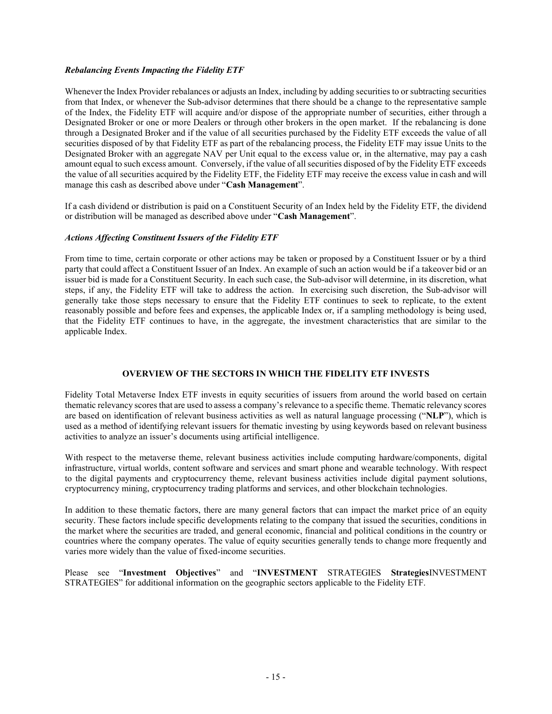## *Rebalancing Events Impacting the Fidelity ETF*

Whenever the Index Provider rebalances or adjusts an Index, including by adding securities to or subtracting securities from that Index, or whenever the Sub-advisor determines that there should be a change to the representative sample of the Index, the Fidelity ETF will acquire and/or dispose of the appropriate number of securities, either through a Designated Broker or one or more Dealers or through other brokers in the open market. If the rebalancing is done through a Designated Broker and if the value of all securities purchased by the Fidelity ETF exceeds the value of all securities disposed of by that Fidelity ETF as part of the rebalancing process, the Fidelity ETF may issue Units to the Designated Broker with an aggregate NAV per Unit equal to the excess value or, in the alternative, may pay a cash amount equal to such excess amount. Conversely, if the value of all securities disposed of by the Fidelity ETF exceeds the value of all securities acquired by the Fidelity ETF, the Fidelity ETF may receive the excess value in cash and will manage this cash as described above under "**[Cash Management](#page-16-0)**".

If a cash dividend or distribution is paid on a Constituent Security of an Index held by the Fidelity ETF, the dividend or distribution will be managed as described above under "**[Cash Management](#page-16-0)**".

## *Actions Affecting Constituent Issuers of the Fidelity ETF*

From time to time, certain corporate or other actions may be taken or proposed by a Constituent Issuer or by a third party that could affect a Constituent Issuer of an Index. An example of such an action would be if a takeover bid or an issuer bid is made for a Constituent Security. In each such case, the Sub-advisor will determine, in its discretion, what steps, if any, the Fidelity ETF will take to address the action. In exercising such discretion, the Sub-advisor will generally take those steps necessary to ensure that the Fidelity ETF continues to seek to replicate, to the extent reasonably possible and before fees and expenses, the applicable Index or, if a sampling methodology is being used, that the Fidelity ETF continues to have, in the aggregate, the investment characteristics that are similar to the applicable Index.

## **OVERVIEW OF THE SECTORS IN WHICH THE FIDELITY ETF INVESTS**

<span id="page-17-0"></span>Fidelity Total Metaverse Index ETF invests in equity securities of issuers from around the world based on certain thematic relevancy scores that are used to assess a company's relevance to a specific theme. Thematic relevancy scores are based on identification of relevant business activities as well as natural language processing ("**NLP**"), which is used as a method of identifying relevant issuers for thematic investing by using keywords based on relevant business activities to analyze an issuer's documents using artificial intelligence.

With respect to the metaverse theme, relevant business activities include computing hardware/components, digital infrastructure, virtual worlds, content software and services and smart phone and wearable technology. With respect to the digital payments and cryptocurrency theme, relevant business activities include digital payment solutions, cryptocurrency mining, cryptocurrency trading platforms and services, and other blockchain technologies.

In addition to these thematic factors, there are many general factors that can impact the market price of an equity security. These factors include specific developments relating to the company that issued the securities, conditions in the market where the securities are traded, and general economic, financial and political conditions in the country or countries where the company operates. The value of equity securities generally tends to change more frequently and varies more widely than the value of fixed-income securities.

Please see "**[Investment Objectives](#page-14-0)**" and "**[INVESTMENT](#page-15-0)** STRATEGIES **Strategies**[INVESTMENT](#page-15-0)  [STRATEGIES"](#page-15-0) for additional information on the geographic sectors applicable to the Fidelity ETF.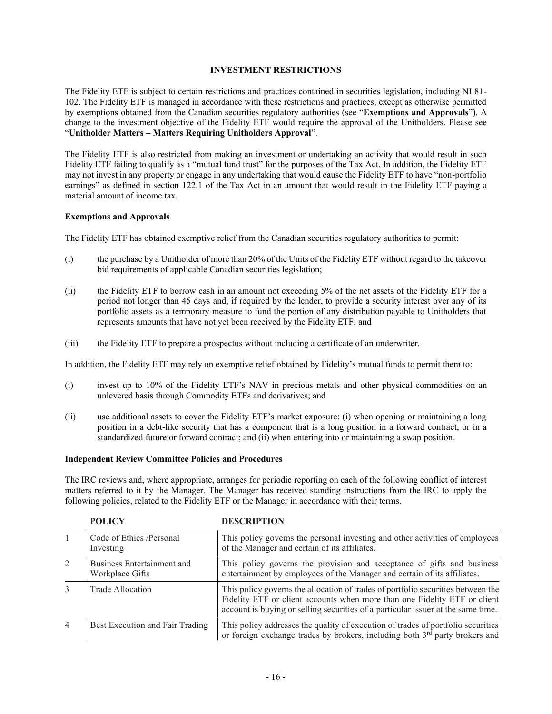## **INVESTMENT RESTRICTIONS**

<span id="page-18-0"></span>The Fidelity ETF is subject to certain restrictions and practices contained in securities legislation, including NI 81- 102. The Fidelity ETF is managed in accordance with these restrictions and practices, except as otherwise permitted by exemptions obtained from the Canadian securities regulatory authorities (see "**[Exemptions and A](#page-18-1)pprovals**"). A change to the investment objective of the Fidelity ETF would require the approval of the Unitholders. Please see "**[Unitholder Matters](#page-53-1) – [Matters Requiring Unitholders Approval](#page-54-0)**".

The Fidelity ETF is also restricted from making an investment or undertaking an activity that would result in such Fidelity ETF failing to qualify as a "mutual fund trust" for the purposes of the Tax Act. In addition, the Fidelity ETF may not invest in any property or engage in any undertaking that would cause the Fidelity ETF to have "non-portfolio earnings" as defined in section 122.1 of the Tax Act in an amount that would result in the Fidelity ETF paying a material amount of income tax.

#### <span id="page-18-1"></span>**Exemptions and Approvals**

The Fidelity ETF has obtained exemptive relief from the Canadian securities regulatory authorities to permit:

- (i) the purchase by a Unitholder of more than 20% of the Units of the Fidelity ETF without regard to the takeover bid requirements of applicable Canadian securities legislation;
- (ii) the Fidelity ETF to borrow cash in an amount not exceeding 5% of the net assets of the Fidelity ETF for a period not longer than 45 days and, if required by the lender, to provide a security interest over any of its portfolio assets as a temporary measure to fund the portion of any distribution payable to Unitholders that represents amounts that have not yet been received by the Fidelity ETF; and
- (iii) the Fidelity ETF to prepare a prospectus without including a certificate of an underwriter.

In addition, the Fidelity ETF may rely on exemptive relief obtained by Fidelity's mutual funds to permit them to:

- (i) invest up to 10% of the Fidelity ETF's NAV in precious metals and other physical commodities on an unlevered basis through Commodity ETFs and derivatives; and
- (ii) use additional assets to cover the Fidelity ETF's market exposure: (i) when opening or maintaining a long position in a debt-like security that has a component that is a long position in a forward contract, or in a standardized future or forward contract; and (ii) when entering into or maintaining a swap position.

## **Independent Review Committee Policies and Procedures**

The IRC reviews and, where appropriate, arranges for periodic reporting on each of the following conflict of interest matters referred to it by the Manager. The Manager has received standing instructions from the IRC to apply the following policies, related to the Fidelity ETF or the Manager in accordance with their terms.

|                | <b>POLICY</b>                                 | <b>DESCRIPTION</b>                                                                                                                                                                                                                                |
|----------------|-----------------------------------------------|---------------------------------------------------------------------------------------------------------------------------------------------------------------------------------------------------------------------------------------------------|
|                | Code of Ethics /Personal<br>Investing         | This policy governs the personal investing and other activities of employees<br>of the Manager and certain of its affiliates.                                                                                                                     |
| 2              | Business Entertainment and<br>Workplace Gifts | This policy governs the provision and acceptance of gifts and business<br>entertainment by employees of the Manager and certain of its affiliates.                                                                                                |
|                | Trade Allocation                              | This policy governs the allocation of trades of portfolio securities between the<br>Fidelity ETF or client accounts when more than one Fidelity ETF or client<br>account is buying or selling securities of a particular issuer at the same time. |
| $\overline{4}$ | Best Execution and Fair Trading               | This policy addresses the quality of execution of trades of portfolio securities<br>or foreign exchange trades by brokers, including both 3 <sup>rd</sup> party brokers and                                                                       |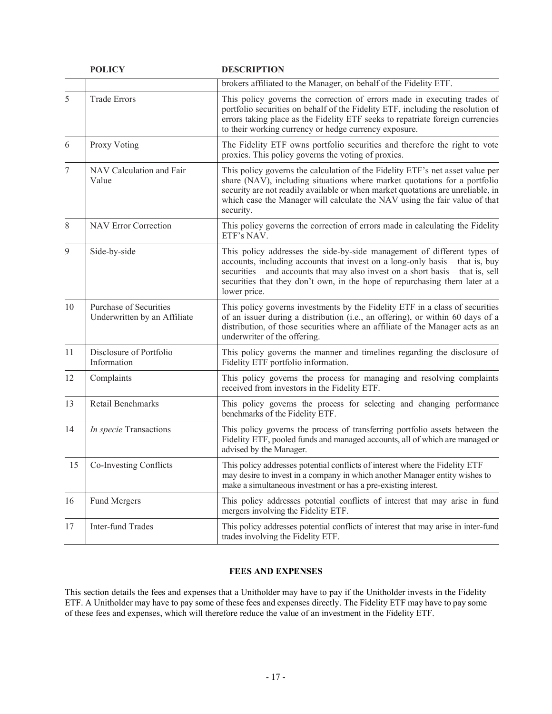|    | <b>POLICY</b>                                                 | <b>DESCRIPTION</b>                                                                                                                                                                                                                                                                                                                        |
|----|---------------------------------------------------------------|-------------------------------------------------------------------------------------------------------------------------------------------------------------------------------------------------------------------------------------------------------------------------------------------------------------------------------------------|
|    |                                                               | brokers affiliated to the Manager, on behalf of the Fidelity ETF.                                                                                                                                                                                                                                                                         |
| 5  | <b>Trade Errors</b>                                           | This policy governs the correction of errors made in executing trades of<br>portfolio securities on behalf of the Fidelity ETF, including the resolution of<br>errors taking place as the Fidelity ETF seeks to repatriate foreign currencies<br>to their working currency or hedge currency exposure.                                    |
| 6  | Proxy Voting                                                  | The Fidelity ETF owns portfolio securities and therefore the right to vote<br>proxies. This policy governs the voting of proxies.                                                                                                                                                                                                         |
| 7  | NAV Calculation and Fair<br>Value                             | This policy governs the calculation of the Fidelity ETF's net asset value per<br>share (NAV), including situations where market quotations for a portfolio<br>security are not readily available or when market quotations are unreliable, in<br>which case the Manager will calculate the NAV using the fair value of that<br>security.  |
| 8  | <b>NAV Error Correction</b>                                   | This policy governs the correction of errors made in calculating the Fidelity<br>ETF's NAV.                                                                                                                                                                                                                                               |
| 9  | Side-by-side                                                  | This policy addresses the side-by-side management of different types of<br>accounts, including accounts that invest on a long-only basis – that is, buy<br>securities – and accounts that may also invest on a short basis – that is, sell<br>securities that they don't own, in the hope of repurchasing them later at a<br>lower price. |
| 10 | <b>Purchase of Securities</b><br>Underwritten by an Affiliate | This policy governs investments by the Fidelity ETF in a class of securities<br>of an issuer during a distribution (i.e., an offering), or within 60 days of a<br>distribution, of those securities where an affiliate of the Manager acts as an<br>underwriter of the offering.                                                          |
| 11 | Disclosure of Portfolio<br>Information                        | This policy governs the manner and timelines regarding the disclosure of<br>Fidelity ETF portfolio information.                                                                                                                                                                                                                           |
| 12 | Complaints                                                    | This policy governs the process for managing and resolving complaints<br>received from investors in the Fidelity ETF.                                                                                                                                                                                                                     |
| 13 | Retail Benchmarks                                             | This policy governs the process for selecting and changing performance<br>benchmarks of the Fidelity ETF.                                                                                                                                                                                                                                 |
| 14 | In specie Transactions                                        | This policy governs the process of transferring portfolio assets between the<br>Fidelity ETF, pooled funds and managed accounts, all of which are managed or<br>advised by the Manager.                                                                                                                                                   |
| 15 | Co-Investing Conflicts                                        | This policy addresses potential conflicts of interest where the Fidelity ETF<br>may desire to invest in a company in which another Manager entity wishes to<br>make a simultaneous investment or has a pre-existing interest.                                                                                                             |
| 16 | <b>Fund Mergers</b>                                           | This policy addresses potential conflicts of interest that may arise in fund<br>mergers involving the Fidelity ETF.                                                                                                                                                                                                                       |
| 17 | Inter-fund Trades                                             | This policy addresses potential conflicts of interest that may arise in inter-fund<br>trades involving the Fidelity ETF.                                                                                                                                                                                                                  |

# **FEES AND EXPENSES**

<span id="page-19-0"></span>This section details the fees and expenses that a Unitholder may have to pay if the Unitholder invests in the Fidelity ETF. A Unitholder may have to pay some of these fees and expenses directly. The Fidelity ETF may have to pay some of these fees and expenses, which will therefore reduce the value of an investment in the Fidelity ETF.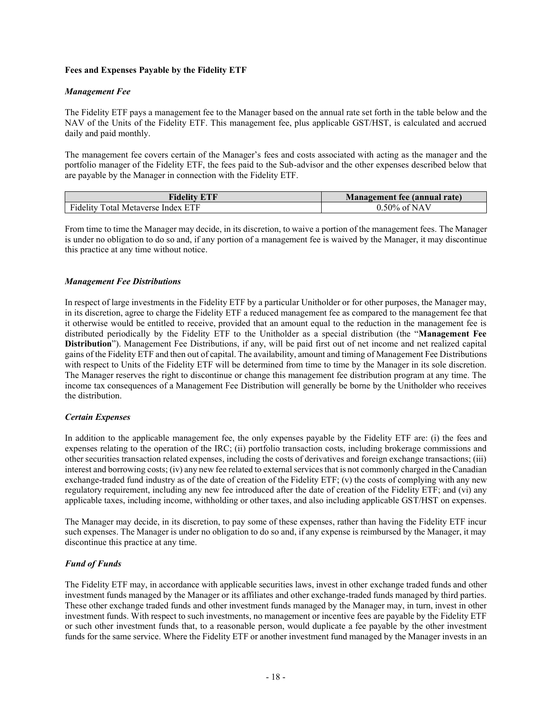# **Fees and Expenses Payable by the Fidelity ETF**

## <span id="page-20-0"></span>*Management Fee*

The Fidelity ETF pays a management fee to the Manager based on the annual rate set forth in the table below and the NAV of the Units of the Fidelity ETF. This management fee, plus applicable GST/HST, is calculated and accrued daily and paid monthly.

The management fee covers certain of the Manager's fees and costs associated with acting as the manager and the portfolio manager of the Fidelity ETF, the fees paid to the Sub-advisor and the other expenses described below that are payable by the Manager in connection with the Fidelity ETF.

| <b>ETF</b><br><b>Fidelity</b>                         | Management fee (annual rate) |
|-------------------------------------------------------|------------------------------|
| <sup>1</sup> Metaverse Index ETF<br>Total<br>Fidelity | $0.50\%$ of NAV              |

From time to time the Manager may decide, in its discretion, to waive a portion of the management fees. The Manager is under no obligation to do so and, if any portion of a management fee is waived by the Manager, it may discontinue this practice at any time without notice.

# *Management Fee Distributions*

In respect of large investments in the Fidelity ETF by a particular Unitholder or for other purposes, the Manager may, in its discretion, agree to charge the Fidelity ETF a reduced management fee as compared to the management fee that it otherwise would be entitled to receive, provided that an amount equal to the reduction in the management fee is distributed periodically by the Fidelity ETF to the Unitholder as a special distribution (the "**Management Fee Distribution**"). Management Fee Distributions, if any, will be paid first out of net income and net realized capital gains of theFidelity ETF and then out of capital. The availability, amount and timing of Management Fee Distributions with respect to Units of the Fidelity ETF will be determined from time to time by the Manager in its sole discretion. The Manager reserves the right to discontinue or change this management fee distribution program at any time. The income tax consequences of a Management Fee Distribution will generally be borne by the Unitholder who receives the distribution.

## *Certain Expenses*

In addition to the applicable management fee, the only expenses payable by the Fidelity ETF are: (i) the fees and expenses relating to the operation of the IRC; (ii) portfolio transaction costs, including brokerage commissions and other securities transaction related expenses, including the costs of derivatives and foreign exchange transactions; (iii) interest and borrowing costs; (iv) any new fee related to external services that is not commonly charged in the Canadian exchange-traded fund industry as of the date of creation of the Fidelity ETF; (v) the costs of complying with any new regulatory requirement, including any new fee introduced after the date of creation of the Fidelity ETF; and (vi) any applicable taxes, including income, withholding or other taxes, and also including applicable GST/HST on expenses.

The Manager may decide, in its discretion, to pay some of these expenses, rather than having the Fidelity ETF incur such expenses. The Manager is under no obligation to do so and, if any expense is reimbursed by the Manager, it may discontinue this practice at any time.

## *Fund of Funds*

The Fidelity ETF may, in accordance with applicable securities laws, invest in other exchange traded funds and other investment funds managed by the Manager or its affiliates and other exchange-traded funds managed by third parties. These other exchange traded funds and other investment funds managed by the Manager may, in turn, invest in other investment funds. With respect to such investments, no management or incentive fees are payable by the Fidelity ETF or such other investment funds that, to a reasonable person, would duplicate a fee payable by the other investment funds for the same service. Where the Fidelity ETF or another investment fund managed by the Manager invests in an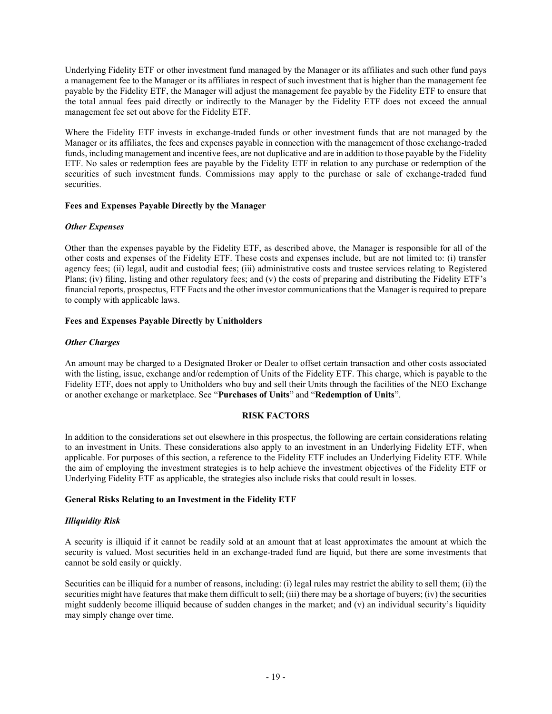Underlying Fidelity ETF or other investment fund managed by the Manager or its affiliates and such other fund pays a management fee to the Manager or its affiliates in respect of such investment that is higher than the management fee payable by the Fidelity ETF, the Manager will adjust the management fee payable by the Fidelity ETF to ensure that the total annual fees paid directly or indirectly to the Manager by the Fidelity ETF does not exceed the annual management fee set out above for the Fidelity ETF.

Where the Fidelity ETF invests in exchange-traded funds or other investment funds that are not managed by the Manager or its affiliates, the fees and expenses payable in connection with the management of those exchange-traded funds, including management and incentive fees, are not duplicative and are in addition to those payable by the Fidelity ETF. No sales or redemption fees are payable by the Fidelity ETF in relation to any purchase or redemption of the securities of such investment funds. Commissions may apply to the purchase or sale of exchange-traded fund securities.

# <span id="page-21-1"></span>**Fees and Expenses Payable Directly by the Manager**

# *Other Expenses*

Other than the expenses payable by the Fidelity ETF, as described above, the Manager is responsible for all of the other costs and expenses of the Fidelity ETF. These costs and expenses include, but are not limited to: (i) transfer agency fees; (ii) legal, audit and custodial fees; (iii) administrative costs and trustee services relating to Registered Plans; (iv) filing, listing and other regulatory fees; and (v) the costs of preparing and distributing the Fidelity ETF's financial reports, prospectus, ETF Facts and the other investor communications that the Manager is required to prepare to comply with applicable laws.

# **Fees and Expenses Payable Directly by Unitholders**

# *Other Charges*

An amount may be charged to a Designated Broker or Dealer to offset certain transaction and other costs associated with the listing, issue, exchange and/or redemption of Units of the Fidelity ETF. This charge, which is payable to the Fidelity ETF, does not apply to Unitholders who buy and sell their Units through the facilities of the NEO Exchange or another exchange or marketplace. See "**[Purchases of Units](#page-34-0)**" and "**[Redemption of Units](#page-36-0)**".

## **RISK FACTORS**

<span id="page-21-0"></span>In addition to the considerations set out elsewhere in this prospectus, the following are certain considerations relating to an investment in Units. These considerations also apply to an investment in an Underlying Fidelity ETF, when applicable. For purposes of this section, a reference to the Fidelity ETF includes an Underlying Fidelity ETF. While the aim of employing the investment strategies is to help achieve the investment objectives of the Fidelity ETF or Underlying Fidelity ETF as applicable, the strategies also include risks that could result in losses.

## **General Risks Relating to an Investment in the Fidelity ETF**

# *Illiquidity Risk*

A security is illiquid if it cannot be readily sold at an amount that at least approximates the amount at which the security is valued. Most securities held in an exchange-traded fund are liquid, but there are some investments that cannot be sold easily or quickly.

Securities can be illiquid for a number of reasons, including: (i) legal rules may restrict the ability to sell them; (ii) the securities might have features that make them difficult to sell; (iii) there may be a shortage of buyers; (iv) the securities might suddenly become illiquid because of sudden changes in the market; and (v) an individual security's liquidity may simply change over time.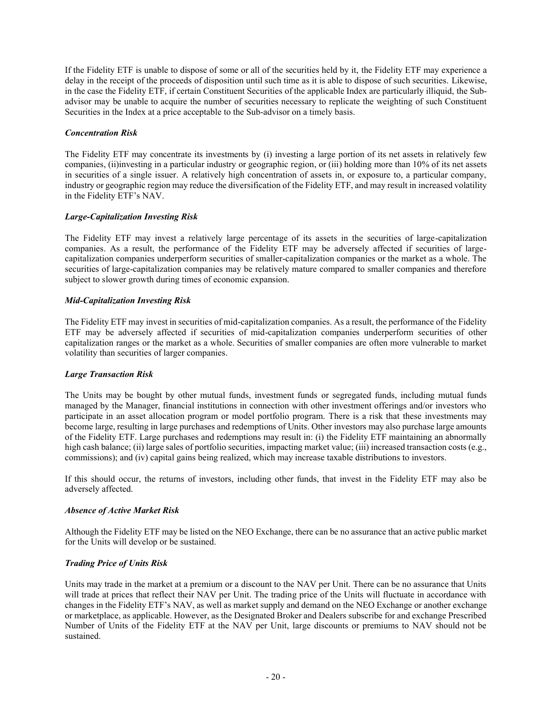If the Fidelity ETF is unable to dispose of some or all of the securities held by it, the Fidelity ETF may experience a delay in the receipt of the proceeds of disposition until such time as it is able to dispose of such securities. Likewise, in the case the Fidelity ETF, if certain Constituent Securities of the applicable Index are particularly illiquid, the Subadvisor may be unable to acquire the number of securities necessary to replicate the weighting of such Constituent Securities in the Index at a price acceptable to the Sub-advisor on a timely basis.

## *Concentration Risk*

The Fidelity ETF may concentrate its investments by (i) investing a large portion of its net assets in relatively few companies, (ii)investing in a particular industry or geographic region, or (iii) holding more than 10% of its net assets in securities of a single issuer. A relatively high concentration of assets in, or exposure to, a particular company, industry or geographic region may reduce the diversification of the Fidelity ETF, and may result in increased volatility in the Fidelity ETF's NAV.

## *Large-Capitalization Investing Risk*

The Fidelity ETF may invest a relatively large percentage of its assets in the securities of large-capitalization companies. As a result, the performance of the Fidelity ETF may be adversely affected if securities of largecapitalization companies underperform securities of smaller-capitalization companies or the market as a whole. The securities of large-capitalization companies may be relatively mature compared to smaller companies and therefore subject to slower growth during times of economic expansion.

#### *Mid-Capitalization Investing Risk*

The Fidelity ETF may invest in securities of mid-capitalization companies. As a result, the performance of the Fidelity ETF may be adversely affected if securities of mid-capitalization companies underperform securities of other capitalization ranges or the market as a whole. Securities of smaller companies are often more vulnerable to market volatility than securities of larger companies.

## *Large Transaction Risk*

The Units may be bought by other mutual funds, investment funds or segregated funds, including mutual funds managed by the Manager, financial institutions in connection with other investment offerings and/or investors who participate in an asset allocation program or model portfolio program. There is a risk that these investments may become large, resulting in large purchases and redemptions of Units. Other investors may also purchase large amounts of the Fidelity ETF. Large purchases and redemptions may result in: (i) the Fidelity ETF maintaining an abnormally high cash balance; (ii) large sales of portfolio securities, impacting market value; (iii) increased transaction costs (e.g., commissions); and (iv) capital gains being realized, which may increase taxable distributions to investors.

If this should occur, the returns of investors, including other funds, that invest in the Fidelity ETF may also be adversely affected.

#### *Absence of Active Market Risk*

Although the Fidelity ETF may be listed on the NEO Exchange, there can be no assurance that an active public market for the Units will develop or be sustained.

## *Trading Price of Units Risk*

Units may trade in the market at a premium or a discount to the NAV per Unit. There can be no assurance that Units will trade at prices that reflect their NAV per Unit. The trading price of the Units will fluctuate in accordance with changes in the Fidelity ETF's NAV, as well as market supply and demand on the NEO Exchange or another exchange or marketplace, as applicable. However, as the Designated Broker and Dealers subscribe for and exchange Prescribed Number of Units of the Fidelity ETF at the NAV per Unit, large discounts or premiums to NAV should not be sustained.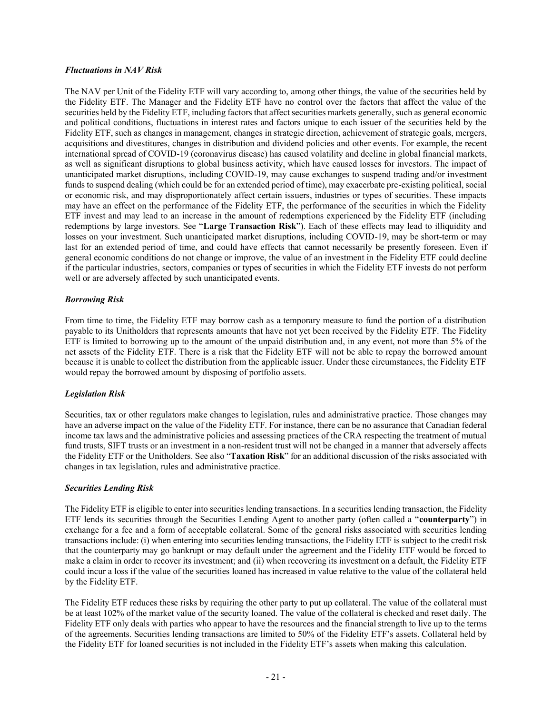#### *Fluctuations in NAV Risk*

The NAV per Unit of the Fidelity ETF will vary according to, among other things, the value of the securities held by the Fidelity ETF. The Manager and the Fidelity ETF have no control over the factors that affect the value of the securities held by the Fidelity ETF, including factors that affect securities markets generally, such as general economic and political conditions, fluctuations in interest rates and factors unique to each issuer of the securities held by the Fidelity ETF, such as changes in management, changes in strategic direction, achievement of strategic goals, mergers, acquisitions and divestitures, changes in distribution and dividend policies and other events. For example, the recent international spread of COVID-19 (coronavirus disease) has caused volatility and decline in global financial markets, as well as significant disruptions to global business activity, which have caused losses for investors. The impact of unanticipated market disruptions, including COVID-19, may cause exchanges to suspend trading and/or investment funds to suspend dealing (which could be for an extended period of time), may exacerbate pre-existing political, social or economic risk, and may disproportionately affect certain issuers, industries or types of securities. These impacts may have an effect on the performance of the Fidelity ETF, the performance of the securities in which the Fidelity ETF invest and may lead to an increase in the amount of redemptions experienced by the Fidelity ETF (including redemptions by large investors. See "**Large Transaction Risk**"). Each of these effects may lead to illiquidity and losses on your investment. Such unanticipated market disruptions, including COVID-19, may be short-term or may last for an extended period of time, and could have effects that cannot necessarily be presently foreseen. Even if general economic conditions do not change or improve, the value of an investment in the Fidelity ETF could decline if the particular industries, sectors, companies or types of securities in which the Fidelity ETF invests do not perform well or are adversely affected by such unanticipated events.

#### *Borrowing Risk*

From time to time, the Fidelity ETF may borrow cash as a temporary measure to fund the portion of a distribution payable to its Unitholders that represents amounts that have not yet been received by the Fidelity ETF. The Fidelity ETF is limited to borrowing up to the amount of the unpaid distribution and, in any event, not more than 5% of the net assets of the Fidelity ETF. There is a risk that the Fidelity ETF will not be able to repay the borrowed amount because it is unable to collect the distribution from the applicable issuer. Under these circumstances, the Fidelity ETF would repay the borrowed amount by disposing of portfolio assets.

## *Legislation Risk*

Securities, tax or other regulators make changes to legislation, rules and administrative practice. Those changes may have an adverse impact on the value of the Fidelity ETF. For instance, there can be no assurance that Canadian federal income tax laws and the administrative policies and assessing practices of the CRA respecting the treatment of mutual fund trusts, SIFT trusts or an investment in a non-resident trust will not be changed in a manner that adversely affects the Fidelity ETF or the Unitholders. See also "**Taxation Risk**" for an additional discussion of the risks associated with changes in tax legislation, rules and administrative practice.

## *Securities Lending Risk*

The Fidelity ETF is eligible to enter into securities lending transactions. In a securities lending transaction, the Fidelity ETF lends its securities through the Securities Lending Agent to another party (often called a "**counterparty**") in exchange for a fee and a form of acceptable collateral. Some of the general risks associated with securities lending transactions include: (i) when entering into securities lending transactions, theFidelity ETF is subject to the credit risk that the counterparty may go bankrupt or may default under the agreement and the Fidelity ETF would be forced to make a claim in order to recover its investment; and (ii) when recovering its investment on a default, the Fidelity ETF could incur a loss if the value of the securities loaned has increased in value relative to the value of the collateral held by the Fidelity ETF.

The Fidelity ETF reduces these risks by requiring the other party to put up collateral. The value of the collateral must be at least 102% of the market value of the security loaned. The value of the collateral is checked and reset daily. The Fidelity ETF only deals with parties who appear to have the resources and the financial strength to live up to the terms of the agreements. Securities lending transactions are limited to 50% of the Fidelity ETF's assets. Collateral held by the Fidelity ETF for loaned securities is not included in the Fidelity ETF's assets when making this calculation.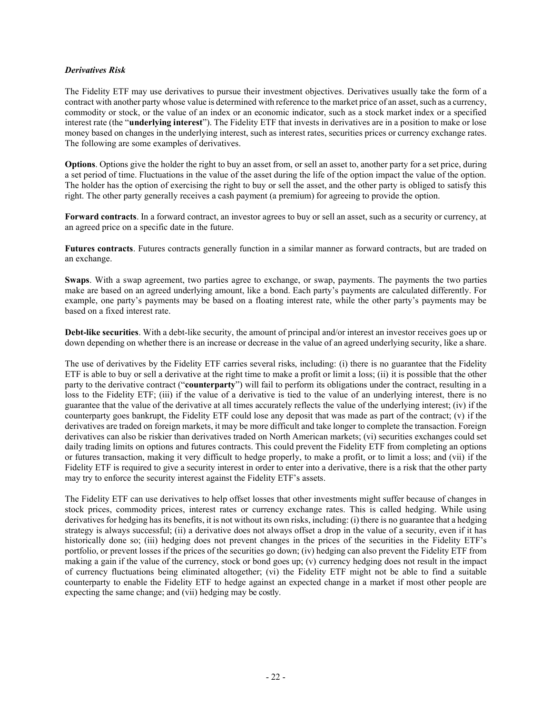## *Derivatives Risk*

The Fidelity ETF may use derivatives to pursue their investment objectives. Derivatives usually take the form of a contract with another party whose value is determined with reference to the market price of an asset, such as a currency, commodity or stock, or the value of an index or an economic indicator, such as a stock market index or a specified interest rate (the "**underlying interest**"). The Fidelity ETF that invests in derivatives are in a position to make or lose money based on changes in the underlying interest, such as interest rates, securities prices or currency exchange rates. The following are some examples of derivatives.

**Options**. Options give the holder the right to buy an asset from, or sell an asset to, another party for a set price, during a set period of time. Fluctuations in the value of the asset during the life of the option impact the value of the option. The holder has the option of exercising the right to buy or sell the asset, and the other party is obliged to satisfy this right. The other party generally receives a cash payment (a premium) for agreeing to provide the option.

**Forward contracts**. In a forward contract, an investor agrees to buy or sell an asset, such as a security or currency, at an agreed price on a specific date in the future.

**Futures contracts**. Futures contracts generally function in a similar manner as forward contracts, but are traded on an exchange.

**Swaps**. With a swap agreement, two parties agree to exchange, or swap, payments. The payments the two parties make are based on an agreed underlying amount, like a bond. Each party's payments are calculated differently. For example, one party's payments may be based on a floating interest rate, while the other party's payments may be based on a fixed interest rate.

**Debt-like securities**. With a debt-like security, the amount of principal and/or interest an investor receives goes up or down depending on whether there is an increase or decrease in the value of an agreed underlying security, like a share.

The use of derivatives by the Fidelity ETF carries several risks, including: (i) there is no guarantee that the Fidelity ETF is able to buy or sell a derivative at the right time to make a profit or limit a loss; (ii) it is possible that the other party to the derivative contract ("**counterparty**") will fail to perform its obligations under the contract, resulting in a loss to the Fidelity ETF; (iii) if the value of a derivative is tied to the value of an underlying interest, there is no guarantee that the value of the derivative at all times accurately reflects the value of the underlying interest; (iv) if the counterparty goes bankrupt, the Fidelity ETF could lose any deposit that was made as part of the contract; (v) if the derivatives are traded on foreign markets, it may be more difficult and take longer to complete the transaction. Foreign derivatives can also be riskier than derivatives traded on North American markets; (vi) securities exchanges could set daily trading limits on options and futures contracts. This could prevent the Fidelity ETF from completing an options or futures transaction, making it very difficult to hedge properly, to make a profit, or to limit a loss; and (vii) if the Fidelity ETF is required to give a security interest in order to enter into a derivative, there is a risk that the other party may try to enforce the security interest against the Fidelity ETF's assets.

The Fidelity ETF can use derivatives to help offset losses that other investments might suffer because of changes in stock prices, commodity prices, interest rates or currency exchange rates. This is called hedging. While using derivatives for hedging has its benefits, it is not without its own risks, including: (i) there is no guarantee that a hedging strategy is always successful; (ii) a derivative does not always offset a drop in the value of a security, even if it has historically done so; (iii) hedging does not prevent changes in the prices of the securities in the Fidelity ETF's portfolio, or prevent losses if the prices of the securities go down; (iv) hedging can also prevent the Fidelity ETF from making a gain if the value of the currency, stock or bond goes up; (v) currency hedging does not result in the impact of currency fluctuations being eliminated altogether; (vi) the Fidelity ETF might not be able to find a suitable counterparty to enable the Fidelity ETF to hedge against an expected change in a market if most other people are expecting the same change; and (vii) hedging may be costly.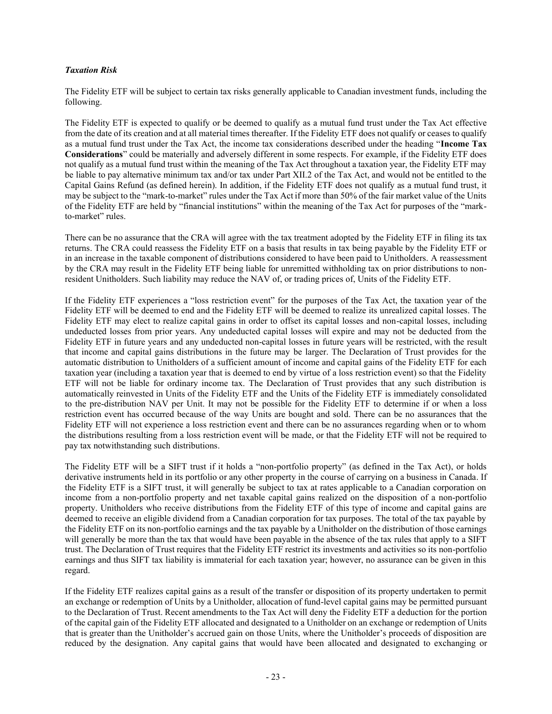## *Taxation Risk*

The Fidelity ETF will be subject to certain tax risks generally applicable to Canadian investment funds, including the following.

The Fidelity ETF is expected to qualify or be deemed to qualify as a mutual fund trust under the Tax Act effective from the date of its creation and at all material times thereafter. If the Fidelity ETF does not qualify or ceases to qualify as a mutual fund trust under the Tax Act, the income tax considerations described under the heading "**Income Tax Considerations**" could be materially and adversely different in some respects. For example, if the Fidelity ETF does not qualify as a mutual fund trust within the meaning of the Tax Act throughout a taxation year, the Fidelity ETF may be liable to pay alternative minimum tax and/or tax under Part XII.2 of the Tax Act, and would not be entitled to the Capital Gains Refund (as defined herein). In addition, if the Fidelity ETF does not qualify as a mutual fund trust, it may be subject to the "mark-to-market" rules under the Tax Act if more than 50% of the fair market value of the Units of the Fidelity ETF are held by "financial institutions" within the meaning of the Tax Act for purposes of the "markto-market" rules.

There can be no assurance that the CRA will agree with the tax treatment adopted by the Fidelity ETF in filing its tax returns. The CRA could reassess the Fidelity ETF on a basis that results in tax being payable by the Fidelity ETF or in an increase in the taxable component of distributions considered to have been paid to Unitholders. A reassessment by the CRA may result in the Fidelity ETF being liable for unremitted withholding tax on prior distributions to nonresident Unitholders. Such liability may reduce the NAV of, or trading prices of, Units of the Fidelity ETF.

If the Fidelity ETF experiences a "loss restriction event" for the purposes of the Tax Act, the taxation year of the Fidelity ETF will be deemed to end and the Fidelity ETF will be deemed to realize its unrealized capital losses. The Fidelity ETF may elect to realize capital gains in order to offset its capital losses and non-capital losses, including undeducted losses from prior years. Any undeducted capital losses will expire and may not be deducted from the Fidelity ETF in future years and any undeducted non-capital losses in future years will be restricted, with the result that income and capital gains distributions in the future may be larger. The Declaration of Trust provides for the automatic distribution to Unitholders of a sufficient amount of income and capital gains of the Fidelity ETF for each taxation year (including a taxation year that is deemed to end by virtue of a loss restriction event) so that the Fidelity ETF will not be liable for ordinary income tax. The Declaration of Trust provides that any such distribution is automatically reinvested in Units of the Fidelity ETF and the Units of the Fidelity ETF is immediately consolidated to the pre-distribution NAV per Unit. It may not be possible for the Fidelity ETF to determine if or when a loss restriction event has occurred because of the way Units are bought and sold. There can be no assurances that the Fidelity ETF will not experience a loss restriction event and there can be no assurances regarding when or to whom the distributions resulting from a loss restriction event will be made, or that the Fidelity ETF will not be required to pay tax notwithstanding such distributions.

The Fidelity ETF will be a SIFT trust if it holds a "non-portfolio property" (as defined in the Tax Act), or holds derivative instruments held in its portfolio or any other property in the course of carrying on a business in Canada. If the Fidelity ETF is a SIFT trust, it will generally be subject to tax at rates applicable to a Canadian corporation on income from a non-portfolio property and net taxable capital gains realized on the disposition of a non-portfolio property. Unitholders who receive distributions from the Fidelity ETF of this type of income and capital gains are deemed to receive an eligible dividend from a Canadian corporation for tax purposes. The total of the tax payable by the Fidelity ETF on its non-portfolio earnings and the tax payable by a Unitholder on the distribution of those earnings will generally be more than the tax that would have been payable in the absence of the tax rules that apply to a SIFT trust. The Declaration of Trust requires that the Fidelity ETF restrict its investments and activities so its non-portfolio earnings and thus SIFT tax liability is immaterial for each taxation year; however, no assurance can be given in this regard.

If the Fidelity ETF realizes capital gains as a result of the transfer or disposition of its property undertaken to permit an exchange or redemption of Units by a Unitholder, allocation of fund-level capital gains may be permitted pursuant to the Declaration of Trust. Recent amendments to the Tax Act will deny the Fidelity ETF a deduction for the portion of the capital gain of the Fidelity ETF allocated and designated to a Unitholder on an exchange or redemption of Units that is greater than the Unitholder's accrued gain on those Units, where the Unitholder's proceeds of disposition are reduced by the designation. Any capital gains that would have been allocated and designated to exchanging or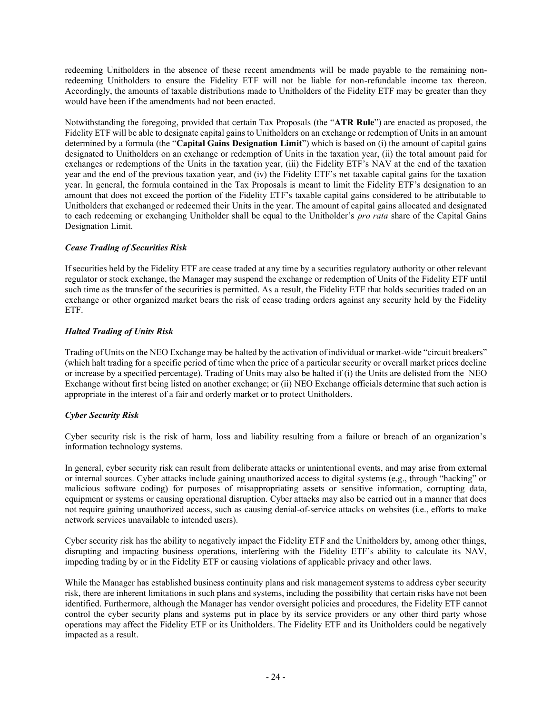redeeming Unitholders in the absence of these recent amendments will be made payable to the remaining nonredeeming Unitholders to ensure the Fidelity ETF will not be liable for non-refundable income tax thereon. Accordingly, the amounts of taxable distributions made to Unitholders of the Fidelity ETF may be greater than they would have been if the amendments had not been enacted.

Notwithstanding the foregoing, provided that certain Tax Proposals (the "**ATR Rule**") are enacted as proposed, the Fidelity ETF will be able to designate capital gains to Unitholders on an exchange or redemption of Units in an amount determined by a formula (the "**Capital Gains Designation Limit**") which is based on (i) the amount of capital gains designated to Unitholders on an exchange or redemption of Units in the taxation year, (ii) the total amount paid for exchanges or redemptions of the Units in the taxation year, (iii) the Fidelity ETF's NAV at the end of the taxation year and the end of the previous taxation year, and (iv) the Fidelity ETF's net taxable capital gains for the taxation year. In general, the formula contained in the Tax Proposals is meant to limit the Fidelity ETF's designation to an amount that does not exceed the portion of the Fidelity ETF's taxable capital gains considered to be attributable to Unitholders that exchanged or redeemed their Units in the year. The amount of capital gains allocated and designated to each redeeming or exchanging Unitholder shall be equal to the Unitholder's *pro rata* share of the Capital Gains Designation Limit.

# *Cease Trading of Securities Risk*

If securities held by the Fidelity ETF are cease traded at any time by a securities regulatory authority or other relevant regulator or stock exchange, the Manager may suspend the exchange or redemption of Units of the Fidelity ETF until such time as the transfer of the securities is permitted. As a result, the Fidelity ETF that holds securities traded on an exchange or other organized market bears the risk of cease trading orders against any security held by the Fidelity ETF.

# *Halted Trading of Units Risk*

Trading of Units on the NEO Exchange may be halted by the activation of individual or market-wide "circuit breakers" (which halt trading for a specific period of time when the price of a particular security or overall market prices decline or increase by a specified percentage). Trading of Units may also be halted if (i) the Units are delisted from the NEO Exchange without first being listed on another exchange; or (ii) NEO Exchange officials determine that such action is appropriate in the interest of a fair and orderly market or to protect Unitholders.

# *Cyber Security Risk*

Cyber security risk is the risk of harm, loss and liability resulting from a failure or breach of an organization's information technology systems.

In general, cyber security risk can result from deliberate attacks or unintentional events, and may arise from external or internal sources. Cyber attacks include gaining unauthorized access to digital systems (e.g., through "hacking" or malicious software coding) for purposes of misappropriating assets or sensitive information, corrupting data, equipment or systems or causing operational disruption. Cyber attacks may also be carried out in a manner that does not require gaining unauthorized access, such as causing denial-of-service attacks on websites (i.e., efforts to make network services unavailable to intended users).

Cyber security risk has the ability to negatively impact the Fidelity ETF and the Unitholders by, among other things, disrupting and impacting business operations, interfering with the Fidelity ETF's ability to calculate its NAV, impeding trading by or in the Fidelity ETF or causing violations of applicable privacy and other laws.

While the Manager has established business continuity plans and risk management systems to address cyber security risk, there are inherent limitations in such plans and systems, including the possibility that certain risks have not been identified. Furthermore, although the Manager has vendor oversight policies and procedures, the Fidelity ETF cannot control the cyber security plans and systems put in place by its service providers or any other third party whose operations may affect the Fidelity ETF or its Unitholders. The Fidelity ETF and its Unitholders could be negatively impacted as a result.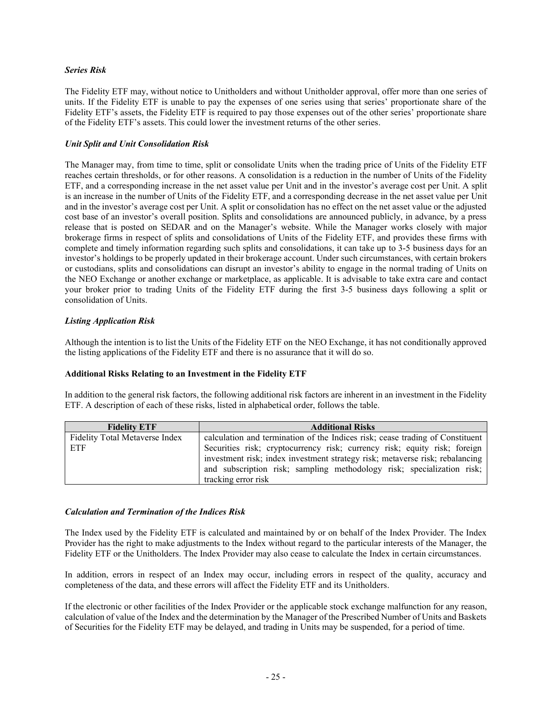# *Series Risk*

The Fidelity ETF may, without notice to Unitholders and without Unitholder approval, offer more than one series of units. If the Fidelity ETF is unable to pay the expenses of one series using that series' proportionate share of the Fidelity ETF's assets, the Fidelity ETF is required to pay those expenses out of the other series' proportionate share of the Fidelity ETF's assets. This could lower the investment returns of the other series.

## *Unit Split and Unit Consolidation Risk*

The Manager may, from time to time, split or consolidate Units when the trading price of Units of the Fidelity ETF reaches certain thresholds, or for other reasons. A consolidation is a reduction in the number of Units of the Fidelity ETF, and a corresponding increase in the net asset value per Unit and in the investor's average cost per Unit. A split is an increase in the number of Units of the Fidelity ETF, and a corresponding decrease in the net asset value per Unit and in the investor's average cost per Unit. A split or consolidation has no effect on the net asset value or the adjusted cost base of an investor's overall position. Splits and consolidations are announced publicly, in advance, by a press release that is posted on SEDAR and on the Manager's website. While the Manager works closely with major brokerage firms in respect of splits and consolidations of Units of the Fidelity ETF, and provides these firms with complete and timely information regarding such splits and consolidations, it can take up to 3-5 business days for an investor's holdings to be properly updated in their brokerage account. Under such circumstances, with certain brokers or custodians, splits and consolidations can disrupt an investor's ability to engage in the normal trading of Units on the NEO Exchange or another exchange or marketplace, as applicable. It is advisable to take extra care and contact your broker prior to trading Units of the Fidelity ETF during the first 3-5 business days following a split or consolidation of Units.

# *Listing Application Risk*

Although the intention is to list the Units of the Fidelity ETF on the NEO Exchange, it has not conditionally approved the listing applications of the Fidelity ETF and there is no assurance that it will do so.

## **Additional Risks Relating to an Investment in the Fidelity ETF**

In addition to the general risk factors, the following additional risk factors are inherent in an investment in the Fidelity ETF. A description of each of these risks, listed in alphabetical order, follows the table.

| <b>Fidelity ETF</b>                   | <b>Additional Risks</b>                                                                                                                                |
|---------------------------------------|--------------------------------------------------------------------------------------------------------------------------------------------------------|
| <b>Fidelity Total Metaverse Index</b> | calculation and termination of the Indices risk; cease trading of Constituent                                                                          |
| ETF                                   | Securities risk; cryptocurrency risk; currency risk; equity risk; foreign                                                                              |
|                                       | investment risk; index investment strategy risk; metaverse risk; rebalancing<br>and subscription risk; sampling methodology risk; specialization risk; |
|                                       | tracking error risk                                                                                                                                    |

## *Calculation and Termination of the Indices Risk*

The Index used by the Fidelity ETF is calculated and maintained by or on behalf of the Index Provider. The Index Provider has the right to make adjustments to the Index without regard to the particular interests of the Manager, the Fidelity ETF or the Unitholders. The Index Provider may also cease to calculate the Index in certain circumstances.

In addition, errors in respect of an Index may occur, including errors in respect of the quality, accuracy and completeness of the data, and these errors will affect the Fidelity ETF and its Unitholders.

If the electronic or other facilities of the Index Provider or the applicable stock exchange malfunction for any reason, calculation of value of the Index and the determination by the Manager of the Prescribed Number of Units and Baskets of Securities for the Fidelity ETF may be delayed, and trading in Units may be suspended, for a period of time.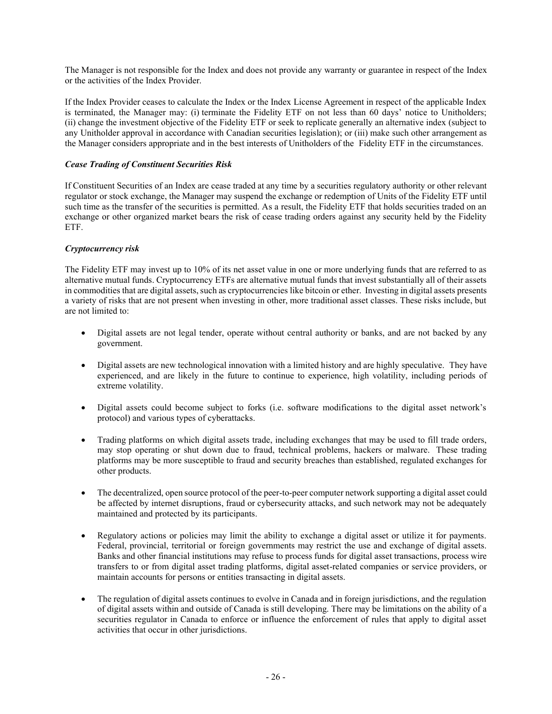The Manager is not responsible for the Index and does not provide any warranty or guarantee in respect of the Index or the activities of the Index Provider.

If the Index Provider ceases to calculate the Index or the Index License Agreement in respect of the applicable Index is terminated, the Manager may: (i) terminate the Fidelity ETF on not less than 60 days' notice to Unitholders; (ii) change the investment objective of the Fidelity ETF or seek to replicate generally an alternative index (subject to any Unitholder approval in accordance with Canadian securities legislation); or (iii) make such other arrangement as the Manager considers appropriate and in the best interests of Unitholders of the Fidelity ETF in the circumstances.

## *Cease Trading of Constituent Securities Risk*

If Constituent Securities of an Index are cease traded at any time by a securities regulatory authority or other relevant regulator or stock exchange, the Manager may suspend the exchange or redemption of Units of the Fidelity ETF until such time as the transfer of the securities is permitted. As a result, the Fidelity ETF that holds securities traded on an exchange or other organized market bears the risk of cease trading orders against any security held by the Fidelity ETF.

# *Cryptocurrency risk*

The Fidelity ETF may invest up to 10% of its net asset value in one or more underlying funds that are referred to as alternative mutual funds. Cryptocurrency ETFs are alternative mutual funds that invest substantially all of their assets in commodities that are digital assets, such as cryptocurrencies like bitcoin or ether. Investing in digital assets presents a variety of risks that are not present when investing in other, more traditional asset classes. These risks include, but are not limited to:

- Digital assets are not legal tender, operate without central authority or banks, and are not backed by any government.
- Digital assets are new technological innovation with a limited history and are highly speculative. They have experienced, and are likely in the future to continue to experience, high volatility, including periods of extreme volatility.
- Digital assets could become subject to forks (i.e. software modifications to the digital asset network's protocol) and various types of cyberattacks.
- Trading platforms on which digital assets trade, including exchanges that may be used to fill trade orders, may stop operating or shut down due to fraud, technical problems, hackers or malware. These trading platforms may be more susceptible to fraud and security breaches than established, regulated exchanges for other products.
- The decentralized, open source protocol of the peer-to-peer computer network supporting a digital asset could be affected by internet disruptions, fraud or cybersecurity attacks, and such network may not be adequately maintained and protected by its participants.
- Regulatory actions or policies may limit the ability to exchange a digital asset or utilize it for payments. Federal, provincial, territorial or foreign governments may restrict the use and exchange of digital assets. Banks and other financial institutions may refuse to process funds for digital asset transactions, process wire transfers to or from digital asset trading platforms, digital asset-related companies or service providers, or maintain accounts for persons or entities transacting in digital assets.
- The regulation of digital assets continues to evolve in Canada and in foreign jurisdictions, and the regulation of digital assets within and outside of Canada is still developing. There may be limitations on the ability of a securities regulator in Canada to enforce or influence the enforcement of rules that apply to digital asset activities that occur in other jurisdictions.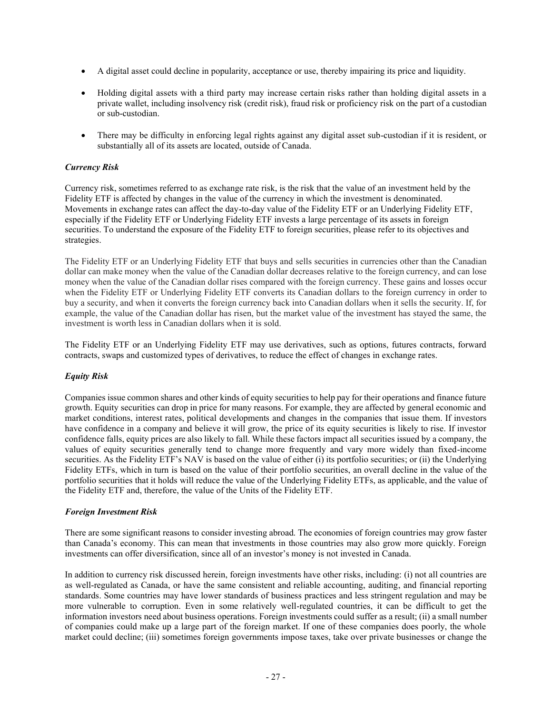- A digital asset could decline in popularity, acceptance or use, thereby impairing its price and liquidity.
- Holding digital assets with a third party may increase certain risks rather than holding digital assets in a private wallet, including insolvency risk (credit risk), fraud risk or proficiency risk on the part of a custodian or sub-custodian.
- There may be difficulty in enforcing legal rights against any digital asset sub-custodian if it is resident, or substantially all of its assets are located, outside of Canada.

# *Currency Risk*

Currency risk, sometimes referred to as exchange rate risk, is the risk that the value of an investment held by the Fidelity ETF is affected by changes in the value of the currency in which the investment is denominated. Movements in exchange rates can affect the day-to-day value of the Fidelity ETF or an Underlying Fidelity ETF, especially if the Fidelity ETF or Underlying Fidelity ETF invests a large percentage of its assets in foreign securities. To understand the exposure of the Fidelity ETF to foreign securities, please refer to its objectives and strategies.

The Fidelity ETF or an Underlying Fidelity ETF that buys and sells securities in currencies other than the Canadian dollar can make money when the value of the Canadian dollar decreases relative to the foreign currency, and can lose money when the value of the Canadian dollar rises compared with the foreign currency. These gains and losses occur when the Fidelity ETF or Underlying Fidelity ETF converts its Canadian dollars to the foreign currency in order to buy a security, and when it converts the foreign currency back into Canadian dollars when it sells the security. If, for example, the value of the Canadian dollar has risen, but the market value of the investment has stayed the same, the investment is worth less in Canadian dollars when it is sold.

The Fidelity ETF or an Underlying Fidelity ETF may use derivatives, such as options, futures contracts, forward contracts, swaps and customized types of derivatives, to reduce the effect of changes in exchange rates.

# *Equity Risk*

Companies issue common shares and other kinds of equity securities to help pay for their operations and finance future growth. Equity securities can drop in price for many reasons. For example, they are affected by general economic and market conditions, interest rates, political developments and changes in the companies that issue them. If investors have confidence in a company and believe it will grow, the price of its equity securities is likely to rise. If investor confidence falls, equity prices are also likely to fall. While these factors impact all securities issued by a company, the values of equity securities generally tend to change more frequently and vary more widely than fixed-income securities. As the Fidelity ETF's NAV is based on the value of either (i) its portfolio securities; or (ii) the Underlying Fidelity ETFs, which in turn is based on the value of their portfolio securities, an overall decline in the value of the portfolio securities that it holds will reduce the value of the Underlying Fidelity ETFs, as applicable, and the value of the Fidelity ETF and, therefore, the value of the Units of the Fidelity ETF.

## *Foreign Investment Risk*

There are some significant reasons to consider investing abroad. The economies of foreign countries may grow faster than Canada's economy. This can mean that investments in those countries may also grow more quickly. Foreign investments can offer diversification, since all of an investor's money is not invested in Canada.

In addition to currency risk discussed herein, foreign investments have other risks, including: (i) not all countries are as well-regulated as Canada, or have the same consistent and reliable accounting, auditing, and financial reporting standards. Some countries may have lower standards of business practices and less stringent regulation and may be more vulnerable to corruption. Even in some relatively well-regulated countries, it can be difficult to get the information investors need about business operations. Foreign investments could suffer as a result; (ii) a small number of companies could make up a large part of the foreign market. If one of these companies does poorly, the whole market could decline; (iii) sometimes foreign governments impose taxes, take over private businesses or change the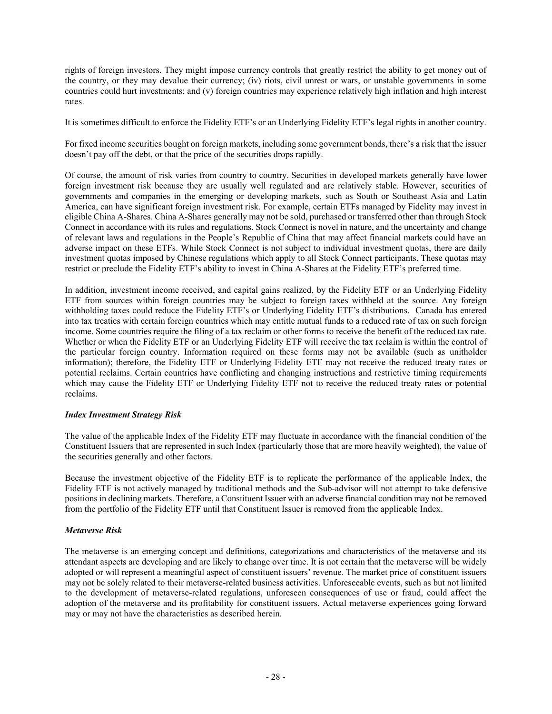rights of foreign investors. They might impose currency controls that greatly restrict the ability to get money out of the country, or they may devalue their currency; (iv) riots, civil unrest or wars, or unstable governments in some countries could hurt investments; and (v) foreign countries may experience relatively high inflation and high interest rates.

It is sometimes difficult to enforce the Fidelity ETF's or an Underlying Fidelity ETF's legal rights in another country.

For fixed income securities bought on foreign markets, including some government bonds, there's a risk that the issuer doesn't pay off the debt, or that the price of the securities drops rapidly.

Of course, the amount of risk varies from country to country. Securities in developed markets generally have lower foreign investment risk because they are usually well regulated and are relatively stable. However, securities of governments and companies in the emerging or developing markets, such as South or Southeast Asia and Latin America, can have significant foreign investment risk. For example, certain ETFs managed by Fidelity may invest in eligible China A-Shares. China A-Shares generally may not be sold, purchased or transferred other than through Stock Connect in accordance with its rules and regulations. Stock Connect is novel in nature, and the uncertainty and change of relevant laws and regulations in the People's Republic of China that may affect financial markets could have an adverse impact on these ETFs. While Stock Connect is not subject to individual investment quotas, there are daily investment quotas imposed by Chinese regulations which apply to all Stock Connect participants. These quotas may restrict or preclude the Fidelity ETF's ability to invest in China A-Shares at the Fidelity ETF's preferred time.

In addition, investment income received, and capital gains realized, by the Fidelity ETF or an Underlying Fidelity ETF from sources within foreign countries may be subject to foreign taxes withheld at the source. Any foreign withholding taxes could reduce the Fidelity ETF's or Underlying Fidelity ETF's distributions. Canada has entered into tax treaties with certain foreign countries which may entitle mutual funds to a reduced rate of tax on such foreign income. Some countries require the filing of a tax reclaim or other forms to receive the benefit of the reduced tax rate. Whether or when the Fidelity ETF or an Underlying Fidelity ETF will receive the tax reclaim is within the control of the particular foreign country. Information required on these forms may not be available (such as unitholder information); therefore, the Fidelity ETF or Underlying Fidelity ETF may not receive the reduced treaty rates or potential reclaims. Certain countries have conflicting and changing instructions and restrictive timing requirements which may cause the Fidelity ETF or Underlying Fidelity ETF not to receive the reduced treaty rates or potential reclaims.

## *Index Investment Strategy Risk*

The value of the applicable Index of the Fidelity ETF may fluctuate in accordance with the financial condition of the Constituent Issuers that are represented in such Index (particularly those that are more heavily weighted), the value of the securities generally and other factors.

Because the investment objective of the Fidelity ETF is to replicate the performance of the applicable Index, the Fidelity ETF is not actively managed by traditional methods and the Sub-advisor will not attempt to take defensive positions in declining markets. Therefore, a Constituent Issuer with an adverse financial condition may not be removed from the portfolio of the Fidelity ETF until that Constituent Issuer is removed from the applicable Index.

# *Metaverse Risk*

The metaverse is an emerging concept and definitions, categorizations and characteristics of the metaverse and its attendant aspects are developing and are likely to change over time. It is not certain that the metaverse will be widely adopted or will represent a meaningful aspect of constituent issuers' revenue. The market price of constituent issuers may not be solely related to their metaverse-related business activities. Unforeseeable events, such as but not limited to the development of metaverse-related regulations, unforeseen consequences of use or fraud, could affect the adoption of the metaverse and its profitability for constituent issuers. Actual metaverse experiences going forward may or may not have the characteristics as described herein.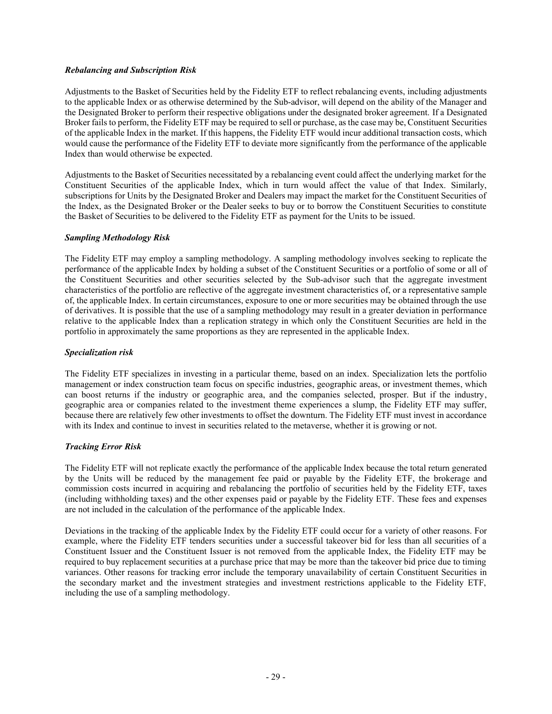## *Rebalancing and Subscription Risk*

Adjustments to the Basket of Securities held by the Fidelity ETF to reflect rebalancing events, including adjustments to the applicable Index or as otherwise determined by the Sub-advisor, will depend on the ability of the Manager and the Designated Broker to perform their respective obligations under the designated broker agreement. If a Designated Broker fails to perform, the Fidelity ETF may be required to sell or purchase, as the case may be, Constituent Securities of the applicable Index in the market. If this happens, the Fidelity ETF would incur additional transaction costs, which would cause the performance of the Fidelity ETF to deviate more significantly from the performance of the applicable Index than would otherwise be expected.

Adjustments to the Basket of Securities necessitated by a rebalancing event could affect the underlying market for the Constituent Securities of the applicable Index, which in turn would affect the value of that Index. Similarly, subscriptions for Units by the Designated Broker and Dealers may impact the market for the Constituent Securities of the Index, as the Designated Broker or the Dealer seeks to buy or to borrow the Constituent Securities to constitute the Basket of Securities to be delivered to the Fidelity ETF as payment for the Units to be issued.

#### *Sampling Methodology Risk*

The Fidelity ETF may employ a sampling methodology. A sampling methodology involves seeking to replicate the performance of the applicable Index by holding a subset of the Constituent Securities or a portfolio of some or all of the Constituent Securities and other securities selected by the Sub-advisor such that the aggregate investment characteristics of the portfolio are reflective of the aggregate investment characteristics of, or a representative sample of, the applicable Index. In certain circumstances, exposure to one or more securities may be obtained through the use of derivatives. It is possible that the use of a sampling methodology may result in a greater deviation in performance relative to the applicable Index than a replication strategy in which only the Constituent Securities are held in the portfolio in approximately the same proportions as they are represented in the applicable Index.

#### *Specialization risk*

The Fidelity ETF specializes in investing in a particular theme, based on an index. Specialization lets the portfolio management or index construction team focus on specific industries, geographic areas, or investment themes, which can boost returns if the industry or geographic area, and the companies selected, prosper. But if the industry, geographic area or companies related to the investment theme experiences a slump, the Fidelity ETF may suffer, because there are relatively few other investments to offset the downturn. The Fidelity ETF must invest in accordance with its Index and continue to invest in securities related to the metaverse, whether it is growing or not.

## *Tracking Error Risk*

The Fidelity ETF will not replicate exactly the performance of the applicable Index because the total return generated by the Units will be reduced by the management fee paid or payable by the Fidelity ETF, the brokerage and commission costs incurred in acquiring and rebalancing the portfolio of securities held by the Fidelity ETF, taxes (including withholding taxes) and the other expenses paid or payable by the Fidelity ETF. These fees and expenses are not included in the calculation of the performance of the applicable Index.

Deviations in the tracking of the applicable Index by the Fidelity ETF could occur for a variety of other reasons. For example, where the Fidelity ETF tenders securities under a successful takeover bid for less than all securities of a Constituent Issuer and the Constituent Issuer is not removed from the applicable Index, the Fidelity ETF may be required to buy replacement securities at a purchase price that may be more than the takeover bid price due to timing variances. Other reasons for tracking error include the temporary unavailability of certain Constituent Securities in the secondary market and the investment strategies and investment restrictions applicable to the Fidelity ETF, including the use of a sampling methodology.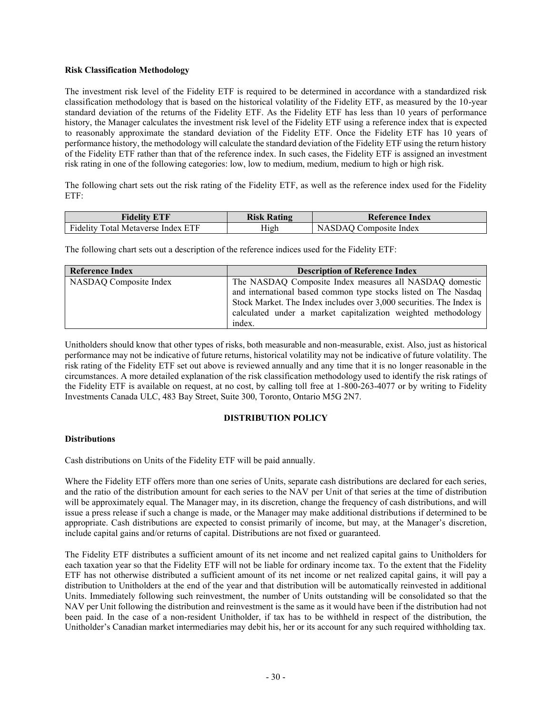#### **Risk Classification Methodology**

The investment risk level of the Fidelity ETF is required to be determined in accordance with a standardized risk classification methodology that is based on the historical volatility of the Fidelity ETF, as measured by the 10-year standard deviation of the returns of the Fidelity ETF. As the Fidelity ETF has less than 10 years of performance history, the Manager calculates the investment risk level of the Fidelity ETF using a reference index that is expected to reasonably approximate the standard deviation of the Fidelity ETF. Once the Fidelity ETF has 10 years of performance history, the methodology will calculate the standard deviation of the Fidelity ETF using the return history of the Fidelity ETF rather than that of the reference index. In such cases, the Fidelity ETF is assigned an investment risk rating in one of the following categories: low, low to medium, medium, medium to high or high risk.

The following chart sets out the risk rating of the Fidelity ETF, as well as the reference index used for the Fidelity ETF:

| <b>Fidelity ETF</b>                | <b>Risk Rating</b> | Reference Index        |
|------------------------------------|--------------------|------------------------|
| Fidelity Total Metaverse Index ETF | High               | NASDAO Composite Index |

The following chart sets out a description of the reference indices used for the Fidelity ETF:

| <b>Reference Index</b> | <b>Description of Reference Index</b>                                |
|------------------------|----------------------------------------------------------------------|
| NASDAQ Composite Index | The NASDAQ Composite Index measures all NASDAQ domestic              |
|                        | and international based common type stocks listed on The Nasdaq      |
|                        | Stock Market. The Index includes over 3,000 securities. The Index is |
|                        | calculated under a market capitalization weighted methodology        |
|                        | index.                                                               |

Unitholders should know that other types of risks, both measurable and non-measurable, exist. Also, just as historical performance may not be indicative of future returns, historical volatility may not be indicative of future volatility. The risk rating of the Fidelity ETF set out above is reviewed annually and any time that it is no longer reasonable in the circumstances. A more detailed explanation of the risk classification methodology used to identify the risk ratings of the Fidelity ETF is available on request, at no cost, by calling toll free at 1-800-263-4077 or by writing to Fidelity Investments Canada ULC, 483 Bay Street, Suite 300, Toronto, Ontario M5G 2N7.

#### **DISTRIBUTION POLICY**

#### <span id="page-32-1"></span><span id="page-32-0"></span>**Distributions**

Cash distributions on Units of the Fidelity ETF will be paid annually.

Where the Fidelity ETF offers more than one series of Units, separate cash distributions are declared for each series, and the ratio of the distribution amount for each series to the NAV per Unit of that series at the time of distribution will be approximately equal. The Manager may, in its discretion, change the frequency of cash distributions, and will issue a press release if such a change is made, or the Manager may make additional distributions if determined to be appropriate. Cash distributions are expected to consist primarily of income, but may, at the Manager's discretion, include capital gains and/or returns of capital. Distributions are not fixed or guaranteed.

The Fidelity ETF distributes a sufficient amount of its net income and net realized capital gains to Unitholders for each taxation year so that the Fidelity ETF will not be liable for ordinary income tax. To the extent that the Fidelity ETF has not otherwise distributed a sufficient amount of its net income or net realized capital gains, it will pay a distribution to Unitholders at the end of the year and that distribution will be automatically reinvested in additional Units. Immediately following such reinvestment, the number of Units outstanding will be consolidated so that the NAV per Unit following the distribution and reinvestment is the same as it would have been if the distribution had not been paid. In the case of a non-resident Unitholder, if tax has to be withheld in respect of the distribution, the Unitholder's Canadian market intermediaries may debit his, her or its account for any such required withholding tax.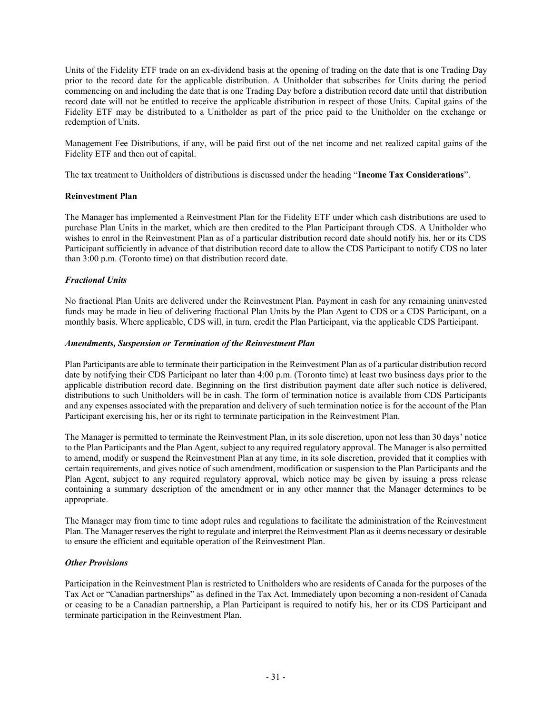Units of the Fidelity ETF trade on an ex-dividend basis at the opening of trading on the date that is one Trading Day prior to the record date for the applicable distribution. A Unitholder that subscribes for Units during the period commencing on and including the date that is one Trading Day before a distribution record date until that distribution record date will not be entitled to receive the applicable distribution in respect of those Units. Capital gains of the Fidelity ETF may be distributed to a Unitholder as part of the price paid to the Unitholder on the exchange or redemption of Units.

Management Fee Distributions, if any, will be paid first out of the net income and net realized capital gains of the Fidelity ETF and then out of capital.

The tax treatment to Unitholders of distributions is discussed under the heading "**[Income Tax Considerations](#page-38-0)**".

## <span id="page-33-0"></span>**Reinvestment Plan**

The Manager has implemented a Reinvestment Plan for the Fidelity ETF under which cash distributions are used to purchase Plan Units in the market, which are then credited to the Plan Participant through CDS. A Unitholder who wishes to enrol in the Reinvestment Plan as of a particular distribution record date should notify his, her or its CDS Participant sufficiently in advance of that distribution record date to allow the CDS Participant to notify CDS no later than 3:00 p.m. (Toronto time) on that distribution record date.

## *Fractional Units*

No fractional Plan Units are delivered under the Reinvestment Plan. Payment in cash for any remaining uninvested funds may be made in lieu of delivering fractional Plan Units by the Plan Agent to CDS or a CDS Participant, on a monthly basis. Where applicable, CDS will, in turn, credit the Plan Participant, via the applicable CDS Participant.

#### *Amendments, Suspension or Termination of the Reinvestment Plan*

Plan Participants are able to terminate their participation in the Reinvestment Plan as of a particular distribution record date by notifying their CDS Participant no later than 4:00 p.m. (Toronto time) at least two business days prior to the applicable distribution record date. Beginning on the first distribution payment date after such notice is delivered, distributions to such Unitholders will be in cash. The form of termination notice is available from CDS Participants and any expenses associated with the preparation and delivery of such termination notice is for the account of the Plan Participant exercising his, her or its right to terminate participation in the Reinvestment Plan.

The Manager is permitted to terminate the Reinvestment Plan, in its sole discretion, upon not less than 30 days' notice to the Plan Participants and the Plan Agent, subject to any required regulatory approval. The Manager is also permitted to amend, modify or suspend the Reinvestment Plan at any time, in its sole discretion, provided that it complies with certain requirements, and gives notice of such amendment, modification or suspension to the Plan Participants and the Plan Agent, subject to any required regulatory approval, which notice may be given by issuing a press release containing a summary description of the amendment or in any other manner that the Manager determines to be appropriate.

The Manager may from time to time adopt rules and regulations to facilitate the administration of the Reinvestment Plan. The Manager reserves the right to regulate and interpret the Reinvestment Plan as it deems necessary or desirable to ensure the efficient and equitable operation of the Reinvestment Plan.

## *Other Provisions*

Participation in the Reinvestment Plan is restricted to Unitholders who are residents of Canada for the purposes of the Tax Act or "Canadian partnerships" as defined in the Tax Act. Immediately upon becoming a non-resident of Canada or ceasing to be a Canadian partnership, a Plan Participant is required to notify his, her or its CDS Participant and terminate participation in the Reinvestment Plan.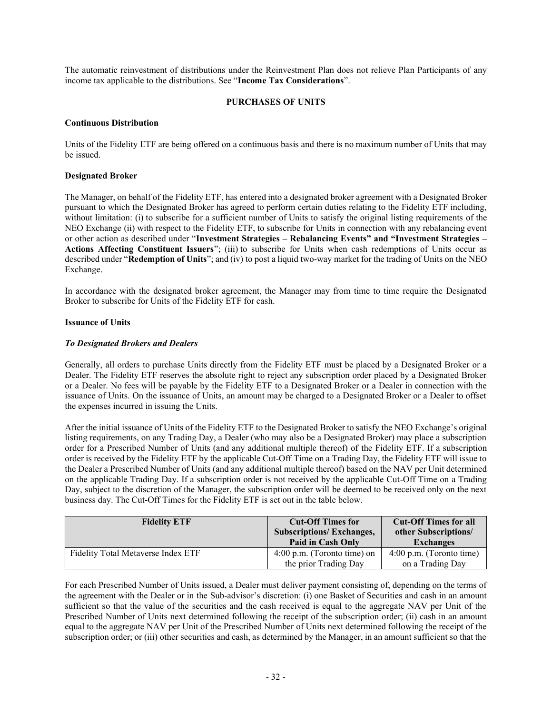The automatic reinvestment of distributions under the Reinvestment Plan does not relieve Plan Participants of any income tax applicable to the distributions. See "**[Income Tax Considerations](#page-38-0)**".

## **PURCHASES OF UNITS**

#### <span id="page-34-0"></span>**Continuous Distribution**

Units of the Fidelity ETF are being offered on a continuous basis and there is no maximum number of Units that may be issued.

#### **Designated Broker**

The Manager, on behalf of the Fidelity ETF, has entered into a designated broker agreement with a Designated Broker pursuant to which the Designated Broker has agreed to perform certain duties relating to the Fidelity ETF including, without limitation: (i) to subscribe for a sufficient number of Units to satisfy the original listing requirements of the NEO Exchange (ii) with respect to the Fidelity ETF, to subscribe for Units in connection with any rebalancing event or other action as described under "**Investment Strategies – Rebalancing Events" and "Investment Strategies – Actions Affecting Constituent Issuers**"; (iii) to subscribe for Units when cash redemptions of Units occur as described under "**[Redemption of Units](#page-36-0)**"; and (iv) to post a liquid two-way market for the trading of Units on the NEO Exchange.

In accordance with the designated broker agreement, the Manager may from time to time require the Designated Broker to subscribe for Units of the Fidelity ETF for cash.

#### <span id="page-34-1"></span>**Issuance of Units**

#### *To Designated Brokers and Dealers*

Generally, all orders to purchase Units directly from the Fidelity ETF must be placed by a Designated Broker or a Dealer. The Fidelity ETF reserves the absolute right to reject any subscription order placed by a Designated Broker or a Dealer. No fees will be payable by the Fidelity ETF to a Designated Broker or a Dealer in connection with the issuance of Units. On the issuance of Units, an amount may be charged to a Designated Broker or a Dealer to offset the expenses incurred in issuing the Units.

After the initial issuance of Units of the Fidelity ETF to the Designated Broker to satisfy the NEO Exchange's original listing requirements, on any Trading Day, a Dealer (who may also be a Designated Broker) may place a subscription order for a Prescribed Number of Units (and any additional multiple thereof) of the Fidelity ETF. If a subscription order is received by the Fidelity ETF by the applicable Cut-Off Time on a Trading Day, the Fidelity ETF will issue to the Dealer a Prescribed Number of Units (and any additional multiple thereof) based on the NAV per Unit determined on the applicable Trading Day. If a subscription order is not received by the applicable Cut-Off Time on a Trading Day, subject to the discretion of the Manager, the subscription order will be deemed to be received only on the next business day. The Cut-Off Times for the Fidelity ETF is set out in the table below.

| <b>Fidelity ETF</b>                | <b>Cut-Off Times for</b>        | <b>Cut-Off Times for all</b> |  |
|------------------------------------|---------------------------------|------------------------------|--|
|                                    | <b>Subscriptions/Exchanges,</b> | other Subscriptions/         |  |
|                                    | Paid in Cash Only               | <b>Exchanges</b>             |  |
| Fidelity Total Metaverse Index ETF | $4:00$ p.m. (Toronto time) on   | $4:00$ p.m. (Toronto time)   |  |
|                                    | the prior Trading Day           | on a Trading Day             |  |

For each Prescribed Number of Units issued, a Dealer must deliver payment consisting of, depending on the terms of the agreement with the Dealer or in the Sub-advisor's discretion: (i) one Basket of Securities and cash in an amount sufficient so that the value of the securities and the cash received is equal to the aggregate NAV per Unit of the Prescribed Number of Units next determined following the receipt of the subscription order; (ii) cash in an amount equal to the aggregate NAV per Unit of the Prescribed Number of Units next determined following the receipt of the subscription order; or (iii) other securities and cash, as determined by the Manager, in an amount sufficient so that the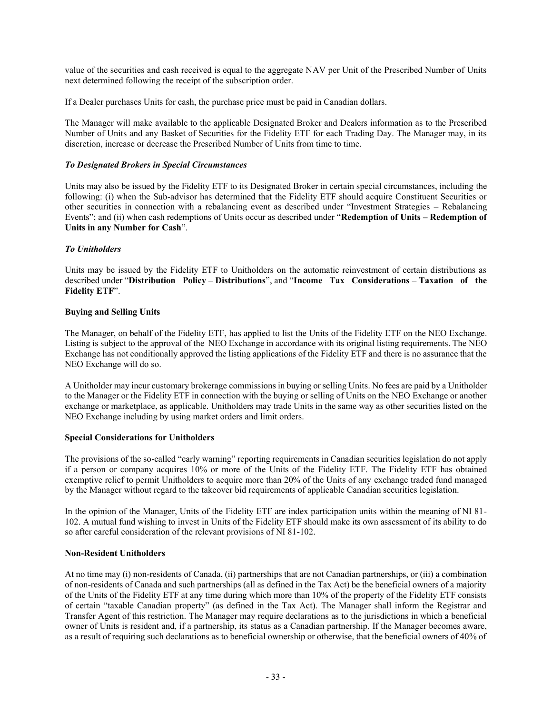value of the securities and cash received is equal to the aggregate NAV per Unit of the Prescribed Number of Units next determined following the receipt of the subscription order.

If a Dealer purchases Units for cash, the purchase price must be paid in Canadian dollars.

The Manager will make available to the applicable Designated Broker and Dealers information as to the Prescribed Number of Units and any Basket of Securities for the Fidelity ETF for each Trading Day. The Manager may, in its discretion, increase or decrease the Prescribed Number of Units from time to time.

## *To Designated Brokers in Special Circumstances*

Units may also be issued by the Fidelity ETF to its Designated Broker in certain special circumstances, including the following: (i) when the Sub-advisor has determined that the Fidelity ETF should acquire Constituent Securities or other securities in connection with a rebalancing event as described under "Investment Strategies – Rebalancing Events"; and (ii) when cash redemptions of Units occur as described under "**[Redemption of Units](#page-36-0) – Redemption of Units in any Number for Cash**".

# *To Unitholders*

Units may be issued by the Fidelity ETF to Unitholders on the automatic reinvestment of certain distributions as described under "**[Distribution Policy](#page-32-0) – [Distributions](#page-32-1)**", and "**[Income Tax Considerations](#page-38-0) – [Taxation of the](#page-39-0)  [Fidelity ETF](#page-39-0)**".

# <span id="page-35-0"></span>**Buying and Selling Units**

The Manager, on behalf of the Fidelity ETF, has applied to list the Units of the Fidelity ETF on the NEO Exchange. Listing is subject to the approval of the NEO Exchange in accordance with its original listing requirements. The NEO Exchange has not conditionally approved the listing applications of the Fidelity ETF and there is no assurance that the NEO Exchange will do so.

A Unitholder may incur customary brokerage commissions in buying or selling Units. No fees are paid by a Unitholder to the Manager or the Fidelity ETF in connection with the buying or selling of Units on the NEO Exchange or another exchange or marketplace, as applicable. Unitholders may trade Units in the same way as other securities listed on the NEO Exchange including by using market orders and limit orders.

## **Special Considerations for Unitholders**

The provisions of the so-called "early warning" reporting requirements in Canadian securities legislation do not apply if a person or company acquires 10% or more of the Units of the Fidelity ETF. The Fidelity ETF has obtained exemptive relief to permit Unitholders to acquire more than 20% of the Units of any exchange traded fund managed by the Manager without regard to the takeover bid requirements of applicable Canadian securities legislation.

In the opinion of the Manager, Units of the Fidelity ETF are index participation units within the meaning of NI 81- 102. A mutual fund wishing to invest in Units of the Fidelity ETF should make its own assessment of its ability to do so after careful consideration of the relevant provisions of NI 81-102.

## **Non-Resident Unitholders**

At no time may (i) non-residents of Canada, (ii) partnerships that are not Canadian partnerships, or (iii) a combination of non-residents of Canada and such partnerships (all as defined in the Tax Act) be the beneficial owners of a majority of the Units of the Fidelity ETF at any time during which more than 10% of the property of the Fidelity ETF consists of certain "taxable Canadian property" (as defined in the Tax Act). The Manager shall inform the Registrar and Transfer Agent of this restriction. The Manager may require declarations as to the jurisdictions in which a beneficial owner of Units is resident and, if a partnership, its status as a Canadian partnership. If the Manager becomes aware, as a result of requiring such declarations as to beneficial ownership or otherwise, that the beneficial owners of 40% of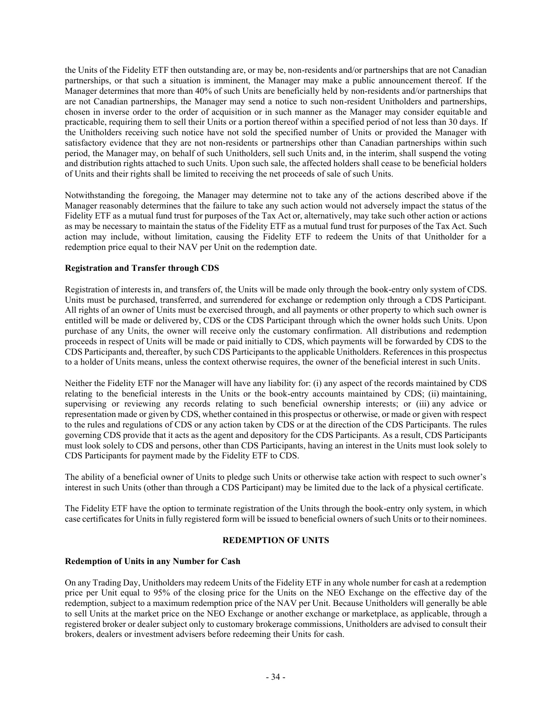the Units of the Fidelity ETF then outstanding are, or may be, non-residents and/or partnerships that are not Canadian partnerships, or that such a situation is imminent, the Manager may make a public announcement thereof. If the Manager determines that more than 40% of such Units are beneficially held by non-residents and/or partnerships that are not Canadian partnerships, the Manager may send a notice to such non-resident Unitholders and partnerships, chosen in inverse order to the order of acquisition or in such manner as the Manager may consider equitable and practicable, requiring them to sell their Units or a portion thereof within a specified period of not less than 30 days. If the Unitholders receiving such notice have not sold the specified number of Units or provided the Manager with satisfactory evidence that they are not non-residents or partnerships other than Canadian partnerships within such period, the Manager may, on behalf of such Unitholders, sell such Units and, in the interim, shall suspend the voting and distribution rights attached to such Units. Upon such sale, the affected holders shall cease to be beneficial holders of Units and their rights shall be limited to receiving the net proceeds of sale of such Units.

Notwithstanding the foregoing, the Manager may determine not to take any of the actions described above if the Manager reasonably determines that the failure to take any such action would not adversely impact the status of the Fidelity ETF as a mutual fund trust for purposes of the Tax Act or, alternatively, may take such other action or actions as may be necessary to maintain the status of the Fidelity ETF as a mutual fund trust for purposes of the Tax Act. Such action may include, without limitation, causing the Fidelity ETF to redeem the Units of that Unitholder for a redemption price equal to their NAV per Unit on the redemption date.

# **Registration and Transfer through CDS**

Registration of interests in, and transfers of, the Units will be made only through the book-entry only system of CDS. Units must be purchased, transferred, and surrendered for exchange or redemption only through a CDS Participant. All rights of an owner of Units must be exercised through, and all payments or other property to which such owner is entitled will be made or delivered by, CDS or the CDS Participant through which the owner holds such Units. Upon purchase of any Units, the owner will receive only the customary confirmation. All distributions and redemption proceeds in respect of Units will be made or paid initially to CDS, which payments will be forwarded by CDS to the CDS Participants and, thereafter, by such CDS Participants to the applicable Unitholders. References in this prospectus to a holder of Units means, unless the context otherwise requires, the owner of the beneficial interest in such Units.

Neither the Fidelity ETF nor the Manager will have any liability for: (i) any aspect of the records maintained by CDS relating to the beneficial interests in the Units or the book-entry accounts maintained by CDS; (ii) maintaining, supervising or reviewing any records relating to such beneficial ownership interests; or (iii) any advice or representation made or given by CDS, whether contained in this prospectus or otherwise, or made or given with respect to the rules and regulations of CDS or any action taken by CDS or at the direction of the CDS Participants. The rules governing CDS provide that it acts as the agent and depository for the CDS Participants. As a result, CDS Participants must look solely to CDS and persons, other than CDS Participants, having an interest in the Units must look solely to CDS Participants for payment made by the Fidelity ETF to CDS.

The ability of a beneficial owner of Units to pledge such Units or otherwise take action with respect to such owner's interest in such Units (other than through a CDS Participant) may be limited due to the lack of a physical certificate.

The Fidelity ETF have the option to terminate registration of the Units through the book-entry only system, in which case certificates for Units in fully registered form will be issued to beneficial owners of such Units or to their nominees.

## <span id="page-36-1"></span>**REDEMPTION OF UNITS**

## <span id="page-36-0"></span>**Redemption of Units in any Number for Cash**

On any Trading Day, Unitholders may redeem Units of theFidelity ETF in any whole number for cash at a redemption price per Unit equal to 95% of the closing price for the Units on the NEO Exchange on the effective day of the redemption, subject to a maximum redemption price of the NAV per Unit. Because Unitholders will generally be able to sell Units at the market price on the NEO Exchange or another exchange or marketplace, as applicable, through a registered broker or dealer subject only to customary brokerage commissions, Unitholders are advised to consult their brokers, dealers or investment advisers before redeeming their Units for cash.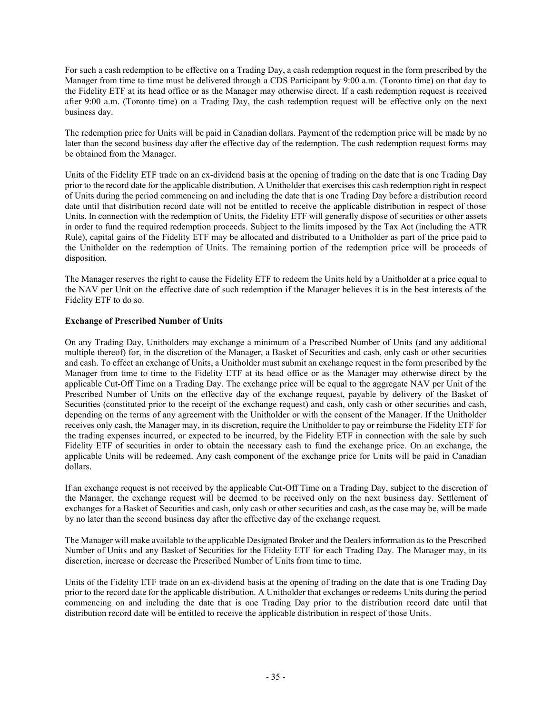For such a cash redemption to be effective on a Trading Day, a cash redemption request in the form prescribed by the Manager from time to time must be delivered through a CDS Participant by 9:00 a.m. (Toronto time) on that day to the Fidelity ETF at its head office or as the Manager may otherwise direct. If a cash redemption request is received after 9:00 a.m. (Toronto time) on a Trading Day, the cash redemption request will be effective only on the next business day.

The redemption price for Units will be paid in Canadian dollars. Payment of the redemption price will be made by no later than the second business day after the effective day of the redemption. The cash redemption request forms may be obtained from the Manager.

Units of the Fidelity ETF trade on an ex-dividend basis at the opening of trading on the date that is one Trading Day prior to the record date for the applicable distribution. A Unitholder that exercises this cash redemption right in respect of Units during the period commencing on and including the date that is one Trading Day before a distribution record date until that distribution record date will not be entitled to receive the applicable distribution in respect of those Units. In connection with the redemption of Units, the Fidelity ETF will generally dispose of securities or other assets in order to fund the required redemption proceeds. Subject to the limits imposed by the Tax Act (including the ATR Rule), capital gains of the Fidelity ETF may be allocated and distributed to a Unitholder as part of the price paid to the Unitholder on the redemption of Units. The remaining portion of the redemption price will be proceeds of disposition.

The Manager reserves the right to cause the Fidelity ETF to redeem the Units held by a Unitholder at a price equal to the NAV per Unit on the effective date of such redemption if the Manager believes it is in the best interests of the Fidelity ETF to do so.

# <span id="page-37-0"></span>**Exchange of Prescribed Number of Units**

On any Trading Day, Unitholders may exchange a minimum of a Prescribed Number of Units (and any additional multiple thereof) for, in the discretion of the Manager, a Basket of Securities and cash, only cash or other securities and cash. To effect an exchange of Units, a Unitholder must submit an exchange request in the form prescribed by the Manager from time to time to the Fidelity ETF at its head office or as the Manager may otherwise direct by the applicable Cut-Off Time on a Trading Day. The exchange price will be equal to the aggregate NAV per Unit of the Prescribed Number of Units on the effective day of the exchange request, payable by delivery of the Basket of Securities (constituted prior to the receipt of the exchange request) and cash, only cash or other securities and cash, depending on the terms of any agreement with the Unitholder or with the consent of the Manager. If the Unitholder receives only cash, the Manager may, in its discretion, require the Unitholder to pay or reimburse the Fidelity ETF for the trading expenses incurred, or expected to be incurred, by the Fidelity ETF in connection with the sale by such Fidelity ETF of securities in order to obtain the necessary cash to fund the exchange price. On an exchange, the applicable Units will be redeemed. Any cash component of the exchange price for Units will be paid in Canadian dollars.

If an exchange request is not received by the applicable Cut-Off Time on a Trading Day, subject to the discretion of the Manager, the exchange request will be deemed to be received only on the next business day. Settlement of exchanges for a Basket of Securities and cash, only cash or other securities and cash, as the case may be, will be made by no later than the second business day after the effective day of the exchange request.

The Manager will make available to the applicable Designated Broker and the Dealers information as to the Prescribed Number of Units and any Basket of Securities for the Fidelity ETF for each Trading Day. The Manager may, in its discretion, increase or decrease the Prescribed Number of Units from time to time.

Units of the Fidelity ETF trade on an ex-dividend basis at the opening of trading on the date that is one Trading Day prior to the record date for the applicable distribution. A Unitholder that exchanges or redeems Units during the period commencing on and including the date that is one Trading Day prior to the distribution record date until that distribution record date will be entitled to receive the applicable distribution in respect of those Units.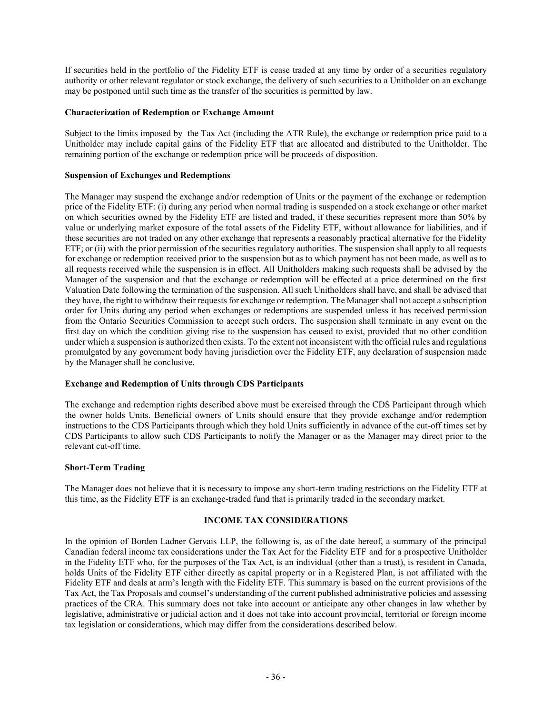If securities held in the portfolio of the Fidelity ETF is cease traded at any time by order of a securities regulatory authority or other relevant regulator or stock exchange, the delivery of such securities to a Unitholder on an exchange may be postponed until such time as the transfer of the securities is permitted by law.

## **Characterization of Redemption or Exchange Amount**

Subject to the limits imposed by the Tax Act (including the ATR Rule), the exchange or redemption price paid to a Unitholder may include capital gains of the Fidelity ETF that are allocated and distributed to the Unitholder. The remaining portion of the exchange or redemption price will be proceeds of disposition.

## <span id="page-38-1"></span>**Suspension of Exchanges and Redemptions**

The Manager may suspend the exchange and/or redemption of Units or the payment of the exchange or redemption price of the Fidelity ETF: (i) during any period when normal trading is suspended on a stock exchange or other market on which securities owned by the Fidelity ETF are listed and traded, if these securities represent more than 50% by value or underlying market exposure of the total assets of the Fidelity ETF, without allowance for liabilities, and if these securities are not traded on any other exchange that represents a reasonably practical alternative for the Fidelity ETF; or (ii) with the prior permission of the securities regulatory authorities. The suspension shall apply to all requests for exchange or redemption received prior to the suspension but as to which payment has not been made, as well as to all requests received while the suspension is in effect. All Unitholders making such requests shall be advised by the Manager of the suspension and that the exchange or redemption will be effected at a price determined on the first Valuation Date following the termination of the suspension. All such Unitholders shall have, and shall be advised that they have, the right to withdraw their requests for exchange or redemption. The Manager shall not accept a subscription order for Units during any period when exchanges or redemptions are suspended unless it has received permission from the Ontario Securities Commission to accept such orders. The suspension shall terminate in any event on the first day on which the condition giving rise to the suspension has ceased to exist, provided that no other condition under which a suspension is authorized then exists. To the extent not inconsistent with the official rules and regulations promulgated by any government body having jurisdiction over the Fidelity ETF, any declaration of suspension made by the Manager shall be conclusive.

## **Exchange and Redemption of Units through CDS Participants**

The exchange and redemption rights described above must be exercised through the CDS Participant through which the owner holds Units. Beneficial owners of Units should ensure that they provide exchange and/or redemption instructions to the CDS Participants through which they hold Units sufficiently in advance of the cut-off times set by CDS Participants to allow such CDS Participants to notify the Manager or as the Manager may direct prior to the relevant cut-off time.

## **Short-Term Trading**

The Manager does not believe that it is necessary to impose any short-term trading restrictions on the Fidelity ETF at this time, as the Fidelity ETF is an exchange-traded fund that is primarily traded in the secondary market.

# **INCOME TAX CONSIDERATIONS**

<span id="page-38-0"></span>In the opinion of Borden Ladner Gervais LLP, the following is, as of the date hereof, a summary of the principal Canadian federal income tax considerations under the Tax Act for the Fidelity ETF and for a prospective Unitholder in the Fidelity ETF who, for the purposes of the Tax Act, is an individual (other than a trust), is resident in Canada, holds Units of the Fidelity ETF either directly as capital property or in a Registered Plan, is not affiliated with the Fidelity ETF and deals at arm's length with the Fidelity ETF. This summary is based on the current provisions of the Tax Act, the Tax Proposals and counsel's understanding of the current published administrative policies and assessing practices of the CRA. This summary does not take into account or anticipate any other changes in law whether by legislative, administrative or judicial action and it does not take into account provincial, territorial or foreign income tax legislation or considerations, which may differ from the considerations described below.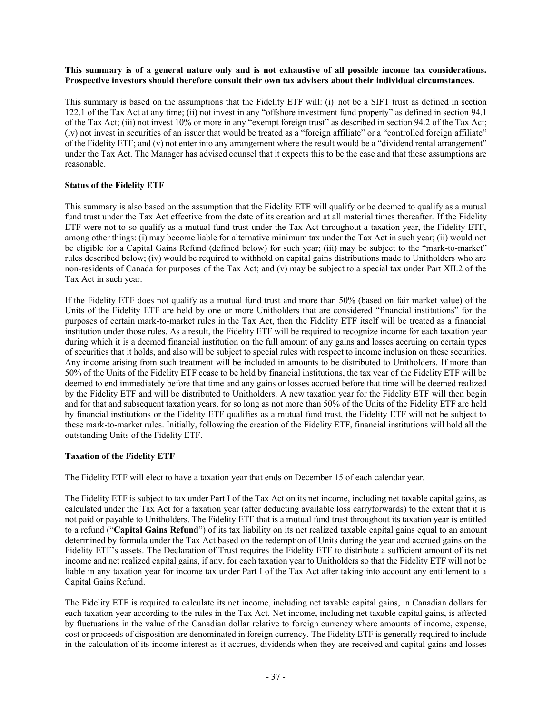#### **This summary is of a general nature only and is not exhaustive of all possible income tax considerations. Prospective investors should therefore consult their own tax advisers about their individual circumstances.**

This summary is based on the assumptions that the Fidelity ETF will: (i) not be a SIFT trust as defined in section 122.1 of the Tax Act at any time; (ii) not invest in any "offshore investment fund property" as defined in section 94.1 of the Tax Act; (iii) not invest 10% or more in any "exempt foreign trust" as described in section 94.2 of the Tax Act; (iv) not invest in securities of an issuer that would be treated as a "foreign affiliate" or a "controlled foreign affiliate" of the Fidelity ETF; and (v) not enter into any arrangement where the result would be a "dividend rental arrangement" under the Tax Act. The Manager has advised counsel that it expects this to be the case and that these assumptions are reasonable.

## **Status of the Fidelity ETF**

This summary is also based on the assumption that the Fidelity ETF will qualify or be deemed to qualify as a mutual fund trust under the Tax Act effective from the date of its creation and at all material times thereafter. If the Fidelity ETF were not to so qualify as a mutual fund trust under the Tax Act throughout a taxation year, the Fidelity ETF, among other things: (i) may become liable for alternative minimum tax under the Tax Act in such year; (ii) would not be eligible for a Capital Gains Refund (defined below) for such year; (iii) may be subject to the "mark-to-market" rules described below; (iv) would be required to withhold on capital gains distributions made to Unitholders who are non-residents of Canada for purposes of the Tax Act; and (v) may be subject to a special tax under Part XII.2 of the Tax Act in such year.

If the Fidelity ETF does not qualify as a mutual fund trust and more than 50% (based on fair market value) of the Units of the Fidelity ETF are held by one or more Unitholders that are considered "financial institutions" for the purposes of certain mark-to-market rules in the Tax Act, then the Fidelity ETF itself will be treated as a financial institution under those rules. As a result, the Fidelity ETF will be required to recognize income for each taxation year during which it is a deemed financial institution on the full amount of any gains and losses accruing on certain types of securities that it holds, and also will be subject to special rules with respect to income inclusion on these securities. Any income arising from such treatment will be included in amounts to be distributed to Unitholders. If more than 50% of the Units of the Fidelity ETF cease to be held by financial institutions, the tax year of the Fidelity ETF will be deemed to end immediately before that time and any gains or losses accrued before that time will be deemed realized by the Fidelity ETF and will be distributed to Unitholders. A new taxation year for the Fidelity ETF will then begin and for that and subsequent taxation years, for so long as not more than 50% of the Units of the Fidelity ETF are held by financial institutions or the Fidelity ETF qualifies as a mutual fund trust, the Fidelity ETF will not be subject to these mark-to-market rules. Initially, following the creation of the Fidelity ETF, financial institutions will hold all the outstanding Units of the Fidelity ETF.

## <span id="page-39-0"></span>**Taxation of the Fidelity ETF**

The Fidelity ETF will elect to have a taxation year that ends on December 15 of each calendar year.

The Fidelity ETF is subject to tax under Part I of the Tax Act on its net income, including net taxable capital gains, as calculated under the Tax Act for a taxation year (after deducting available loss carryforwards) to the extent that it is not paid or payable to Unitholders. The Fidelity ETF that is a mutual fund trust throughout its taxation year is entitled to a refund ("**Capital Gains Refund**") of its tax liability on its net realized taxable capital gains equal to an amount determined by formula under the Tax Act based on the redemption of Units during the year and accrued gains on the Fidelity ETF's assets. The Declaration of Trust requires the Fidelity ETF to distribute a sufficient amount of its net income and net realized capital gains, if any, for each taxation year to Unitholders so that the Fidelity ETF will not be liable in any taxation year for income tax under Part I of the Tax Act after taking into account any entitlement to a Capital Gains Refund.

The Fidelity ETF is required to calculate its net income, including net taxable capital gains, in Canadian dollars for each taxation year according to the rules in the Tax Act. Net income, including net taxable capital gains, is affected by fluctuations in the value of the Canadian dollar relative to foreign currency where amounts of income, expense, cost or proceeds of disposition are denominated in foreign currency. The Fidelity ETF is generally required to include in the calculation of its income interest as it accrues, dividends when they are received and capital gains and losses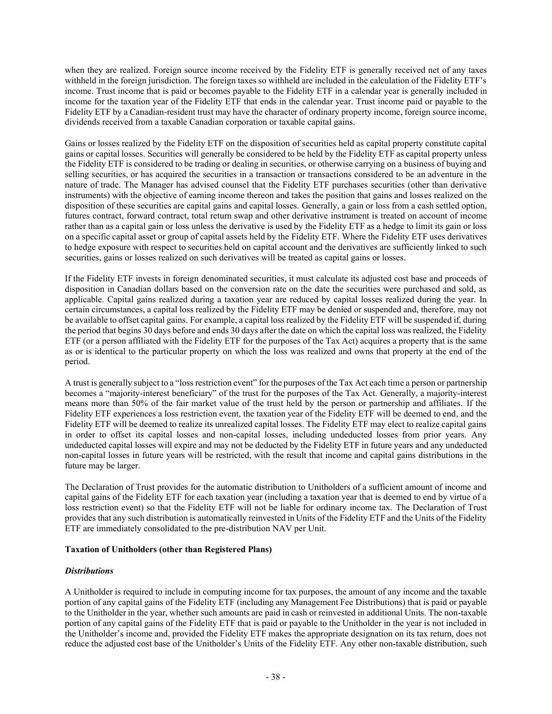when they are realized. Foreign source income received by the Fidelity ETF is generally received net of any taxes withheld in the foreign jurisdiction. The foreign taxes so withheld are included in the calculation of the Fidelity ETF's income. Trust income that is paid or becomes payable to the Fidelity ETF in a calendar year is generally included in income for the taxation year of the Fidelity ETF that ends in the calendar year. Trust income paid or payable to the Fidelity ETF by a Canadian-resident trust may have the character of ordinary property income, foreign source income, dividends received from a taxable Canadian corporation or taxable capital gains.

Gains or losses realized by the Fidelity ETF on the disposition of securities held as capital property constitute capital gains or capital losses. Securities will generally be considered to be held by the Fidelity ETF as capital property unless the Fidelity ETF is considered to be trading or dealing in securities, or otherwise carrying on a business of buying and selling securities, or has acquired the securities in a transaction or transactions considered to be an adventure in the nature of trade. The Manager has advised counsel that the Fidelity ETF purchases securities (other than derivative instruments) with the objective of earning income thereon and takes the position that gains and losses realized on the disposition of these securities are capital gains and capital losses. Generally, a gain or loss from a cash settled option, futures contract, forward contract, total return swap and other derivative instrument is treated on account of income rather than as a capital gain or loss unless the derivative is used by the Fidelity ETF as a hedge to limit its gain or loss on a specific capital asset or group of capital assets held by the Fidelity ETF. Where the Fidelity ETF uses derivatives to hedge exposure with respect to securities held on capital account and the derivatives are sufficiently linked to such securities, gains or losses realized on such derivatives will be treated as capital gains or losses.

If the Fidelity ETF invests in foreign denominated securities, it must calculate its adjusted cost base and proceeds of disposition in Canadian dollars based on the conversion rate on the date the securities were purchased and sold, as applicable. Capital gains realized during a taxation year are reduced by capital losses realized during the year. In certain circumstances, a capital loss realized by the Fidelity ETF may be denied or suspended and, therefore, may not be available to offset capital gains. For example, a capital loss realized by the Fidelity ETF will be suspended if, during the period that begins 30 days before and ends 30 days after the date on which the capital loss was realized, the Fidelity ETF (or a person affiliated with the Fidelity ETF for the purposes of the Tax Act) acquires a property that is the same as or is identical to the particular property on which the loss was realized and owns that property at the end of the period.

A trust is generally subject to a "loss restriction event" for the purposes of the Tax Act each time a person or partnership becomes a "majority-interest beneficiary" of the trust for the purposes of the Tax Act. Generally, a majority-interest means more than 50% of the fair market value of the trust held by the person or partnership and affiliates. If the Fidelity ETF experiences a loss restriction event, the taxation year of the Fidelity ETF will be deemed to end, and the Fidelity ETF will be deemed to realize its unrealized capital losses. The Fidelity ETF may elect to realize capital gains in order to offset its capital losses and non-capital losses, including undeducted losses from prior years. Any undeducted capital losses will expire and may not be deducted by the Fidelity ETF in future years and any undeducted non-capital losses in future years will be restricted, with the result that income and capital gains distributions in the future may be larger.

The Declaration of Trust provides for the automatic distribution to Unitholders of a sufficient amount of income and capital gains of the Fidelity ETF for each taxation year (including a taxation year that is deemed to end by virtue of a loss restriction event) so that the Fidelity ETF will not be liable for ordinary income tax. The Declaration of Trust provides that any such distribution is automatically reinvested in Units of the Fidelity ETF and the Units of the Fidelity ETF are immediately consolidated to the pre-distribution NAV per Unit.

## **Taxation of Unitholders (other than Registered Plans)**

# *Distributions*

A Unitholder is required to include in computing income for tax purposes, the amount of any income and the taxable portion of any capital gains of the Fidelity ETF (including any Management Fee Distributions) that is paid or payable to the Unitholder in the year, whether such amounts are paid in cash or reinvested in additional Units. The non-taxable portion of any capital gains of the Fidelity ETF that is paid or payable to the Unitholder in the year is not included in the Unitholder's income and, provided the Fidelity ETF makes the appropriate designation on its tax return, does not reduce the adjusted cost base of the Unitholder's Units of the Fidelity ETF. Any other non-taxable distribution, such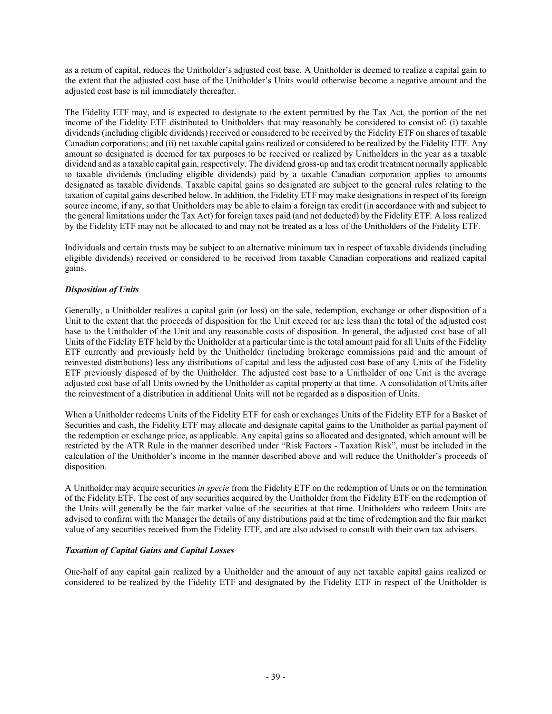as a return of capital, reduces the Unitholder's adjusted cost base. A Unitholder is deemed to realize a capital gain to the extent that the adjusted cost base of the Unitholder's Units would otherwise become a negative amount and the adjusted cost base is nil immediately thereafter.

The Fidelity ETF may, and is expected to designate to the extent permitted by the Tax Act, the portion of the net income of the Fidelity ETF distributed to Unitholders that may reasonably be considered to consist of: (i) taxable dividends (including eligible dividends) received or considered to be received by the Fidelity ETF on shares of taxable Canadian corporations; and (ii) net taxable capital gains realized or considered to be realized by the Fidelity ETF. Any amount so designated is deemed for tax purposes to be received or realized by Unitholders in the year as a taxable dividend and as a taxable capital gain, respectively. The dividend gross-up and tax credit treatment normally applicable to taxable dividends (including eligible dividends) paid by a taxable Canadian corporation applies to amounts designated as taxable dividends. Taxable capital gains so designated are subject to the general rules relating to the taxation of capital gains described below. In addition, the Fidelity ETF may make designations in respect of its foreign source income, if any, so that Unitholders may be able to claim a foreign tax credit (in accordance with and subject to the general limitations under the Tax Act) for foreign taxes paid (and not deducted) by the Fidelity ETF. A loss realized by the Fidelity ETF may not be allocated to and may not be treated as a loss of the Unitholders of the Fidelity ETF.

Individuals and certain trusts may be subject to an alternative minimum tax in respect of taxable dividends (including eligible dividends) received or considered to be received from taxable Canadian corporations and realized capital gains.

# *Disposition of Units*

Generally, a Unitholder realizes a capital gain (or loss) on the sale, redemption, exchange or other disposition of a Unit to the extent that the proceeds of disposition for the Unit exceed (or are less than) the total of the adjusted cost base to the Unitholder of the Unit and any reasonable costs of disposition. In general, the adjusted cost base of all Units of the Fidelity ETF held by the Unitholder at a particular time is the total amount paid for all Units of the Fidelity ETF currently and previously held by the Unitholder (including brokerage commissions paid and the amount of reinvested distributions) less any distributions of capital and less the adjusted cost base of any Units of the Fidelity ETF previously disposed of by the Unitholder. The adjusted cost base to a Unitholder of one Unit is the average adjusted cost base of all Units owned by the Unitholder as capital property at that time. A consolidation of Units after the reinvestment of a distribution in additional Units will not be regarded as a disposition of Units.

When a Unitholder redeems Units of the Fidelity ETF for cash or exchanges Units of the Fidelity ETF for a Basket of Securities and cash, the Fidelity ETF may allocate and designate capital gains to the Unitholder as partial payment of the redemption or exchange price, as applicable. Any capital gains so allocated and designated, which amount will be restricted by the ATR Rule in the manner described under "Risk Factors - Taxation Risk", must be included in the calculation of the Unitholder's income in the manner described above and will reduce the Unitholder's proceeds of disposition.

A Unitholder may acquire securities *in specie* from the Fidelity ETF on the redemption of Units or on the termination of the Fidelity ETF. The cost of any securities acquired by the Unitholder from the Fidelity ETF on the redemption of the Units will generally be the fair market value of the securities at that time. Unitholders who redeem Units are advised to confirm with the Manager the details of any distributions paid at the time of redemption and the fair market value of any securities received from the Fidelity ETF, and are also advised to consult with their own tax advisers.

## *Taxation of Capital Gains and Capital Losses*

One-half of any capital gain realized by a Unitholder and the amount of any net taxable capital gains realized or considered to be realized by the Fidelity ETF and designated by the Fidelity ETF in respect of the Unitholder is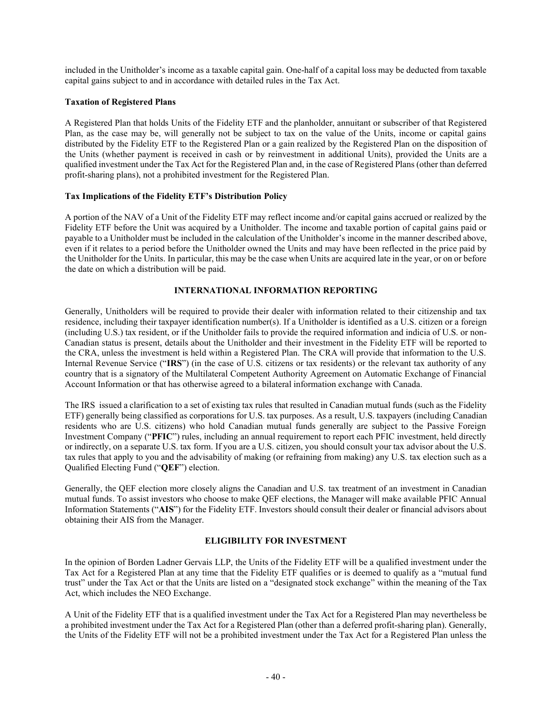included in the Unitholder's income as a taxable capital gain. One-half of a capital loss may be deducted from taxable capital gains subject to and in accordance with detailed rules in the Tax Act.

## **Taxation of Registered Plans**

A Registered Plan that holds Units of the Fidelity ETF and the planholder, annuitant or subscriber of that Registered Plan, as the case may be, will generally not be subject to tax on the value of the Units, income or capital gains distributed by the Fidelity ETF to the Registered Plan or a gain realized by the Registered Plan on the disposition of the Units (whether payment is received in cash or by reinvestment in additional Units), provided the Units are a qualified investment under the Tax Act for the Registered Plan and, in the case of Registered Plans (other than deferred profit-sharing plans), not a prohibited investment for the Registered Plan.

# **Tax Implications of the Fidelity ETF's Distribution Policy**

A portion of the NAV of a Unit of the Fidelity ETF may reflect income and/or capital gains accrued or realized by the Fidelity ETF before the Unit was acquired by a Unitholder. The income and taxable portion of capital gains paid or payable to a Unitholder must be included in the calculation of the Unitholder's income in the manner described above, even if it relates to a period before the Unitholder owned the Units and may have been reflected in the price paid by the Unitholder for the Units. In particular, this may be the case when Units are acquired late in the year, or on or before the date on which a distribution will be paid.

# **INTERNATIONAL INFORMATION REPORTING**

<span id="page-42-0"></span>Generally, Unitholders will be required to provide their dealer with information related to their citizenship and tax residence, including their taxpayer identification number(s). If a Unitholder is identified as a U.S. citizen or a foreign (including U.S.) tax resident, or if the Unitholder fails to provide the required information and indicia of U.S. or non-Canadian status is present, details about the Unitholder and their investment in the Fidelity ETF will be reported to the CRA, unless the investment is held within a Registered Plan. The CRA will provide that information to the U.S. Internal Revenue Service ("**IRS**") (in the case of U.S. citizens or tax residents) or the relevant tax authority of any country that is a signatory of the Multilateral Competent Authority Agreement on Automatic Exchange of Financial Account Information or that has otherwise agreed to a bilateral information exchange with Canada.

The IRS issued a clarification to a set of existing tax rules that resulted in Canadian mutual funds (such as the Fidelity ETF) generally being classified as corporations for U.S. tax purposes. As a result, U.S. taxpayers (including Canadian residents who are U.S. citizens) who hold Canadian mutual funds generally are subject to the Passive Foreign Investment Company ("**PFIC**") rules, including an annual requirement to report each PFIC investment, held directly or indirectly, on a separate U.S. tax form. If you are a U.S. citizen, you should consult your tax advisor about the U.S. tax rules that apply to you and the advisability of making (or refraining from making) any U.S. tax election such as a Qualified Electing Fund ("**QEF**") election.

Generally, the QEF election more closely aligns the Canadian and U.S. tax treatment of an investment in Canadian mutual funds. To assist investors who choose to make QEF elections, the Manager will make available PFIC Annual Information Statements ("**AIS**") for the Fidelity ETF. Investors should consult their dealer or financial advisors about obtaining their AIS from the Manager.

## **ELIGIBILITY FOR INVESTMENT**

<span id="page-42-1"></span>In the opinion of Borden Ladner Gervais LLP, the Units of the Fidelity ETF will be a qualified investment under the Tax Act for a Registered Plan at any time that the Fidelity ETF qualifies or is deemed to qualify as a "mutual fund trust" under the Tax Act or that the Units are listed on a "designated stock exchange" within the meaning of the Tax Act, which includes the NEO Exchange.

A Unit of the Fidelity ETF that is a qualified investment under the Tax Act for a Registered Plan may nevertheless be a prohibited investment under the Tax Act for a Registered Plan (other than a deferred profit-sharing plan). Generally, the Units of the Fidelity ETF will not be a prohibited investment under the Tax Act for a Registered Plan unless the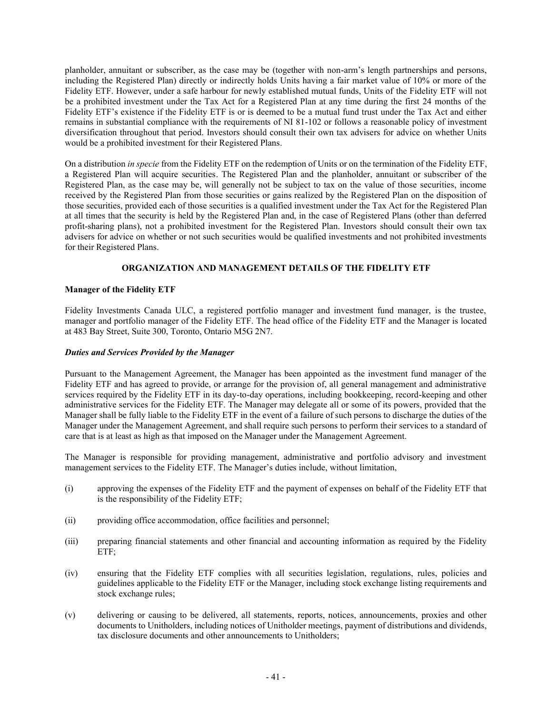planholder, annuitant or subscriber, as the case may be (together with non-arm's length partnerships and persons, including the Registered Plan) directly or indirectly holds Units having a fair market value of 10% or more of the Fidelity ETF. However, under a safe harbour for newly established mutual funds, Units of the Fidelity ETF will not be a prohibited investment under the Tax Act for a Registered Plan at any time during the first 24 months of the Fidelity ETF's existence if the Fidelity ETF is or is deemed to be a mutual fund trust under the Tax Act and either remains in substantial compliance with the requirements of NI 81-102 or follows a reasonable policy of investment diversification throughout that period. Investors should consult their own tax advisers for advice on whether Units would be a prohibited investment for their Registered Plans.

On a distribution *in specie* from the Fidelity ETF on the redemption of Units or on the termination of the Fidelity ETF, a Registered Plan will acquire securities. The Registered Plan and the planholder, annuitant or subscriber of the Registered Plan, as the case may be, will generally not be subject to tax on the value of those securities, income received by the Registered Plan from those securities or gains realized by the Registered Plan on the disposition of those securities, provided each of those securities is a qualified investment under the Tax Act for the Registered Plan at all times that the security is held by the Registered Plan and, in the case of Registered Plans (other than deferred profit-sharing plans), not a prohibited investment for the Registered Plan. Investors should consult their own tax advisers for advice on whether or not such securities would be qualified investments and not prohibited investments for their Registered Plans.

# **ORGANIZATION AND MANAGEMENT DETAILS OF THE FIDELITY ETF**

#### <span id="page-43-1"></span><span id="page-43-0"></span>**Manager of the Fidelity ETF**

Fidelity Investments Canada ULC, a registered portfolio manager and investment fund manager, is the trustee, manager and portfolio manager of the Fidelity ETF. The head office of the Fidelity ETF and the Manager is located at 483 Bay Street, Suite 300, Toronto, Ontario M5G 2N7.

#### *Duties and Services Provided by the Manager*

Pursuant to the Management Agreement, the Manager has been appointed as the investment fund manager of the Fidelity ETF and has agreed to provide, or arrange for the provision of, all general management and administrative services required by the Fidelity ETF in its day-to-day operations, including bookkeeping, record-keeping and other administrative services for the Fidelity ETF. The Manager may delegate all or some of its powers, provided that the Manager shall be fully liable to the Fidelity ETF in the event of a failure of such persons to discharge the duties of the Manager under the Management Agreement, and shall require such persons to perform their services to a standard of care that is at least as high as that imposed on the Manager under the Management Agreement.

The Manager is responsible for providing management, administrative and portfolio advisory and investment management services to the Fidelity ETF. The Manager's duties include, without limitation,

- (i) approving the expenses of the Fidelity ETF and the payment of expenses on behalf of the Fidelity ETF that is the responsibility of the Fidelity ETF;
- (ii) providing office accommodation, office facilities and personnel;
- (iii) preparing financial statements and other financial and accounting information as required by the Fidelity ETF;
- (iv) ensuring that the Fidelity ETF complies with all securities legislation, regulations, rules, policies and guidelines applicable to the Fidelity ETF or the Manager, including stock exchange listing requirements and stock exchange rules;
- (v) delivering or causing to be delivered, all statements, reports, notices, announcements, proxies and other documents to Unitholders, including notices of Unitholder meetings, payment of distributions and dividends, tax disclosure documents and other announcements to Unitholders;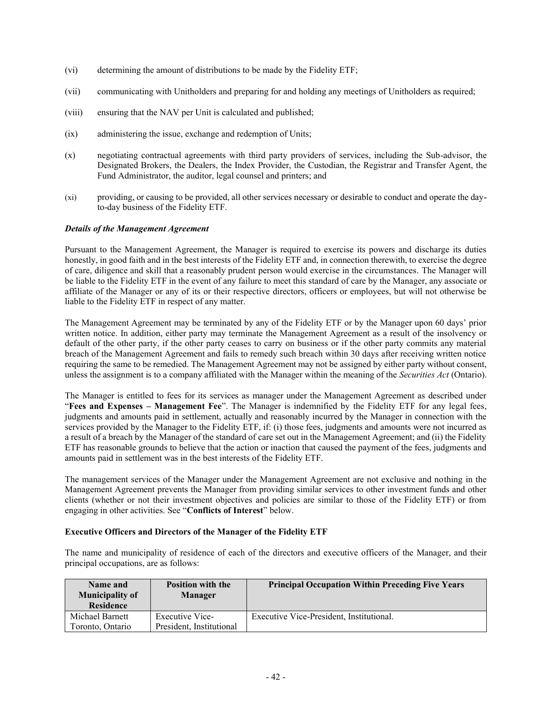- (vi) determining the amount of distributions to be made by the Fidelity ETF;
- (vii) communicating with Unitholders and preparing for and holding any meetings of Unitholders as required;
- (viii) ensuring that the NAV per Unit is calculated and published;
- (ix) administering the issue, exchange and redemption of Units;
- (x) negotiating contractual agreements with third party providers of services, including the Sub-advisor, the Designated Brokers, the Dealers, the Index Provider, the Custodian, the Registrar and Transfer Agent, the Fund Administrator, the auditor, legal counsel and printers; and
- (xi) providing, or causing to be provided, all other services necessary or desirable to conduct and operate the dayto-day business of the Fidelity ETF.

## *Details of the Management Agreement*

Pursuant to the Management Agreement, the Manager is required to exercise its powers and discharge its duties honestly, in good faith and in the best interests of the Fidelity ETF and, in connection therewith, to exercise the degree of care, diligence and skill that a reasonably prudent person would exercise in the circumstances. The Manager will be liable to the Fidelity ETF in the event of any failure to meet this standard of care by the Manager, any associate or affiliate of the Manager or any of its or their respective directors, officers or employees, but will not otherwise be liable to the Fidelity ETF in respect of any matter.

The Management Agreement may be terminated by any of the Fidelity ETF or by the Manager upon 60 days' prior written notice. In addition, either party may terminate the Management Agreement as a result of the insolvency or default of the other party, if the other party ceases to carry on business or if the other party commits any material breach of the Management Agreement and fails to remedy such breach within 30 days after receiving written notice requiring the same to be remedied. The Management Agreement may not be assigned by either party without consent, unless the assignment is to a company affiliated with the Manager within the meaning of the *Securities Act* (Ontario).

The Manager is entitled to fees for its services as manager under the Management Agreement as described under "**[Fees and Expenses](#page-19-0) – [Management Fee](#page-20-0)**". The Manager is indemnified by the Fidelity ETF for any legal fees, judgments and amounts paid in settlement, actually and reasonably incurred by the Manager in connection with the services provided by the Manager to the Fidelity ETF, if: (i) those fees, judgments and amounts were not incurred as a result of a breach by the Manager of the standard of care set out in the Management Agreement; and (ii) the Fidelity ETF has reasonable grounds to believe that the action or inaction that caused the payment of the fees, judgments and amounts paid in settlement was in the best interests of the Fidelity ETF.

The management services of the Manager under the Management Agreement are not exclusive and nothing in the Management Agreement prevents the Manager from providing similar services to other investment funds and other clients (whether or not their investment objectives and policies are similar to those of the Fidelity ETF) or from engaging in other activities. See "**[Conflicts of Interest](#page-48-0)**" below.

## **Executive Officers and Directors of the Manager of the Fidelity ETF**

The name and municipality of residence of each of the directors and executive officers of the Manager, and their principal occupations, are as follows:

| Name and<br><b>Municipality of</b><br>Residence | <b>Position with the</b><br>Manager | <b>Principal Occupation Within Preceding Five Years</b> |
|-------------------------------------------------|-------------------------------------|---------------------------------------------------------|
| Michael Barnett                                 | <b>Executive Vice-</b>              | Executive Vice-President, Institutional.                |
| Toronto, Ontario                                | President, Institutional            |                                                         |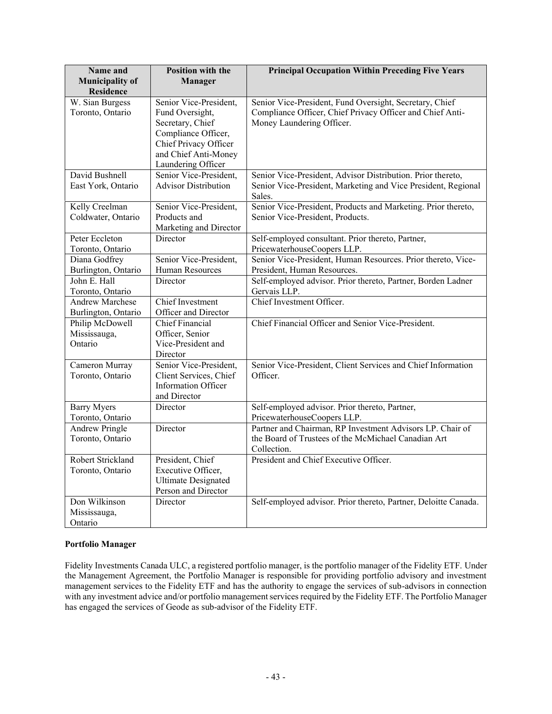| Name and<br><b>Municipality of</b><br>Residence | <b>Position with the</b><br><b>Manager</b>                                                                                                                  | <b>Principal Occupation Within Preceding Five Years</b>                                                                                           |
|-------------------------------------------------|-------------------------------------------------------------------------------------------------------------------------------------------------------------|---------------------------------------------------------------------------------------------------------------------------------------------------|
| W. Sian Burgess<br>Toronto, Ontario             | Senior Vice-President,<br>Fund Oversight,<br>Secretary, Chief<br>Compliance Officer,<br>Chief Privacy Officer<br>and Chief Anti-Money<br>Laundering Officer | Senior Vice-President, Fund Oversight, Secretary, Chief<br>Compliance Officer, Chief Privacy Officer and Chief Anti-<br>Money Laundering Officer. |
| David Bushnell<br>East York, Ontario            | Senior Vice-President,<br><b>Advisor Distribution</b>                                                                                                       | Senior Vice-President, Advisor Distribution. Prior thereto,<br>Senior Vice-President, Marketing and Vice President, Regional<br>Sales.            |
| Kelly Creelman<br>Coldwater, Ontario            | Senior Vice-President,<br>Products and<br>Marketing and Director                                                                                            | Senior Vice-President, Products and Marketing. Prior thereto,<br>Senior Vice-President, Products.                                                 |
| Peter Eccleton<br>Toronto, Ontario              | Director                                                                                                                                                    | Self-employed consultant. Prior thereto, Partner,<br>PricewaterhouseCoopers LLP.                                                                  |
| Diana Godfrey<br>Burlington, Ontario            | Senior Vice-President,<br>Human Resources                                                                                                                   | Senior Vice-President, Human Resources. Prior thereto, Vice-<br>President, Human Resources.                                                       |
| John E. Hall<br>Toronto, Ontario                | Director                                                                                                                                                    | Self-employed advisor. Prior thereto, Partner, Borden Ladner<br>Gervais LLP.                                                                      |
| <b>Andrew Marchese</b><br>Burlington, Ontario   | <b>Chief Investment</b><br>Officer and Director                                                                                                             | Chief Investment Officer.                                                                                                                         |
| Philip McDowell<br>Mississauga,<br>Ontario      | <b>Chief Financial</b><br>Officer, Senior<br>Vice-President and<br>Director                                                                                 | Chief Financial Officer and Senior Vice-President.                                                                                                |
| Cameron Murray<br>Toronto, Ontario              | Senior Vice-President,<br>Client Services, Chief<br><b>Information Officer</b><br>and Director                                                              | Senior Vice-President, Client Services and Chief Information<br>Officer.                                                                          |
| <b>Barry Myers</b><br>Toronto, Ontario          | Director                                                                                                                                                    | Self-employed advisor. Prior thereto, Partner,<br>PricewaterhouseCoopers LLP.                                                                     |
| <b>Andrew Pringle</b><br>Toronto, Ontario       | Director                                                                                                                                                    | Partner and Chairman, RP Investment Advisors LP. Chair of<br>the Board of Trustees of the McMichael Canadian Art<br>Collection.                   |
| <b>Robert Strickland</b><br>Toronto, Ontario    | President, Chief<br>Executive Officer,<br><b>Ultimate Designated</b><br>Person and Director                                                                 | President and Chief Executive Officer.                                                                                                            |
| Don Wilkinson<br>Mississauga,<br>Ontario        | Director                                                                                                                                                    | Self-employed advisor. Prior thereto, Partner, Deloitte Canada.                                                                                   |

# <span id="page-45-0"></span>**Portfolio Manager**

Fidelity Investments Canada ULC, a registered portfolio manager, is the portfolio manager of the Fidelity ETF. Under the Management Agreement, the Portfolio Manager is responsible for providing portfolio advisory and investment management services to the Fidelity ETF and has the authority to engage the services of sub-advisors in connection with any investment advice and/or portfolio management services required by the Fidelity ETF. The Portfolio Manager has engaged the services of Geode as sub-advisor of the Fidelity ETF.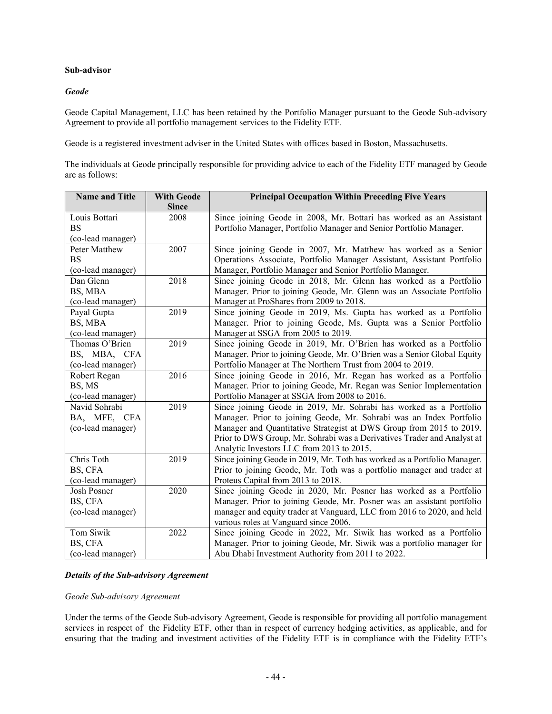## **Sub-advisor**

# *Geode*

Geode Capital Management, LLC has been retained by the Portfolio Manager pursuant to the Geode Sub-advisory Agreement to provide all portfolio management services to the Fidelity ETF.

Geode is a registered investment adviser in the United States with offices based in Boston, Massachusetts.

The individuals at Geode principally responsible for providing advice to each of the Fidelity ETF managed by Geode are as follows:

| <b>Name and Title</b> | <b>With Geode</b><br><b>Since</b> | <b>Principal Occupation Within Preceding Five Years</b>                                                                                        |
|-----------------------|-----------------------------------|------------------------------------------------------------------------------------------------------------------------------------------------|
| Louis Bottari         | 2008                              | Since joining Geode in 2008, Mr. Bottari has worked as an Assistant                                                                            |
| <b>BS</b>             |                                   | Portfolio Manager, Portfolio Manager and Senior Portfolio Manager.                                                                             |
| (co-lead manager)     |                                   |                                                                                                                                                |
| Peter Matthew         | 2007                              | Since joining Geode in 2007, Mr. Matthew has worked as a Senior                                                                                |
| <b>BS</b>             |                                   | Operations Associate, Portfolio Manager Assistant, Assistant Portfolio                                                                         |
| (co-lead manager)     |                                   | Manager, Portfolio Manager and Senior Portfolio Manager.                                                                                       |
| Dan Glenn             | 2018                              | Since joining Geode in 2018, Mr. Glenn has worked as a Portfolio                                                                               |
| BS, MBA               |                                   | Manager. Prior to joining Geode, Mr. Glenn was an Associate Portfolio                                                                          |
| (co-lead manager)     |                                   | Manager at ProShares from 2009 to 2018.                                                                                                        |
| Payal Gupta           | 2019                              | Since joining Geode in 2019, Ms. Gupta has worked as a Portfolio                                                                               |
| BS, MBA               |                                   | Manager. Prior to joining Geode, Ms. Gupta was a Senior Portfolio                                                                              |
| (co-lead manager)     |                                   | Manager at SSGA from 2005 to 2019.                                                                                                             |
| Thomas O'Brien        | 2019                              | Since joining Geode in 2019, Mr. O'Brien has worked as a Portfolio                                                                             |
| BS, MBA, CFA          |                                   | Manager. Prior to joining Geode, Mr. O'Brien was a Senior Global Equity                                                                        |
| (co-lead manager)     |                                   | Portfolio Manager at The Northern Trust from 2004 to 2019.                                                                                     |
| Robert Regan          | 2016                              | Since joining Geode in 2016, Mr. Regan has worked as a Portfolio                                                                               |
| BS, MS                |                                   | Manager. Prior to joining Geode, Mr. Regan was Senior Implementation                                                                           |
| (co-lead manager)     |                                   | Portfolio Manager at SSGA from 2008 to 2016.                                                                                                   |
| Navid Sohrabi         | 2019                              | Since joining Geode in 2019, Mr. Sohrabi has worked as a Portfolio                                                                             |
| BA, MFE, CFA          |                                   | Manager. Prior to joining Geode, Mr. Sohrabi was an Index Portfolio                                                                            |
| (co-lead manager)     |                                   | Manager and Quantitative Strategist at DWS Group from 2015 to 2019.<br>Prior to DWS Group, Mr. Sohrabi was a Derivatives Trader and Analyst at |
|                       |                                   | Analytic Investors LLC from 2013 to 2015.                                                                                                      |
| Chris Toth            | 2019                              | Since joining Geode in 2019, Mr. Toth has worked as a Portfolio Manager.                                                                       |
| BS, CFA               |                                   | Prior to joining Geode, Mr. Toth was a portfolio manager and trader at                                                                         |
| (co-lead manager)     |                                   | Proteus Capital from 2013 to 2018.                                                                                                             |
| Josh Posner           | 2020                              | Since joining Geode in 2020, Mr. Posner has worked as a Portfolio                                                                              |
| BS, CFA               |                                   | Manager. Prior to joining Geode, Mr. Posner was an assistant portfolio                                                                         |
| (co-lead manager)     |                                   | manager and equity trader at Vanguard, LLC from 2016 to 2020, and held                                                                         |
|                       |                                   | various roles at Vanguard since 2006.                                                                                                          |
| Tom Siwik             | 2022                              | Since joining Geode in 2022, Mr. Siwik has worked as a Portfolio                                                                               |
| BS, CFA               |                                   | Manager. Prior to joining Geode, Mr. Siwik was a portfolio manager for                                                                         |
| (co-lead manager)     |                                   | Abu Dhabi Investment Authority from 2011 to 2022.                                                                                              |

## *Details of the Sub-advisory Agreement*

## *Geode Sub-advisory Agreement*

Under the terms of the Geode Sub-advisory Agreement, Geode is responsible for providing all portfolio management services in respect of the Fidelity ETF, other than in respect of currency hedging activities, as applicable, and for ensuring that the trading and investment activities of the Fidelity ETF is in compliance with the Fidelity ETF's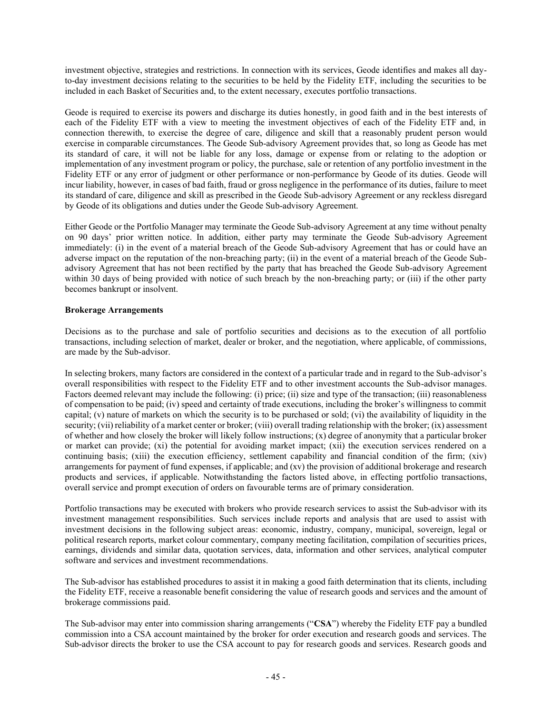investment objective, strategies and restrictions. In connection with its services, Geode identifies and makes all dayto-day investment decisions relating to the securities to be held by the Fidelity ETF, including the securities to be included in each Basket of Securities and, to the extent necessary, executes portfolio transactions.

Geode is required to exercise its powers and discharge its duties honestly, in good faith and in the best interests of each of the Fidelity ETF with a view to meeting the investment objectives of each of the Fidelity ETF and, in connection therewith, to exercise the degree of care, diligence and skill that a reasonably prudent person would exercise in comparable circumstances. The Geode Sub-advisory Agreement provides that, so long as Geode has met its standard of care, it will not be liable for any loss, damage or expense from or relating to the adoption or implementation of any investment program or policy, the purchase, sale or retention of any portfolio investment in the Fidelity ETF or any error of judgment or other performance or non-performance by Geode of its duties. Geode will incur liability, however, in cases of bad faith, fraud or gross negligence in the performance of its duties, failure to meet its standard of care, diligence and skill as prescribed in the Geode Sub-advisory Agreement or any reckless disregard by Geode of its obligations and duties under the Geode Sub-advisory Agreement.

Either Geode or the Portfolio Manager may terminate the Geode Sub-advisory Agreement at any time without penalty on 90 days' prior written notice. In addition, either party may terminate the Geode Sub-advisory Agreement immediately: (i) in the event of a material breach of the Geode Sub-advisory Agreement that has or could have an adverse impact on the reputation of the non-breaching party; (ii) in the event of a material breach of the Geode Subadvisory Agreement that has not been rectified by the party that has breached the Geode Sub-advisory Agreement within 30 days of being provided with notice of such breach by the non-breaching party; or (iii) if the other party becomes bankrupt or insolvent.

## **Brokerage Arrangements**

Decisions as to the purchase and sale of portfolio securities and decisions as to the execution of all portfolio transactions, including selection of market, dealer or broker, and the negotiation, where applicable, of commissions, are made by the Sub-advisor.

In selecting brokers, many factors are considered in the context of a particular trade and in regard to the Sub-advisor's overall responsibilities with respect to the Fidelity ETF and to other investment accounts the Sub-advisor manages. Factors deemed relevant may include the following: (i) price; (ii) size and type of the transaction; (iii) reasonableness of compensation to be paid; (iv) speed and certainty of trade executions, including the broker's willingness to commit capital; (v) nature of markets on which the security is to be purchased or sold; (vi) the availability of liquidity in the security; (vii) reliability of a market center or broker; (viii) overall trading relationship with the broker; (ix) assessment of whether and how closely the broker will likely follow instructions; (x) degree of anonymity that a particular broker or market can provide; (xi) the potential for avoiding market impact; (xii) the execution services rendered on a continuing basis; (xiii) the execution efficiency, settlement capability and financial condition of the firm; (xiv) arrangements for payment of fund expenses, if applicable; and (xv) the provision of additional brokerage and research products and services, if applicable. Notwithstanding the factors listed above, in effecting portfolio transactions, overall service and prompt execution of orders on favourable terms are of primary consideration.

Portfolio transactions may be executed with brokers who provide research services to assist the Sub-advisor with its investment management responsibilities. Such services include reports and analysis that are used to assist with investment decisions in the following subject areas: economic, industry, company, municipal, sovereign, legal or political research reports, market colour commentary, company meeting facilitation, compilation of securities prices, earnings, dividends and similar data, quotation services, data, information and other services, analytical computer software and services and investment recommendations.

The Sub-advisor has established procedures to assist it in making a good faith determination that its clients, including the Fidelity ETF, receive a reasonable benefit considering the value of research goods and services and the amount of brokerage commissions paid.

The Sub-advisor may enter into commission sharing arrangements ("**CSA**") whereby the Fidelity ETF pay a bundled commission into a CSA account maintained by the broker for order execution and research goods and services. The Sub-advisor directs the broker to use the CSA account to pay for research goods and services. Research goods and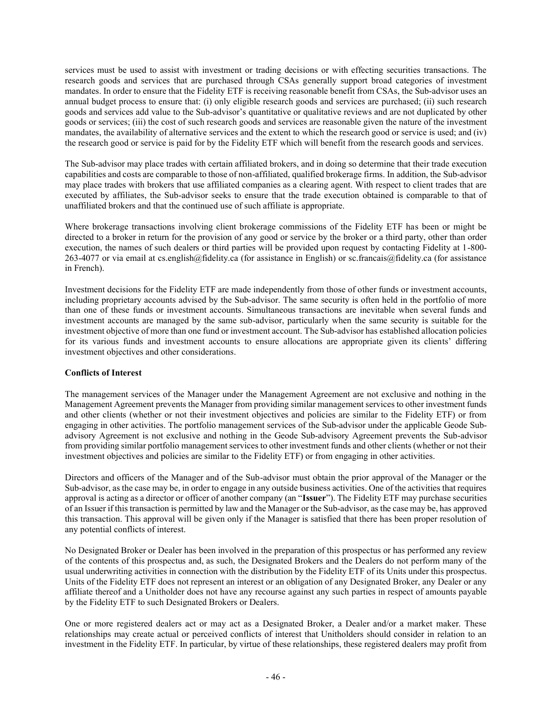services must be used to assist with investment or trading decisions or with effecting securities transactions. The research goods and services that are purchased through CSAs generally support broad categories of investment mandates. In order to ensure that the Fidelity ETF is receiving reasonable benefit from CSAs, the Sub-advisor uses an annual budget process to ensure that: (i) only eligible research goods and services are purchased; (ii) such research goods and services add value to the Sub-advisor's quantitative or qualitative reviews and are not duplicated by other goods or services; (iii) the cost of such research goods and services are reasonable given the nature of the investment mandates, the availability of alternative services and the extent to which the research good or service is used; and (iv) the research good or service is paid for by the Fidelity ETF which will benefit from the research goods and services.

The Sub-advisor may place trades with certain affiliated brokers, and in doing so determine that their trade execution capabilities and costs are comparable to those of non-affiliated, qualified brokerage firms. In addition, the Sub-advisor may place trades with brokers that use affiliated companies as a clearing agent. With respect to client trades that are executed by affiliates, the Sub-advisor seeks to ensure that the trade execution obtained is comparable to that of unaffiliated brokers and that the continued use of such affiliate is appropriate.

Where brokerage transactions involving client brokerage commissions of the Fidelity ETF has been or might be directed to a broker in return for the provision of any good or service by the broker or a third party, other than order execution, the names of such dealers or third parties will be provided upon request by contacting Fidelity at 1-800- 263-4077 or via email at cs.english@fidelity.ca (for assistance in English) or sc.francais@fidelity.ca (for assistance in French).

Investment decisions for the Fidelity ETF are made independently from those of other funds or investment accounts, including proprietary accounts advised by the Sub-advisor. The same security is often held in the portfolio of more than one of these funds or investment accounts. Simultaneous transactions are inevitable when several funds and investment accounts are managed by the same sub-advisor, particularly when the same security is suitable for the investment objective of more than one fund or investment account. The Sub-advisor has established allocation policies for its various funds and investment accounts to ensure allocations are appropriate given its clients' differing investment objectives and other considerations.

## <span id="page-48-0"></span>**Conflicts of Interest**

The management services of the Manager under the Management Agreement are not exclusive and nothing in the Management Agreement prevents the Manager from providing similar management services to other investment funds and other clients (whether or not their investment objectives and policies are similar to the Fidelity ETF) or from engaging in other activities. The portfolio management services of the Sub-advisor under the applicable Geode Subadvisory Agreement is not exclusive and nothing in the Geode Sub-advisory Agreement prevents the Sub-advisor from providing similar portfolio management services to other investment funds and other clients (whether or not their investment objectives and policies are similar to the Fidelity ETF) or from engaging in other activities.

Directors and officers of the Manager and of the Sub-advisor must obtain the prior approval of the Manager or the Sub-advisor, as the case may be, in order to engage in any outside business activities. One of the activities that requires approval is acting as a director or officer of another company (an "**Issuer**"). The Fidelity ETF may purchase securities of an Issuer if this transaction is permitted by law and the Manager or the Sub-advisor, as the case may be, has approved this transaction. This approval will be given only if the Manager is satisfied that there has been proper resolution of any potential conflicts of interest.

No Designated Broker or Dealer has been involved in the preparation of this prospectus or has performed any review of the contents of this prospectus and, as such, the Designated Brokers and the Dealers do not perform many of the usual underwriting activities in connection with the distribution by the Fidelity ETF of its Units under this prospectus. Units of the Fidelity ETF does not represent an interest or an obligation of any Designated Broker, any Dealer or any affiliate thereof and a Unitholder does not have any recourse against any such parties in respect of amounts payable by the Fidelity ETF to such Designated Brokers or Dealers.

One or more registered dealers act or may act as a Designated Broker, a Dealer and/or a market maker. These relationships may create actual or perceived conflicts of interest that Unitholders should consider in relation to an investment in the Fidelity ETF. In particular, by virtue of these relationships, these registered dealers may profit from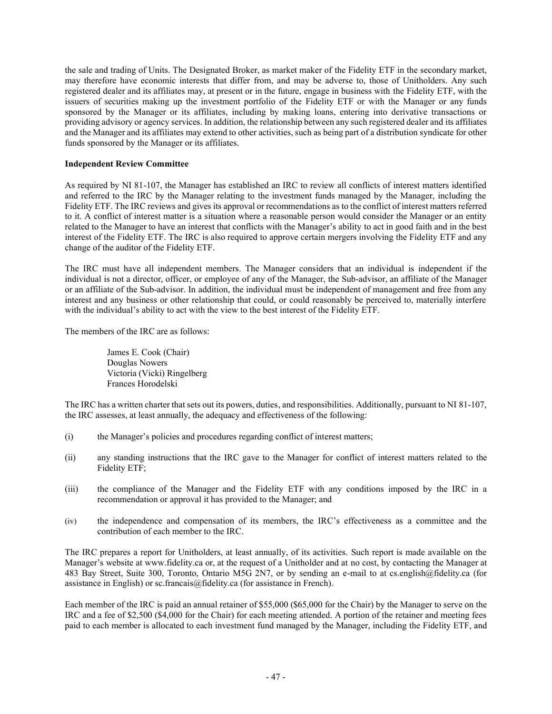the sale and trading of Units. The Designated Broker, as market maker of the Fidelity ETF in the secondary market, may therefore have economic interests that differ from, and may be adverse to, those of Unitholders. Any such registered dealer and its affiliates may, at present or in the future, engage in business with the Fidelity ETF, with the issuers of securities making up the investment portfolio of the Fidelity ETF or with the Manager or any funds sponsored by the Manager or its affiliates, including by making loans, entering into derivative transactions or providing advisory or agency services. In addition, the relationship between any such registered dealer and its affiliates and the Manager and its affiliates may extend to other activities, such as being part of a distribution syndicate for other funds sponsored by the Manager or its affiliates.

## **Independent Review Committee**

As required by NI 81-107, the Manager has established an IRC to review all conflicts of interest matters identified and referred to the IRC by the Manager relating to the investment funds managed by the Manager, including the Fidelity ETF. The IRC reviews and gives its approval or recommendations as to the conflict of interest matters referred to it. A conflict of interest matter is a situation where a reasonable person would consider the Manager or an entity related to the Manager to have an interest that conflicts with the Manager's ability to act in good faith and in the best interest of the Fidelity ETF. The IRC is also required to approve certain mergers involving the Fidelity ETF and any change of the auditor of the Fidelity ETF.

The IRC must have all independent members. The Manager considers that an individual is independent if the individual is not a director, officer, or employee of any of the Manager, the Sub-advisor, an affiliate of the Manager or an affiliate of the Sub-advisor. In addition, the individual must be independent of management and free from any interest and any business or other relationship that could, or could reasonably be perceived to, materially interfere with the individual's ability to act with the view to the best interest of the Fidelity ETF.

The members of the IRC are as follows:

James E. Cook (Chair) Douglas Nowers Victoria (Vicki) Ringelberg Frances Horodelski

The IRC has a written charter that sets out its powers, duties, and responsibilities. Additionally, pursuant to NI 81-107, the IRC assesses, at least annually, the adequacy and effectiveness of the following:

- (i) the Manager's policies and procedures regarding conflict of interest matters;
- (ii) any standing instructions that the IRC gave to the Manager for conflict of interest matters related to the Fidelity ETF;
- (iii) the compliance of the Manager and the Fidelity ETF with any conditions imposed by the IRC in a recommendation or approval it has provided to the Manager; and
- (iv) the independence and compensation of its members, the IRC's effectiveness as a committee and the contribution of each member to the IRC.

The IRC prepares a report for Unitholders, at least annually, of its activities. Such report is made available on the Manager's website at www.fidelity.ca or, at the request of a Unitholder and at no cost, by contacting the Manager at 483 Bay Street, Suite 300, Toronto, Ontario M5G 2N7, or by sending an e-mail to at cs.english@fidelity.ca (for assistance in English) or sc.francais@fidelity.ca (for assistance in French).

Each member of the IRC is paid an annual retainer of \$55,000 (\$65,000 for the Chair) by the Manager to serve on the IRC and a fee of \$2,500 (\$4,000 for the Chair) for each meeting attended. A portion of the retainer and meeting fees paid to each member is allocated to each investment fund managed by the Manager, including the Fidelity ETF, and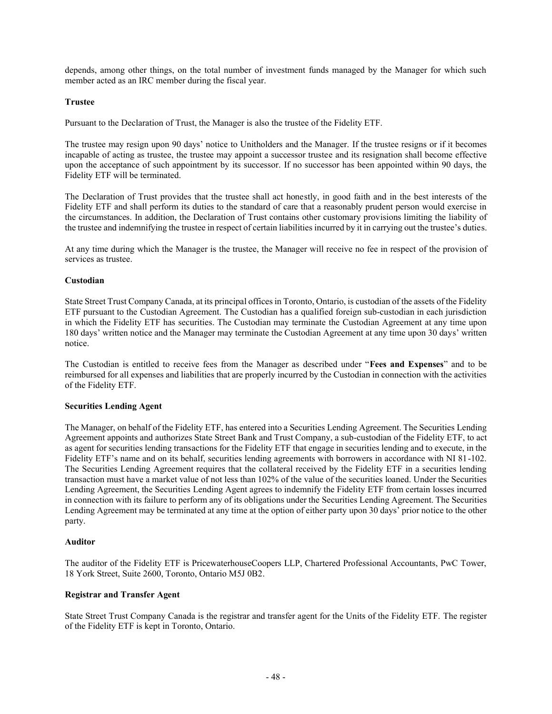depends, among other things, on the total number of investment funds managed by the Manager for which such member acted as an IRC member during the fiscal year.

## <span id="page-50-0"></span>**Trustee**

Pursuant to the Declaration of Trust, the Manager is also the trustee of the Fidelity ETF.

The trustee may resign upon 90 days' notice to Unitholders and the Manager. If the trustee resigns or if it becomes incapable of acting as trustee, the trustee may appoint a successor trustee and its resignation shall become effective upon the acceptance of such appointment by its successor. If no successor has been appointed within 90 days, the Fidelity ETF will be terminated.

The Declaration of Trust provides that the trustee shall act honestly, in good faith and in the best interests of the Fidelity ETF and shall perform its duties to the standard of care that a reasonably prudent person would exercise in the circumstances. In addition, the Declaration of Trust contains other customary provisions limiting the liability of the trustee and indemnifying the trustee in respect of certain liabilities incurred by it in carrying out the trustee's duties.

At any time during which the Manager is the trustee, the Manager will receive no fee in respect of the provision of services as trustee.

# <span id="page-50-1"></span>**Custodian**

State Street Trust Company Canada, at its principal offices in Toronto, Ontario, is custodian of the assets of the Fidelity ETF pursuant to the Custodian Agreement. The Custodian has a qualified foreign sub-custodian in each jurisdiction in which the Fidelity ETF has securities. The Custodian may terminate the Custodian Agreement at any time upon 180 days' written notice and the Manager may terminate the Custodian Agreement at any time upon 30 days' written notice.

The Custodian is entitled to receive fees from the Manager as described under "**[Fees and Expenses](#page-19-0)**" and to be reimbursed for all expenses and liabilities that are properly incurred by the Custodian in connection with the activities of the Fidelity ETF.

## <span id="page-50-2"></span>**Securities Lending Agent**

The Manager, on behalf of the Fidelity ETF, has entered into a Securities Lending Agreement. The Securities Lending Agreement appoints and authorizes State Street Bank and Trust Company, a sub-custodian of the Fidelity ETF, to act as agent for securities lending transactions for the Fidelity ETF that engage in securities lending and to execute, in the Fidelity ETF's name and on its behalf, securities lending agreements with borrowers in accordance with NI 81-102. The Securities Lending Agreement requires that the collateral received by the Fidelity ETF in a securities lending transaction must have a market value of not less than 102% of the value of the securities loaned. Under the Securities Lending Agreement, the Securities Lending Agent agrees to indemnify the Fidelity ETF from certain losses incurred in connection with its failure to perform any of its obligations under the Securities Lending Agreement. The Securities Lending Agreement may be terminated at any time at the option of either party upon 30 days' prior notice to the other party.

## <span id="page-50-4"></span>**Auditor**

The auditor of the Fidelity ETF is PricewaterhouseCoopers LLP, Chartered Professional Accountants, PwC Tower, 18 York Street, Suite 2600, Toronto, Ontario M5J 0B2.

## <span id="page-50-3"></span>**Registrar and Transfer Agent**

State Street Trust Company Canada is the registrar and transfer agent for the Units of the Fidelity ETF. The register of the Fidelity ETF is kept in Toronto, Ontario.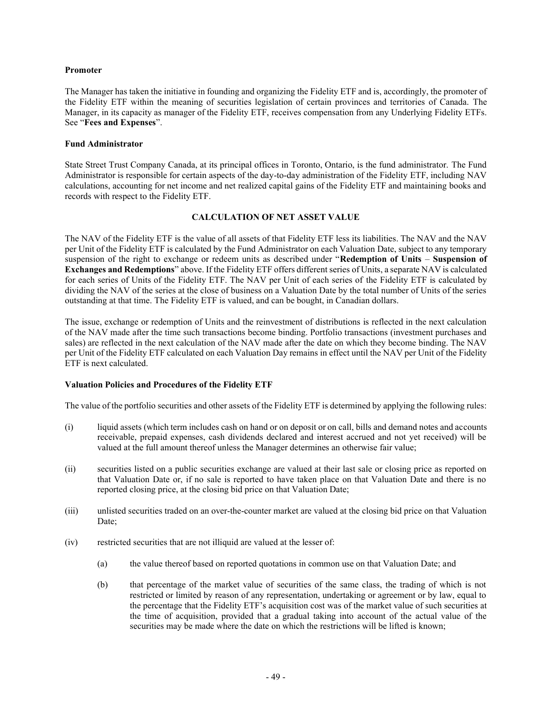#### <span id="page-51-1"></span>**Promoter**

The Manager has taken the initiative in founding and organizing the Fidelity ETF and is, accordingly, the promoter of the Fidelity ETF within the meaning of securities legislation of certain provinces and territories of Canada. The Manager, in its capacity as manager of the Fidelity ETF, receives compensation from any Underlying Fidelity ETFs. See "**[Fees and Expenses](#page-19-0)**".

#### <span id="page-51-2"></span>**Fund Administrator**

State Street Trust Company Canada, at its principal offices in Toronto, Ontario, is the fund administrator. The Fund Administrator is responsible for certain aspects of the day-to-day administration of the Fidelity ETF, including NAV calculations, accounting for net income and net realized capital gains of the Fidelity ETF and maintaining books and records with respect to the Fidelity ETF.

#### **CALCULATION OF NET ASSET VALUE**

<span id="page-51-0"></span>The NAV of the Fidelity ETF is the value of all assets of that Fidelity ETF less its liabilities. The NAV and the NAV per Unit of the Fidelity ETF is calculated by the Fund Administrator on each Valuation Date, subject to any temporary suspension of the right to exchange or redeem units as described under "**[Redemption of Units](#page-36-0)** – **[Suspension of](#page-38-1)  [Exchanges and Redemptions](#page-38-1)**" above. If the Fidelity ETF offers different series of Units, a separate NAV is calculated for each series of Units of the Fidelity ETF. The NAV per Unit of each series of the Fidelity ETF is calculated by dividing the NAV of the series at the close of business on a Valuation Date by the total number of Units of the series outstanding at that time. The Fidelity ETF is valued, and can be bought, in Canadian dollars.

The issue, exchange or redemption of Units and the reinvestment of distributions is reflected in the next calculation of the NAV made after the time such transactions become binding. Portfolio transactions (investment purchases and sales) are reflected in the next calculation of the NAV made after the date on which they become binding. The NAV per Unit of the Fidelity ETF calculated on each Valuation Day remains in effect until the NAV per Unit of the Fidelity ETF is next calculated.

## **Valuation Policies and Procedures of the Fidelity ETF**

The value of the portfolio securities and other assets of the Fidelity ETF is determined by applying the following rules:

- (i) liquid assets (which term includes cash on hand or on deposit or on call, bills and demand notes and accounts receivable, prepaid expenses, cash dividends declared and interest accrued and not yet received) will be valued at the full amount thereof unless the Manager determines an otherwise fair value;
- (ii) securities listed on a public securities exchange are valued at their last sale or closing price as reported on that Valuation Date or, if no sale is reported to have taken place on that Valuation Date and there is no reported closing price, at the closing bid price on that Valuation Date;
- (iii) unlisted securities traded on an over-the-counter market are valued at the closing bid price on that Valuation Date:
- (iv) restricted securities that are not illiquid are valued at the lesser of:
	- (a) the value thereof based on reported quotations in common use on that Valuation Date; and
	- (b) that percentage of the market value of securities of the same class, the trading of which is not restricted or limited by reason of any representation, undertaking or agreement or by law, equal to the percentage that the Fidelity ETF's acquisition cost was of the market value of such securities at the time of acquisition, provided that a gradual taking into account of the actual value of the securities may be made where the date on which the restrictions will be lifted is known;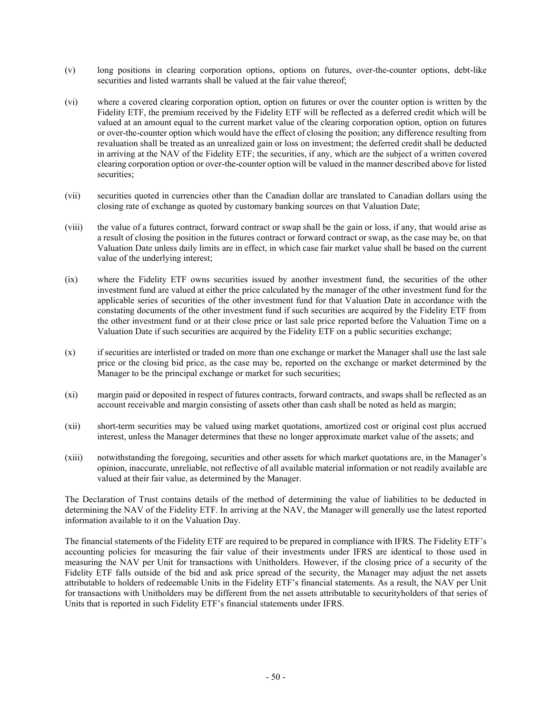- (v) long positions in clearing corporation options, options on futures, over-the-counter options, debt-like securities and listed warrants shall be valued at the fair value thereof;
- (vi) where a covered clearing corporation option, option on futures or over the counter option is written by the Fidelity ETF, the premium received by the Fidelity ETF will be reflected as a deferred credit which will be valued at an amount equal to the current market value of the clearing corporation option, option on futures or over-the-counter option which would have the effect of closing the position; any difference resulting from revaluation shall be treated as an unrealized gain or loss on investment; the deferred credit shall be deducted in arriving at the NAV of the Fidelity ETF; the securities, if any, which are the subject of a written covered clearing corporation option or over-the-counter option will be valued in the manner described above for listed securities;
- (vii) securities quoted in currencies other than the Canadian dollar are translated to Canadian dollars using the closing rate of exchange as quoted by customary banking sources on that Valuation Date;
- (viii) the value of a futures contract, forward contract or swap shall be the gain or loss, if any, that would arise as a result of closing the position in the futures contract or forward contract or swap, as the case may be, on that Valuation Date unless daily limits are in effect, in which case fair market value shall be based on the current value of the underlying interest;
- (ix) where the Fidelity ETF owns securities issued by another investment fund, the securities of the other investment fund are valued at either the price calculated by the manager of the other investment fund for the applicable series of securities of the other investment fund for that Valuation Date in accordance with the constating documents of the other investment fund if such securities are acquired by the Fidelity ETF from the other investment fund or at their close price or last sale price reported before the Valuation Time on a Valuation Date if such securities are acquired by the Fidelity ETF on a public securities exchange;
- (x) if securities are interlisted or traded on more than one exchange or market the Manager shall use the last sale price or the closing bid price, as the case may be, reported on the exchange or market determined by the Manager to be the principal exchange or market for such securities;
- (xi) margin paid or deposited in respect of futures contracts, forward contracts, and swaps shall be reflected as an account receivable and margin consisting of assets other than cash shall be noted as held as margin;
- (xii) short-term securities may be valued using market quotations, amortized cost or original cost plus accrued interest, unless the Manager determines that these no longer approximate market value of the assets; and
- (xiii) notwithstanding the foregoing, securities and other assets for which market quotations are, in the Manager's opinion, inaccurate, unreliable, not reflective of all available material information or not readily available are valued at their fair value, as determined by the Manager.

The Declaration of Trust contains details of the method of determining the value of liabilities to be deducted in determining the NAV of the Fidelity ETF. In arriving at the NAV, the Manager will generally use the latest reported information available to it on the Valuation Day.

The financial statements of the Fidelity ETF are required to be prepared in compliance with IFRS. The Fidelity ETF's accounting policies for measuring the fair value of their investments under IFRS are identical to those used in measuring the NAV per Unit for transactions with Unitholders. However, if the closing price of a security of the Fidelity ETF falls outside of the bid and ask price spread of the security, the Manager may adjust the net assets attributable to holders of redeemable Units in the Fidelity ETF's financial statements. As a result, the NAV per Unit for transactions with Unitholders may be different from the net assets attributable to securityholders of that series of Units that is reported in such Fidelity ETF's financial statements under IFRS.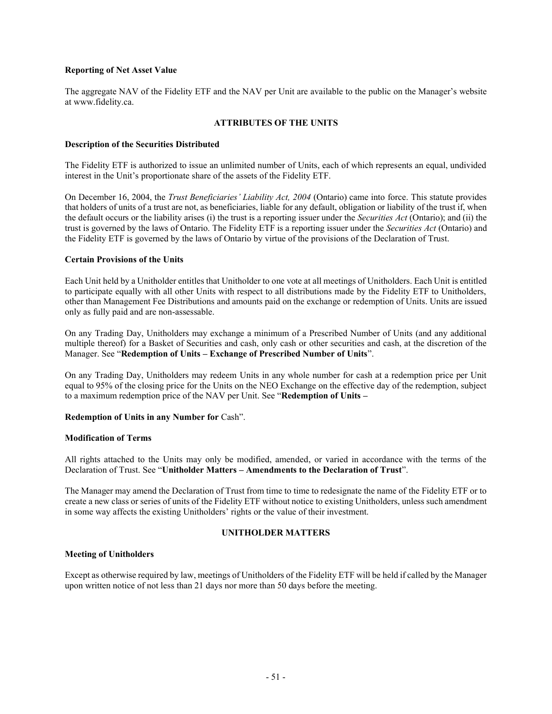#### **Reporting of Net Asset Value**

The aggregate NAV of the Fidelity ETF and the NAV per Unit are available to the public on the Manager's website at www.fidelity.ca.

#### **ATTRIBUTES OF THE UNITS**

#### <span id="page-53-0"></span>**Description of the Securities Distributed**

The Fidelity ETF is authorized to issue an unlimited number of Units, each of which represents an equal, undivided interest in the Unit's proportionate share of the assets of the Fidelity ETF.

On December 16, 2004, the *Trust Beneficiaries' Liability Act, 2004* (Ontario) came into force. This statute provides that holders of units of a trust are not, as beneficiaries, liable for any default, obligation or liability of the trust if, when the default occurs or the liability arises (i) the trust is a reporting issuer under the *Securities Act* (Ontario); and (ii) the trust is governed by the laws of Ontario. The Fidelity ETF is a reporting issuer under the *Securities Act* (Ontario) and the Fidelity ETF is governed by the laws of Ontario by virtue of the provisions of the Declaration of Trust.

#### **Certain Provisions of the Units**

Each Unit held by a Unitholder entitles that Unitholder to one vote at all meetings of Unitholders. Each Unit is entitled to participate equally with all other Units with respect to all distributions made by the Fidelity ETF to Unitholders, other than Management Fee Distributions and amounts paid on the exchange or redemption of Units. Units are issued only as fully paid and are non-assessable.

On any Trading Day, Unitholders may exchange a minimum of a Prescribed Number of Units (and any additional multiple thereof) for a Basket of Securities and cash, only cash or other securities and cash, at the discretion of the Manager. See "**[Redemption of Units](#page-36-0) – [Exchange of Prescribed Number of Units](#page-37-0)**".

On any Trading Day, Unitholders may redeem Units in any whole number for cash at a redemption price per Unit equal to 95% of the closing price for the Units on the NEO Exchange on the effecti[ve day of the redemption, subject](#page-36-1)  to a maximum redemption price of the NAV per Unit. See "**[Redemption of Units](#page-36-0) –**

#### **[Redemption of Units in any Number for](#page-36-1)** Cash".

#### **Modification of Terms**

All rights attached to the Units may only be modified, amended, or varied in accordance with the terms of the Declaration of Trust. See "**[Unitholder Matters](#page-53-1) – [Amendments to the Declaration of Trust](#page-55-0)**".

The Manager may amend the Declaration of Trust from time to time to redesignate the name of the Fidelity ETF or to create a new class or series of units of the Fidelity ETF without notice to existing Unitholders, unless such amendment in some way affects the existing Unitholders' rights or the value of their investment.

## **UNITHOLDER MATTERS**

#### <span id="page-53-1"></span>**Meeting of Unitholders**

Except as otherwise required by law, meetings of Unitholders of the Fidelity ETF will be held if called by the Manager upon written notice of not less than 21 days nor more than 50 days before the meeting.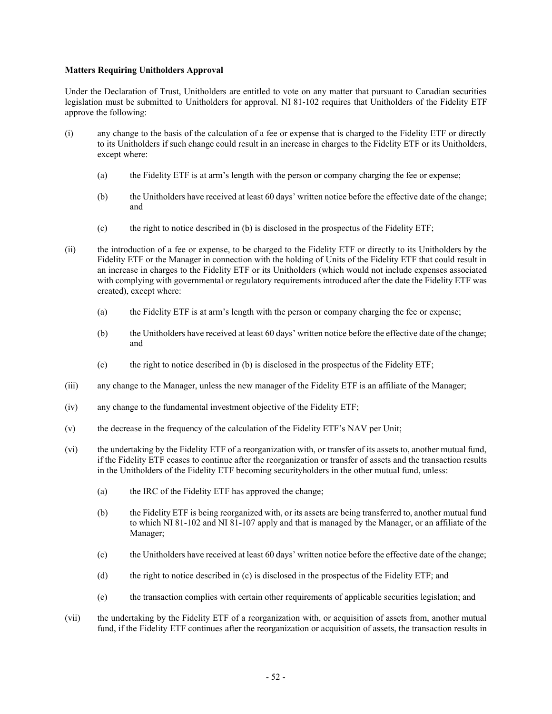#### <span id="page-54-0"></span>**Matters Requiring Unitholders Approval**

Under the Declaration of Trust, Unitholders are entitled to vote on any matter that pursuant to Canadian securities legislation must be submitted to Unitholders for approval. NI 81-102 requires that Unitholders of the Fidelity ETF approve the following:

- (i) any change to the basis of the calculation of a fee or expense that is charged to the Fidelity ETF or directly to its Unitholders if such change could result in an increase in charges to the Fidelity ETF or its Unitholders, except where:
	- (a) the Fidelity ETF is at arm's length with the person or company charging the fee or expense;
	- (b) the Unitholders have received at least 60 days' written notice before the effective date of the change; and
	- (c) the right to notice described in (b) is disclosed in the prospectus of the Fidelity ETF;
- (ii) the introduction of a fee or expense, to be charged to the Fidelity ETF or directly to its Unitholders by the Fidelity ETF or the Manager in connection with the holding of Units of the Fidelity ETF that could result in an increase in charges to the Fidelity ETF or its Unitholders (which would not include expenses associated with complying with governmental or regulatory requirements introduced after the date the Fidelity ETF was created), except where:
	- (a) the Fidelity ETF is at arm's length with the person or company charging the fee or expense;
	- (b) the Unitholders have received at least 60 days' written notice before the effective date of the change; and
	- (c) the right to notice described in (b) is disclosed in the prospectus of the Fidelity ETF;
- (iii) any change to the Manager, unless the new manager of the Fidelity ETF is an affiliate of the Manager;
- (iv) any change to the fundamental investment objective of the Fidelity ETF;
- (v) the decrease in the frequency of the calculation of the Fidelity ETF's NAV per Unit;
- (vi) the undertaking by the Fidelity ETF of a reorganization with, or transfer of its assets to, another mutual fund, if the Fidelity ETF ceases to continue after the reorganization or transfer of assets and the transaction results in the Unitholders of the Fidelity ETF becoming securityholders in the other mutual fund, unless:
	- (a) the IRC of the Fidelity ETF has approved the change;
	- (b) the Fidelity ETF is being reorganized with, or its assets are being transferred to, another mutual fund to which NI 81-102 and NI 81-107 apply and that is managed by the Manager, or an affiliate of the Manager;
	- (c) the Unitholders have received at least 60 days' written notice before the effective date of the change;
	- (d) the right to notice described in (c) is disclosed in the prospectus of the Fidelity ETF; and
	- (e) the transaction complies with certain other requirements of applicable securities legislation; and
- (vii) the undertaking by the Fidelity ETF of a reorganization with, or acquisition of assets from, another mutual fund, if the Fidelity ETF continues after the reorganization or acquisition of assets, the transaction results in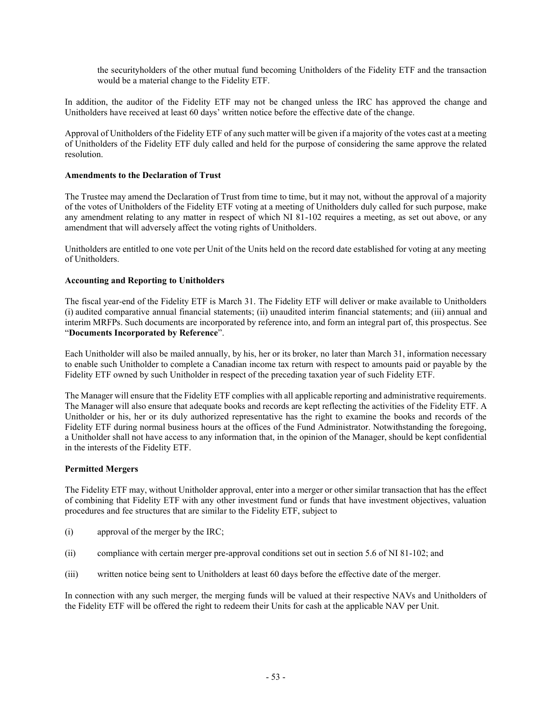the securityholders of the other mutual fund becoming Unitholders of the Fidelity ETF and the transaction would be a material change to the Fidelity ETF.

In addition, the auditor of the Fidelity ETF may not be changed unless the IRC has approved the change and Unitholders have received at least 60 days' written notice before the effective date of the change.

Approval of Unitholders of the Fidelity ETF of any such matter will be given if a majority of the votes cast at a meeting of Unitholders of the Fidelity ETF duly called and held for the purpose of considering the same approve the related resolution.

#### <span id="page-55-0"></span>**Amendments to the Declaration of Trust**

The Trustee may amend the Declaration of Trust from time to time, but it may not, without the approval of a majority of the votes of Unitholders of the Fidelity ETF voting at a meeting of Unitholders duly called for such purpose, make any amendment relating to any matter in respect of which NI 81-102 requires a meeting, as set out above, or any amendment that will adversely affect the voting rights of Unitholders.

Unitholders are entitled to one vote per Unit of the Units held on the record date established for voting at any meeting of Unitholders.

#### **Accounting and Reporting to Unitholders**

The fiscal year-end of the Fidelity ETF is March 31. The Fidelity ETF will deliver or make available to Unitholders (i) audited comparative annual financial statements; (ii) unaudited interim financial statements; and (iii) annual and interim MRFPs. Such documents are incorporated by reference into, and form an integral part of, this prospectus. See "**[Documents Incorporated by Reference](#page-60-0)**".

Each Unitholder will also be mailed annually, by his, her or its broker, no later than March 31, information necessary to enable such Unitholder to complete a Canadian income tax return with respect to amounts paid or payable by the Fidelity ETF owned by such Unitholder in respect of the preceding taxation year of such Fidelity ETF.

The Manager will ensure that the Fidelity ETF complies with all applicable reporting and administrative requirements. The Manager will also ensure that adequate books and records are kept reflecting the activities of the Fidelity ETF. A Unitholder or his, her or its duly authorized representative has the right to examine the books and records of the Fidelity ETF during normal business hours at the offices of the Fund Administrator. Notwithstanding the foregoing, a Unitholder shall not have access to any information that, in the opinion of the Manager, should be kept confidential in the interests of the Fidelity ETF.

#### **Permitted Mergers**

The Fidelity ETF may, without Unitholder approval, enter into a merger or other similar transaction that has the effect of combining that Fidelity ETF with any other investment fund or funds that have investment objectives, valuation procedures and fee structures that are similar to the Fidelity ETF, subject to

- (i) approval of the merger by the IRC;
- (ii) compliance with certain merger pre-approval conditions set out in section 5.6 of NI 81-102; and
- (iii) written notice being sent to Unitholders at least 60 days before the effective date of the merger.

In connection with any such merger, the merging funds will be valued at their respective NAVs and Unitholders of the Fidelity ETF will be offered the right to redeem their Units for cash at the applicable NAV per Unit.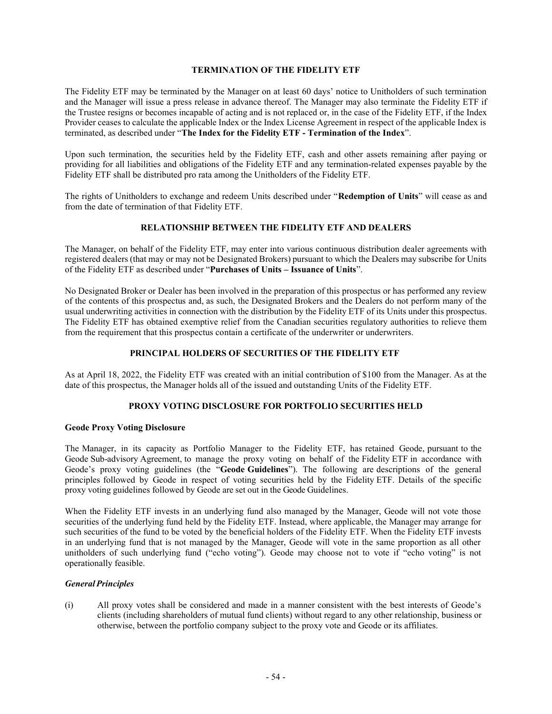# **TERMINATION OF THE FIDELITY ETF**

<span id="page-56-0"></span>The Fidelity ETF may be terminated by the Manager on at least 60 days' notice to Unitholders of such termination and the Manager will issue a press release in advance thereof. The Manager may also terminate the Fidelity ETF if the Trustee resigns or becomes incapable of acting and is not replaced or, in the case of the Fidelity ETF, if the Index Provider ceases to calculate the applicable Index or the Index License Agreement in respect of the applicable Index is terminated, as described under "**The Index for the Fidelity ETF - Termination of the Index**".

Upon such termination, the securities held by the Fidelity ETF, cash and other assets remaining after paying or providing for all liabilities and obligations of the Fidelity ETF and any termination-related expenses payable by the Fidelity ETF shall be distributed pro rata among the Unitholders of the Fidelity ETF.

The rights of Unitholders to exchange and redeem Units described under "**[Redemption of Units](#page-36-0)**" will cease as and from the date of termination of that Fidelity ETF.

# **RELATIONSHIP BETWEEN THE FIDELITY ETF AND DEALERS**

<span id="page-56-1"></span>The Manager, on behalf of the Fidelity ETF, may enter into various continuous distribution dealer agreements with registered dealers (that may or may not be Designated Brokers) pursuant to which the Dealers may subscribe for Units of the Fidelity ETF as described under "**[Purchases of Units](#page-34-0) – [Issuance of Units](#page-34-1)**".

No Designated Broker or Dealer has been involved in the preparation of this prospectus or has performed any review of the contents of this prospectus and, as such, the Designated Brokers and the Dealers do not perform many of the usual underwriting activities in connection with the distribution by the Fidelity ETF of its Units under this prospectus. The Fidelity ETF has obtained exemptive relief from the Canadian securities regulatory authorities to relieve them from the requirement that this prospectus contain a certificate of the underwriter or underwriters.

# **PRINCIPAL HOLDERS OF SECURITIES OF THE FIDELITY ETF**

<span id="page-56-3"></span><span id="page-56-2"></span>As at April 18, 2022, the Fidelity ETF was created with an initial contribution of \$100 from the Manager. As at the date of this prospectus, the Manager holds all of the issued and outstanding Units of the Fidelity ETF.

# **PROXY VOTING DISCLOSURE FOR PORTFOLIO SECURITIES HELD**

## **Geode Proxy Voting Disclosure**

The Manager, in its capacity as Portfolio Manager to the Fidelity ETF, has retained Geode, pursuant to the Geode Sub-advisory Agreement, to manage the proxy voting on behalf of the Fidelity ETF in accordance with Geode's proxy voting guidelines (the "**Geode Guidelines**"). The following are descriptions of the general principles followed by Geode in respect of voting securities held by the Fidelity ETF. Details of the specific proxy voting guidelines followed by Geode are set out in the Geode Guidelines.

When the Fidelity ETF invests in an underlying fund also managed by the Manager, Geode will not vote those securities of the underlying fund held by the Fidelity ETF. Instead, where applicable, the Manager may arrange for such securities of the fund to be voted by the beneficial holders of the Fidelity ETF. When the Fidelity ETF invests in an underlying fund that is not managed by the Manager, Geode will vote in the same proportion as all other unitholders of such underlying fund ("echo voting"). Geode may choose not to vote if "echo voting" is not operationally feasible.

## *General Principles*

(i) All proxy votes shall be considered and made in a manner consistent with the best interests of Geode's clients (including shareholders of mutual fund clients) without regard to any other relationship, business or otherwise, between the portfolio company subject to the proxy vote and Geode or its affiliates.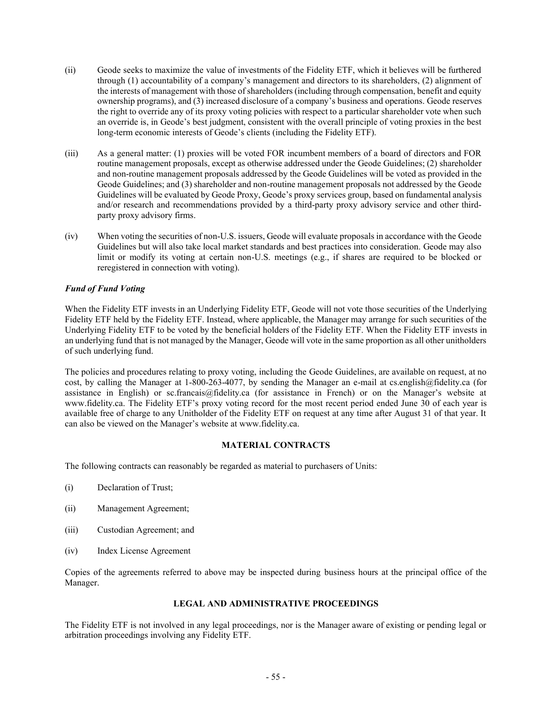- (ii) Geode seeks to maximize the value of investments of the Fidelity ETF, which it believes will be furthered through (1) accountability of a company's management and directors to its shareholders, (2) alignment of the interests of management with those of shareholders (including through compensation, benefit and equity ownership programs), and (3) increased disclosure of a company's business and operations. Geode reserves the right to override any of its proxy voting policies with respect to a particular shareholder vote when such an override is, in Geode's best judgment, consistent with the overall principle of voting proxies in the best long-term economic interests of Geode's clients (including the Fidelity ETF).
- (iii) As a general matter: (1) proxies will be voted FOR incumbent members of a board of directors and FOR routine management proposals, except as otherwise addressed under the Geode Guidelines; (2) shareholder and non-routine management proposals addressed by the Geode Guidelines will be voted as provided in the Geode Guidelines; and (3) shareholder and non-routine management proposals not addressed by the Geode Guidelines will be evaluated by Geode Proxy, Geode's proxy services group, based on fundamental analysis and/or research and recommendations provided by a third-party proxy advisory service and other thirdparty proxy advisory firms.
- (iv) When voting the securities of non-U.S. issuers, Geode will evaluate proposals in accordance with the Geode Guidelines but will also take local market standards and best practices into consideration. Geode may also limit or modify its voting at certain non-U.S. meetings (e.g., if shares are required to be blocked or reregistered in connection with voting).

# *Fund of Fund Voting*

When the Fidelity ETF invests in an Underlying Fidelity ETF, Geode will not vote those securities of the Underlying Fidelity ETF held by the Fidelity ETF. Instead, where applicable, the Manager may arrange for such securities of the Underlying Fidelity ETF to be voted by the beneficial holders of the Fidelity ETF. When the Fidelity ETF invests in an underlying fund that is not managed by the Manager, Geode will vote in the same proportion as all other unitholders of such underlying fund.

The policies and procedures relating to proxy voting, including the Geode Guidelines, are available on request, at no cost, by calling the Manager at 1-800-263-4077, by sending the Manager an e-mail at cs.english@fidelity.ca (for assistance in English) or sc.francais@fidelity.ca (for assistance in French) or on the Manager's website at www.fidelity.ca. The Fidelity ETF's proxy voting record for the most recent period ended June 30 of each year is available free of charge to any Unitholder of the Fidelity ETF on request at any time after August 31 of that year. It can also be viewed on the Manager's website at www.fidelity.ca.

## **MATERIAL CONTRACTS**

<span id="page-57-0"></span>The following contracts can reasonably be regarded as material to purchasers of Units:

- (i) Declaration of Trust;
- (ii) Management Agreement;
- (iii) Custodian Agreement; and
- (iv) Index License Agreement

Copies of the agreements referred to above may be inspected during business hours at the principal office of the Manager.

#### **LEGAL AND ADMINISTRATIVE PROCEEDINGS**

<span id="page-57-1"></span>The Fidelity ETF is not involved in any legal proceedings, nor is the Manager aware of existing or pending legal or arbitration proceedings involving any Fidelity ETF.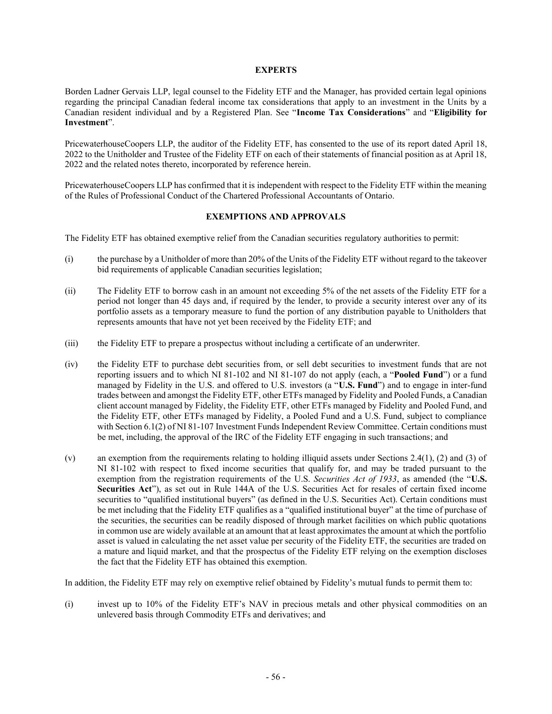#### **EXPERTS**

<span id="page-58-0"></span>Borden Ladner Gervais LLP, legal counsel to the Fidelity ETF and the Manager, has provided certain legal opinions regarding the principal Canadian federal income tax considerations that apply to an investment in the Units by a Canadian resident individual and by a Registered Plan. See "**[Income Tax Considerations](#page-38-0)**" and "**[Eligibility for](#page-42-1)  [Investment](#page-42-1)**".

PricewaterhouseCoopers LLP, the auditor of the Fidelity ETF, has consented to the use of its report dated April 18, 2022 to the Unitholder and Trustee of the Fidelity ETF on each of their statements of financial position as at April 18, 2022 and the related notes thereto, incorporated by reference herein.

PricewaterhouseCoopers LLP has confirmed that it is independent with respect to the Fidelity ETF within the meaning of the Rules of Professional Conduct of the Chartered Professional Accountants of Ontario.

#### **EXEMPTIONS AND APPROVALS**

<span id="page-58-1"></span>The Fidelity ETF has obtained exemptive relief from the Canadian securities regulatory authorities to permit:

- (i) the purchase by a Unitholder of more than  $20\%$  of the Units of the Fidelity ETF without regard to the takeover bid requirements of applicable Canadian securities legislation;
- (ii) The Fidelity ETF to borrow cash in an amount not exceeding 5% of the net assets of the Fidelity ETF for a period not longer than 45 days and, if required by the lender, to provide a security interest over any of its portfolio assets as a temporary measure to fund the portion of any distribution payable to Unitholders that represents amounts that have not yet been received by the Fidelity ETF; and
- (iii) the Fidelity ETF to prepare a prospectus without including a certificate of an underwriter.
- (iv) the Fidelity ETF to purchase debt securities from, or sell debt securities to investment funds that are not reporting issuers and to which NI 81-102 and NI 81-107 do not apply (each, a "**Pooled Fund**") or a fund managed by Fidelity in the U.S. and offered to U.S. investors (a "**U.S. Fund**") and to engage in inter-fund trades between and amongst the Fidelity ETF, other ETFs managed by Fidelity and Pooled Funds, a Canadian client account managed by Fidelity, the Fidelity ETF, other ETFs managed by Fidelity and Pooled Fund, and the Fidelity ETF, other ETFs managed by Fidelity, a Pooled Fund and a U.S. Fund, subject to compliance with Section 6.1(2) of NI 81-107 Investment Funds Independent Review Committee. Certain conditions must be met, including, the approval of the IRC of the Fidelity ETF engaging in such transactions; and
- (v) an exemption from the requirements relating to holding illiquid assets under Sections 2.4(1), (2) and (3) of NI 81-102 with respect to fixed income securities that qualify for, and may be traded pursuant to the exemption from the registration requirements of the U.S. *Securities Act of 1933*, as amended (the "**U.S. Securities Act**"), as set out in Rule 144A of the U.S. Securities Act for resales of certain fixed income securities to "qualified institutional buyers" (as defined in the U.S. Securities Act). Certain conditions must be met including that the Fidelity ETF qualifies as a "qualified institutional buyer" at the time of purchase of the securities, the securities can be readily disposed of through market facilities on which public quotations in common use are widely available at an amount that at least approximates the amount at which the portfolio asset is valued in calculating the net asset value per security of the Fidelity ETF, the securities are traded on a mature and liquid market, and that the prospectus of the Fidelity ETF relying on the exemption discloses the fact that the Fidelity ETF has obtained this exemption.

In addition, the Fidelity ETF may rely on exemptive relief obtained by Fidelity's mutual funds to permit them to:

(i) invest up to 10% of the Fidelity ETF's NAV in precious metals and other physical commodities on an unlevered basis through Commodity ETFs and derivatives; and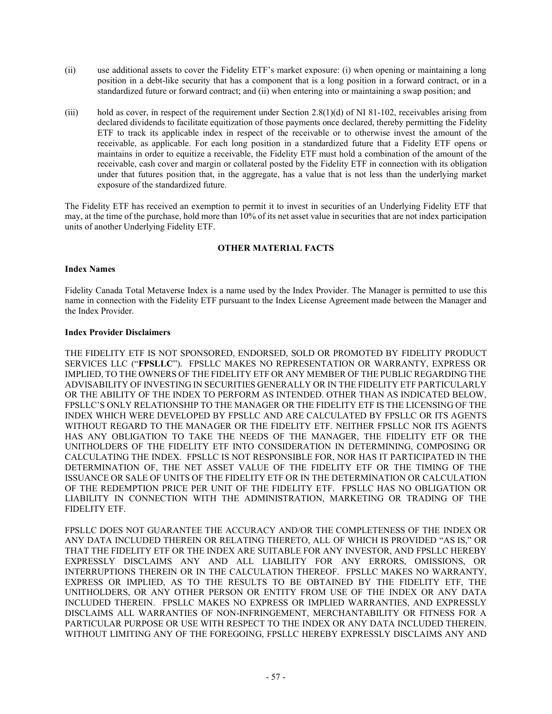- (ii) use additional assets to cover the Fidelity ETF's market exposure: (i) when opening or maintaining a long position in a debt-like security that has a component that is a long position in a forward contract, or in a standardized future or forward contract; and (ii) when entering into or maintaining a swap position; and
- (iii) hold as cover, in respect of the requirement under Section 2.8(1)(d) of NI 81-102, receivables arising from declared dividends to facilitate equitization of those payments once declared, thereby permitting the Fidelity ETF to track its applicable index in respect of the receivable or to otherwise invest the amount of the receivable, as applicable. For each long position in a standardized future that a Fidelity ETF opens or maintains in order to equitize a receivable, the Fidelity ETF must hold a combination of the amount of the receivable, cash cover and margin or collateral posted by the Fidelity ETF in connection with its obligation under that futures position that, in the aggregate, has a value that is not less than the underlying market exposure of the standardized future.

The Fidelity ETF has received an exemption to permit it to invest in securities of an Underlying Fidelity ETF that may, at the time of the purchase, hold more than 10% of its net asset value in securities that are not index participation units of another Underlying Fidelity ETF.

# **OTHER MATERIAL FACTS**

#### <span id="page-59-0"></span>**Index Names**

Fidelity Canada Total Metaverse Index is a name used by the Index Provider. The Manager is permitted to use this name in connection with the Fidelity ETF pursuant to the Index License Agreement made between the Manager and the Index Provider.

#### **Index Provider Disclaimers**

THE FIDELITY ETF IS NOT SPONSORED, ENDORSED, SOLD OR PROMOTED BY FIDELITY PRODUCT SERVICES LLC ("**FPSLLC**"). FPSLLC MAKES NO REPRESENTATION OR WARRANTY, EXPRESS OR IMPLIED, TO THE OWNERS OF THE FIDELITY ETF OR ANY MEMBER OF THE PUBLIC REGARDING THE ADVISABILITY OF INVESTING IN SECURITIES GENERALLY OR IN THE FIDELITY ETF PARTICULARLY OR THE ABILITY OF THE INDEX TO PERFORM AS INTENDED. OTHER THAN AS INDICATED BELOW, FPSLLC'S ONLY RELATIONSHIP TO THE MANAGER OR THE FIDELITY ETF IS THE LICENSING OF THE INDEX WHICH WERE DEVELOPED BY FPSLLC AND ARE CALCULATED BY FPSLLC OR ITS AGENTS WITHOUT REGARD TO THE MANAGER OR THE FIDELITY ETF. NEITHER FPSLLC NOR ITS AGENTS HAS ANY OBLIGATION TO TAKE THE NEEDS OF THE MANAGER, THE FIDELITY ETF OR THE UNITHOLDERS OF THE FIDELITY ETF INTO CONSIDERATION IN DETERMINING, COMPOSING OR CALCULATING THE INDEX. FPSLLC IS NOT RESPONSIBLE FOR, NOR HAS IT PARTICIPATED IN THE DETERMINATION OF, THE NET ASSET VALUE OF THE FIDELITY ETF OR THE TIMING OF THE ISSUANCE OR SALE OF UNITS OF THE FIDELITY ETF OR IN THE DETERMINATION OR CALCULATION OF THE REDEMPTION PRICE PER UNIT OF THE FIDELITY ETF. FPSLLC HAS NO OBLIGATION OR LIABILITY IN CONNECTION WITH THE ADMINISTRATION, MARKETING OR TRADING OF THE FIDELITY ETF.

FPSLLC DOES NOT GUARANTEE THE ACCURACY AND/OR THE COMPLETENESS OF THE INDEX OR ANY DATA INCLUDED THEREIN OR RELATING THERETO, ALL OF WHICH IS PROVIDED "AS IS," OR THAT THE FIDELITY ETF OR THE INDEX ARE SUITABLE FOR ANY INVESTOR, AND FPSLLC HEREBY EXPRESSLY DISCLAIMS ANY AND ALL LIABILITY FOR ANY ERRORS, OMISSIONS, OR INTERRUPTIONS THEREIN OR IN THE CALCULATION THEREOF. FPSLLC MAKES NO WARRANTY, EXPRESS OR IMPLIED, AS TO THE RESULTS TO BE OBTAINED BY THE FIDELITY ETF, THE UNITHOLDERS, OR ANY OTHER PERSON OR ENTITY FROM USE OF THE INDEX OR ANY DATA INCLUDED THEREIN. FPSLLC MAKES NO EXPRESS OR IMPLIED WARRANTIES, AND EXPRESSLY DISCLAIMS ALL WARRANTIES OF NON-INFRINGEMENT, MERCHANTABILITY OR FITNESS FOR A PARTICULAR PURPOSE OR USE WITH RESPECT TO THE INDEX OR ANY DATA INCLUDED THEREIN. WITHOUT LIMITING ANY OF THE FOREGOING, FPSLLC HEREBY EXPRESSLY DISCLAIMS ANY AND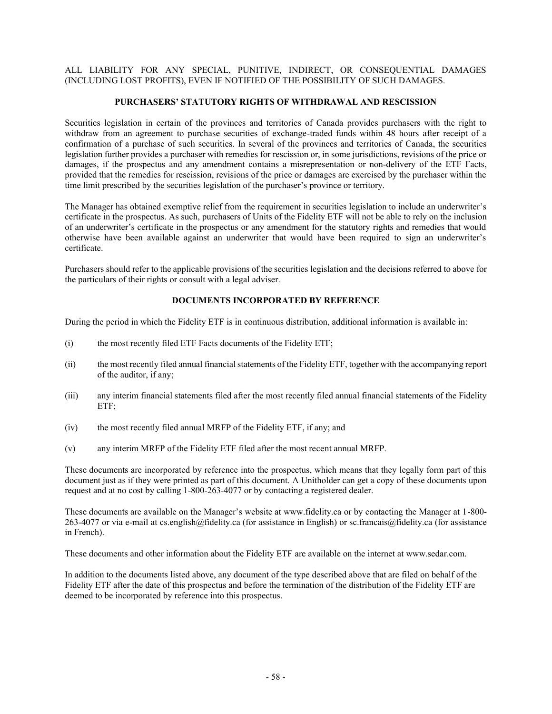## ALL LIABILITY FOR ANY SPECIAL, PUNITIVE, INDIRECT, OR CONSEQUENTIAL DAMAGES (INCLUDING LOST PROFITS), EVEN IF NOTIFIED OF THE POSSIBILITY OF SUCH DAMAGES.

## **PURCHASERS' STATUTORY RIGHTS OF WITHDRAWAL AND RESCISSION**

<span id="page-60-1"></span>Securities legislation in certain of the provinces and territories of Canada provides purchasers with the right to withdraw from an agreement to purchase securities of exchange-traded funds within 48 hours after receipt of a confirmation of a purchase of such securities. In several of the provinces and territories of Canada, the securities legislation further provides a purchaser with remedies for rescission or, in some jurisdictions, revisions of the price or damages, if the prospectus and any amendment contains a misrepresentation or non-delivery of the ETF Facts, provided that the remedies for rescission, revisions of the price or damages are exercised by the purchaser within the time limit prescribed by the securities legislation of the purchaser's province or territory.

The Manager has obtained exemptive relief from the requirement in securities legislation to include an underwriter's certificate in the prospectus. As such, purchasers of Units of the Fidelity ETF will not be able to rely on the inclusion of an underwriter's certificate in the prospectus or any amendment for the statutory rights and remedies that would otherwise have been available against an underwriter that would have been required to sign an underwriter's certificate.

Purchasers should refer to the applicable provisions of the securities legislation and the decisions referred to above for the particulars of their rights or consult with a legal adviser.

# **DOCUMENTS INCORPORATED BY REFERENCE**

<span id="page-60-0"></span>During the period in which the Fidelity ETF is in continuous distribution, additional information is available in:

- (i) the most recently filed ETF Facts documents of the Fidelity ETF;
- (ii) the most recently filed annual financial statements of the Fidelity ETF, together with the accompanying report of the auditor, if any;
- (iii) any interim financial statements filed after the most recently filed annual financial statements of the Fidelity ETF;
- (iv) the most recently filed annual MRFP of the Fidelity ETF, if any; and
- (v) any interim MRFP of the Fidelity ETF filed after the most recent annual MRFP.

These documents are incorporated by reference into the prospectus, which means that they legally form part of this document just as if they were printed as part of this document. A Unitholder can get a copy of these documents upon request and at no cost by calling 1-800-263-4077 or by contacting a registered dealer.

These documents are available on the Manager's website at www.fidelity.ca or by contacting the Manager at 1-800- 263-4077 or via e-mail at cs.english@fidelity.ca (for assistance in English) or sc.francais@fidelity.ca (for assistance in French).

These documents and other information about the Fidelity ETF are available on the internet at www.sedar.com.

In addition to the documents listed above, any document of the type described above that are filed on behalf of the Fidelity ETF after the date of this prospectus and before the termination of the distribution of the Fidelity ETF are deemed to be incorporated by reference into this prospectus.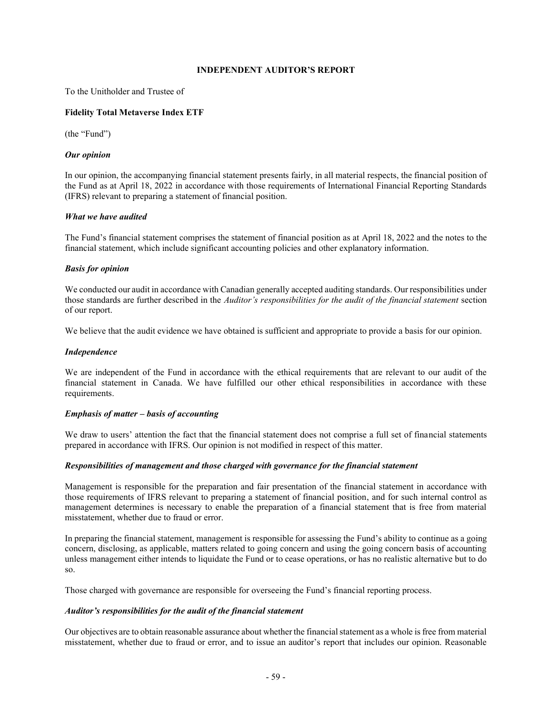#### **INDEPENDENT AUDITOR'S REPORT**

<span id="page-61-0"></span>To the Unitholder and Trustee of

#### **Fidelity Total Metaverse Index ETF**

(the "Fund")

#### *Our opinion*

In our opinion, the accompanying financial statement presents fairly, in all material respects, the financial position of the Fund as at April 18, 2022 in accordance with those requirements of International Financial Reporting Standards (IFRS) relevant to preparing a statement of financial position.

#### *What we have audited*

The Fund's financial statement comprises the statement of financial position as at April 18, 2022 and the notes to the financial statement, which include significant accounting policies and other explanatory information.

#### *Basis for opinion*

We conducted our audit in accordance with Canadian generally accepted auditing standards. Our responsibilities under those standards are further described in the *Auditor's responsibilities for the audit of the financial statement* section of our report.

We believe that the audit evidence we have obtained is sufficient and appropriate to provide a basis for our opinion.

#### *Independence*

We are independent of the Fund in accordance with the ethical requirements that are relevant to our audit of the financial statement in Canada. We have fulfilled our other ethical responsibilities in accordance with these requirements.

## *Emphasis of matter – basis of accounting*

We draw to users' attention the fact that the financial statement does not comprise a full set of financial statements prepared in accordance with IFRS. Our opinion is not modified in respect of this matter.

#### *Responsibilities of management and those charged with governance for the financial statement*

Management is responsible for the preparation and fair presentation of the financial statement in accordance with those requirements of IFRS relevant to preparing a statement of financial position, and for such internal control as management determines is necessary to enable the preparation of a financial statement that is free from material misstatement, whether due to fraud or error.

In preparing the financial statement, management is responsible for assessing the Fund's ability to continue as a going concern, disclosing, as applicable, matters related to going concern and using the going concern basis of accounting unless management either intends to liquidate the Fund or to cease operations, or has no realistic alternative but to do so.

Those charged with governance are responsible for overseeing the Fund's financial reporting process.

#### *Auditor's responsibilities for the audit of the financial statement*

Our objectives are to obtain reasonable assurance about whether the financial statement as a whole is free from material misstatement, whether due to fraud or error, and to issue an auditor's report that includes our opinion. Reasonable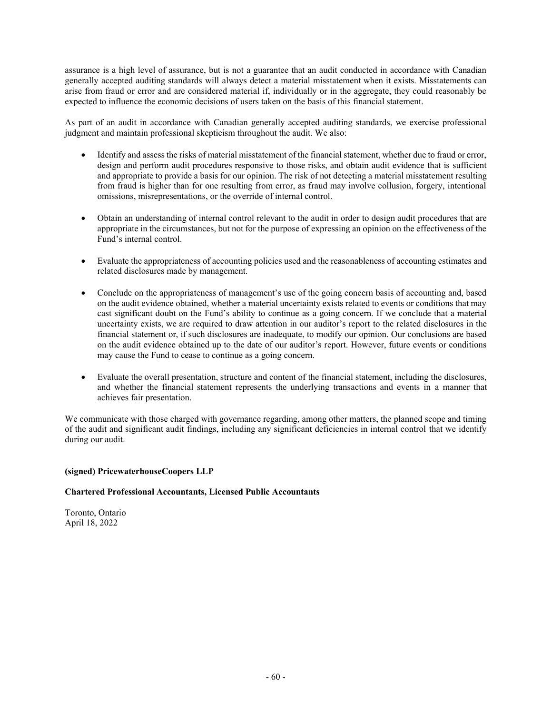assurance is a high level of assurance, but is not a guarantee that an audit conducted in accordance with Canadian generally accepted auditing standards will always detect a material misstatement when it exists. Misstatements can arise from fraud or error and are considered material if, individually or in the aggregate, they could reasonably be expected to influence the economic decisions of users taken on the basis of this financial statement.

As part of an audit in accordance with Canadian generally accepted auditing standards, we exercise professional judgment and maintain professional skepticism throughout the audit. We also:

- Identify and assess the risks of material misstatement of the financial statement, whether due to fraud or error, design and perform audit procedures responsive to those risks, and obtain audit evidence that is sufficient and appropriate to provide a basis for our opinion. The risk of not detecting a material misstatement resulting from fraud is higher than for one resulting from error, as fraud may involve collusion, forgery, intentional omissions, misrepresentations, or the override of internal control.
- Obtain an understanding of internal control relevant to the audit in order to design audit procedures that are appropriate in the circumstances, but not for the purpose of expressing an opinion on the effectiveness of the Fund's internal control.
- Evaluate the appropriateness of accounting policies used and the reasonableness of accounting estimates and related disclosures made by management.
- Conclude on the appropriateness of management's use of the going concern basis of accounting and, based on the audit evidence obtained, whether a material uncertainty exists related to events or conditions that may cast significant doubt on the Fund's ability to continue as a going concern. If we conclude that a material uncertainty exists, we are required to draw attention in our auditor's report to the related disclosures in the financial statement or, if such disclosures are inadequate, to modify our opinion. Our conclusions are based on the audit evidence obtained up to the date of our auditor's report. However, future events or conditions may cause the Fund to cease to continue as a going concern.
- Evaluate the overall presentation, structure and content of the financial statement, including the disclosures, and whether the financial statement represents the underlying transactions and events in a manner that achieves fair presentation.

We communicate with those charged with governance regarding, among other matters, the planned scope and timing of the audit and significant audit findings, including any significant deficiencies in internal control that we identify during our audit.

## **(signed) PricewaterhouseCoopers LLP**

#### **Chartered Professional Accountants, Licensed Public Accountants**

Toronto, Ontario April 18, 2022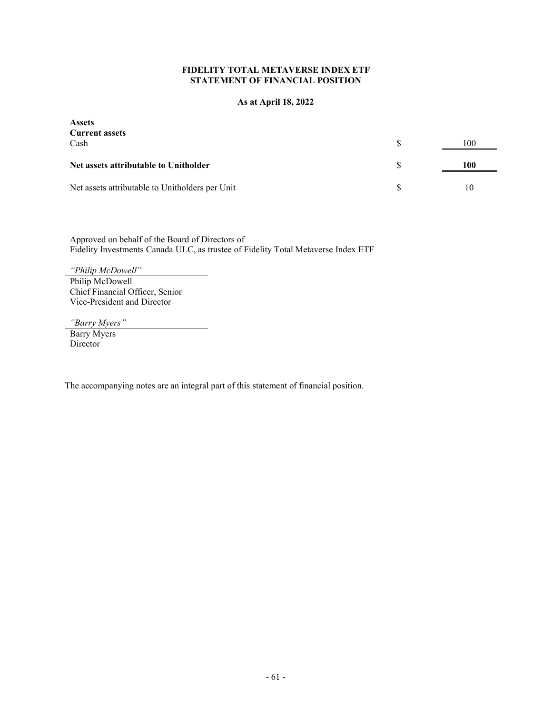## **FIDELITY TOTAL METAVERSE INDEX ETF STATEMENT OF FINANCIAL POSITION**

#### **As at April 18, 2022**

| <b>Assets</b>                                   |   |     |
|-------------------------------------------------|---|-----|
| <b>Current assets</b><br>Cash                   | S | 100 |
|                                                 |   |     |
| Net assets attributable to Unitholder           | S | 100 |
| Net assets attributable to Unitholders per Unit |   | 10  |

Approved on behalf of the Board of Directors of Fidelity Investments Canada ULC, as trustee of Fidelity Total Metaverse Index ETF

*"Philip McDowell"* Philip McDowell Chief Financial Officer, Senior Vice-President and Director

*"Barry Myers"* 

Barry Myers Director

The accompanying notes are an integral part of this statement of financial position.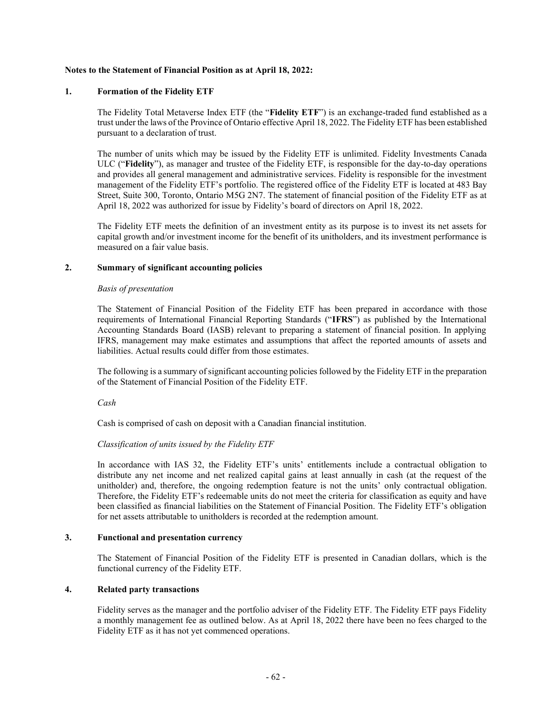#### **Notes to the Statement of Financial Position as at April 18, 2022:**

#### **1. Formation of the Fidelity ETF**

The Fidelity Total Metaverse Index ETF (the "**Fidelity ETF**") is an exchange-traded fund established as a trust under the laws of the Province of Ontario effective April 18, 2022. The Fidelity ETFhas been established pursuant to a declaration of trust.

The number of units which may be issued by the Fidelity ETF is unlimited. Fidelity Investments Canada ULC ("**Fidelity**"), as manager and trustee of the Fidelity ETF, is responsible for the day-to-day operations and provides all general management and administrative services. Fidelity is responsible for the investment management of the Fidelity ETF's portfolio. The registered office of the Fidelity ETF is located at 483 Bay Street, Suite 300, Toronto, Ontario M5G 2N7. The statement of financial position of the Fidelity ETF as at April 18, 2022 was authorized for issue by Fidelity's board of directors on April 18, 2022.

The Fidelity ETF meets the definition of an investment entity as its purpose is to invest its net assets for capital growth and/or investment income for the benefit of its unitholders, and its investment performance is measured on a fair value basis.

#### **2. Summary of significant accounting policies**

#### *Basis of presentation*

The Statement of Financial Position of the Fidelity ETF has been prepared in accordance with those requirements of International Financial Reporting Standards ("**IFRS**") as published by the International Accounting Standards Board (IASB) relevant to preparing a statement of financial position. In applying IFRS, management may make estimates and assumptions that affect the reported amounts of assets and liabilities. Actual results could differ from those estimates.

The following is a summary of significant accounting policies followed by the Fidelity ETF in the preparation of the Statement of Financial Position of the Fidelity ETF.

#### *Cash*

Cash is comprised of cash on deposit with a Canadian financial institution.

## *Classification of units issued by the Fidelity ETF*

In accordance with IAS 32, the Fidelity ETF's units' entitlements include a contractual obligation to distribute any net income and net realized capital gains at least annually in cash (at the request of the unitholder) and, therefore, the ongoing redemption feature is not the units' only contractual obligation. Therefore, the Fidelity ETF's redeemable units do not meet the criteria for classification as equity and have been classified as financial liabilities on the Statement of Financial Position. The Fidelity ETF's obligation for net assets attributable to unitholders is recorded at the redemption amount.

#### **3. Functional and presentation currency**

The Statement of Financial Position of the Fidelity ETF is presented in Canadian dollars, which is the functional currency of the Fidelity ETF.

#### **4. Related party transactions**

Fidelity serves as the manager and the portfolio adviser of the Fidelity ETF. The Fidelity ETF pays Fidelity a monthly management fee as outlined below. As at April 18, 2022 there have been no fees charged to the Fidelity ETF as it has not yet commenced operations.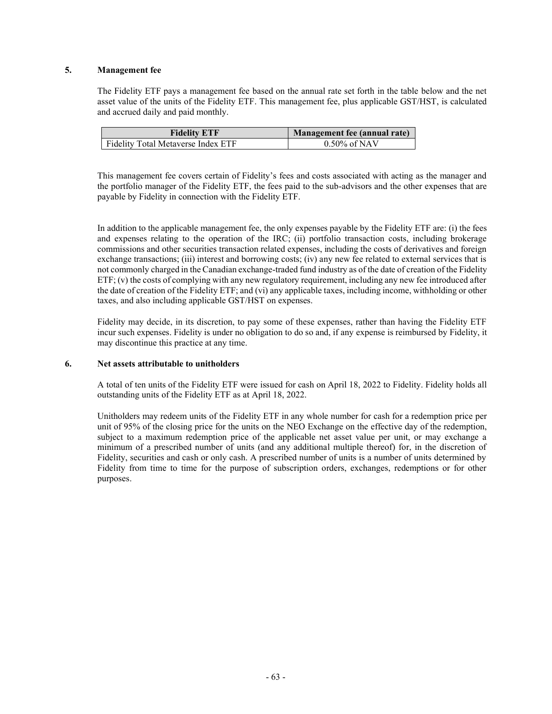#### **5. Management fee**

The Fidelity ETF pays a management fee based on the annual rate set forth in the table below and the net asset value of the units of the Fidelity ETF. This management fee, plus applicable GST/HST, is calculated and accrued daily and paid monthly.

| <b>Fidelity ETF</b>                       | Management fee (annual rate) |
|-------------------------------------------|------------------------------|
| <b>Fidelity Total Metaverse Index ETF</b> | $0.50\%$ of NAV              |

This management fee covers certain of Fidelity's fees and costs associated with acting as the manager and the portfolio manager of the Fidelity ETF, the fees paid to the sub-advisors and the other expenses that are payable by Fidelity in connection with the Fidelity ETF.

In addition to the applicable management fee, the only expenses payable by the Fidelity ETF are: (i) the fees and expenses relating to the operation of the IRC; (ii) portfolio transaction costs, including brokerage commissions and other securities transaction related expenses, including the costs of derivatives and foreign exchange transactions; (iii) interest and borrowing costs; (iv) any new fee related to external services that is not commonly charged in the Canadian exchange-traded fund industry as of the date of creation of the Fidelity  $ETF$ ; (v) the costs of complying with any new regulatory requirement, including any new fee introduced after the date of creation of the Fidelity ETF; and (vi) any applicable taxes, including income, withholding or other taxes, and also including applicable GST/HST on expenses.

Fidelity may decide, in its discretion, to pay some of these expenses, rather than having the Fidelity ETF incur such expenses. Fidelity is under no obligation to do so and, if any expense is reimbursed by Fidelity, it may discontinue this practice at any time.

#### **6. Net assets attributable to unitholders**

A total of ten units of the Fidelity ETF were issued for cash on April 18, 2022 to Fidelity. Fidelity holds all outstanding units of the Fidelity ETF as at April 18, 2022.

Unitholders may redeem units of the Fidelity ETF in any whole number for cash for a redemption price per unit of 95% of the closing price for the units on the NEO Exchange on the effective day of the redemption, subject to a maximum redemption price of the applicable net asset value per unit, or may exchange a minimum of a prescribed number of units (and any additional multiple thereof) for, in the discretion of Fidelity, securities and cash or only cash. A prescribed number of units is a number of units determined by Fidelity from time to time for the purpose of subscription orders, exchanges, redemptions or for other purposes.